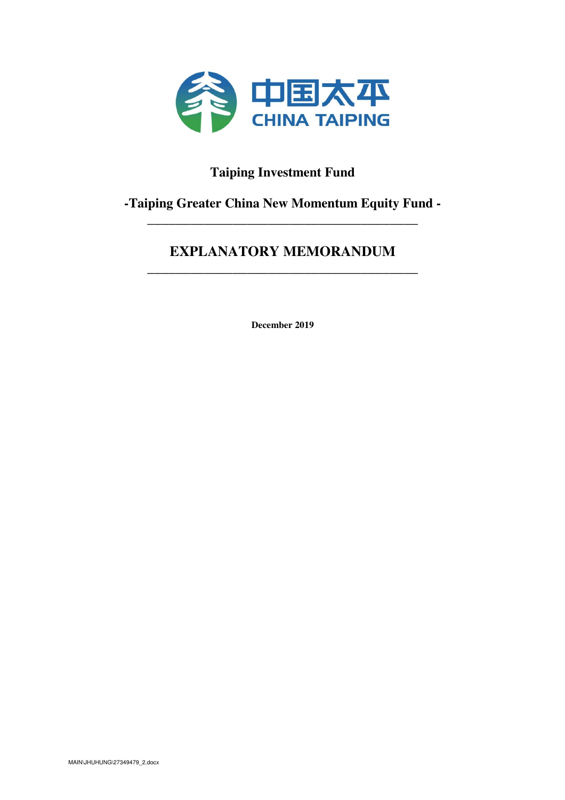

# **Taiping Investment Fund**

# **-Taiping Greater China New Momentum Equity Fund -** \_\_\_\_\_\_\_\_\_\_\_\_\_\_\_\_\_\_\_\_\_\_\_\_\_\_\_\_\_\_\_\_\_\_\_\_\_\_

# **EXPLANATORY MEMORANDUM**  \_\_\_\_\_\_\_\_\_\_\_\_\_\_\_\_\_\_\_\_\_\_\_\_\_\_\_\_\_\_\_\_\_\_\_\_\_\_

**December 2019**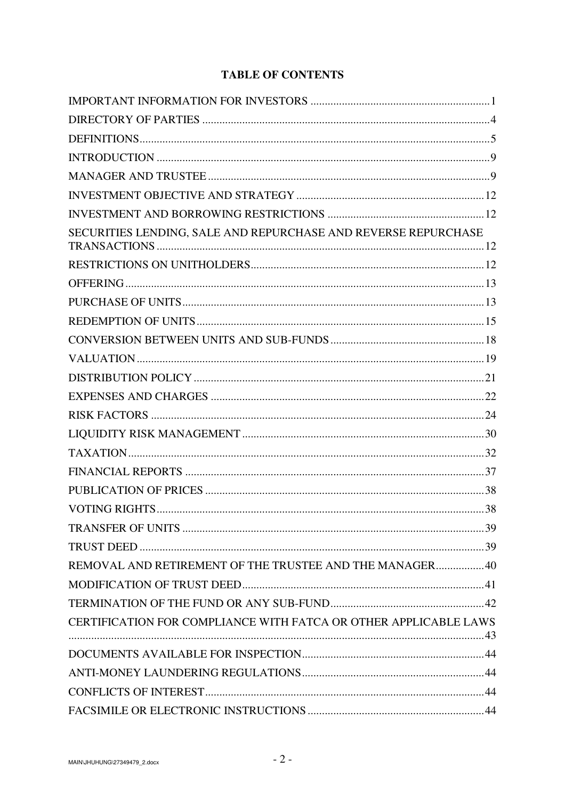# **TABLE OF CONTENTS**

| SECURITIES LENDING, SALE AND REPURCHASE AND REVERSE REPURCHASE   |  |
|------------------------------------------------------------------|--|
|                                                                  |  |
|                                                                  |  |
|                                                                  |  |
|                                                                  |  |
|                                                                  |  |
|                                                                  |  |
|                                                                  |  |
|                                                                  |  |
|                                                                  |  |
|                                                                  |  |
|                                                                  |  |
|                                                                  |  |
|                                                                  |  |
|                                                                  |  |
|                                                                  |  |
|                                                                  |  |
| REMOVAL AND RETIREMENT OF THE TRUSTEE AND THE MANAGER40          |  |
|                                                                  |  |
|                                                                  |  |
| CERTIFICATION FOR COMPLIANCE WITH FATCA OR OTHER APPLICABLE LAWS |  |
|                                                                  |  |
|                                                                  |  |
|                                                                  |  |
|                                                                  |  |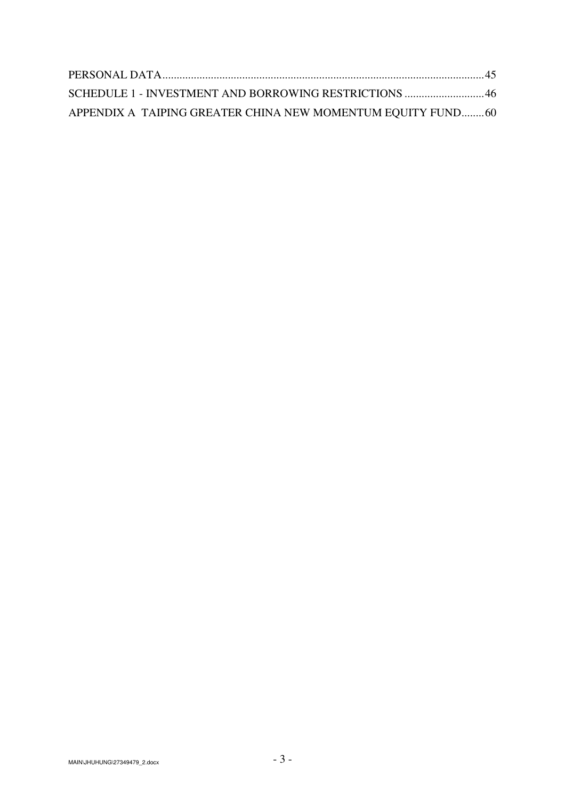| SCHEDULE 1 - INVESTMENT AND BORROWING RESTRICTIONS  46      |  |
|-------------------------------------------------------------|--|
| APPENDIX A TAIPING GREATER CHINA NEW MOMENTUM EQUITY FUND60 |  |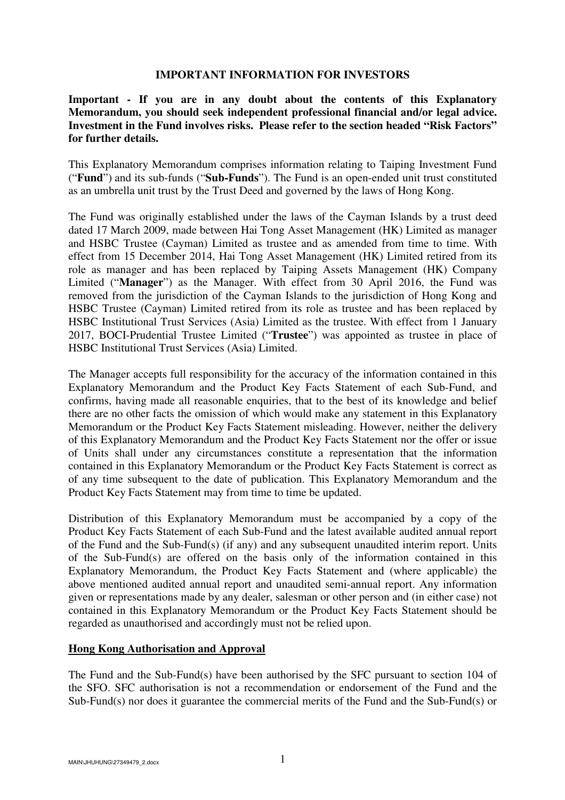#### **IMPORTANT INFORMATION FOR INVESTORS**

**Important - If you are in any doubt about the contents of this Explanatory Memorandum, you should seek independent professional financial and/or legal advice. Investment in the Fund involves risks. Please refer to the section headed "Risk Factors" for further details.**

This Explanatory Memorandum comprises information relating to Taiping Investment Fund ("**Fund**") and its sub-funds ("**Sub-Funds**"). The Fund is an open-ended unit trust constituted as an umbrella unit trust by the Trust Deed and governed by the laws of Hong Kong.

The Fund was originally established under the laws of the Cayman Islands by a trust deed dated 17 March 2009, made between Hai Tong Asset Management (HK) Limited as manager and HSBC Trustee (Cayman) Limited as trustee and as amended from time to time. With effect from 15 December 2014, Hai Tong Asset Management (HK) Limited retired from its role as manager and has been replaced by Taiping Assets Management (HK) Company Limited ("**Manager**") as the Manager. With effect from 30 April 2016, the Fund was removed from the jurisdiction of the Cayman Islands to the jurisdiction of Hong Kong and HSBC Trustee (Cayman) Limited retired from its role as trustee and has been replaced by HSBC Institutional Trust Services (Asia) Limited as the trustee. With effect from 1 January 2017, BOCI-Prudential Trustee Limited ("**Trustee**") was appointed as trustee in place of HSBC Institutional Trust Services (Asia) Limited.

The Manager accepts full responsibility for the accuracy of the information contained in this Explanatory Memorandum and the Product Key Facts Statement of each Sub-Fund, and confirms, having made all reasonable enquiries, that to the best of its knowledge and belief there are no other facts the omission of which would make any statement in this Explanatory Memorandum or the Product Key Facts Statement misleading. However, neither the delivery of this Explanatory Memorandum and the Product Key Facts Statement nor the offer or issue of Units shall under any circumstances constitute a representation that the information contained in this Explanatory Memorandum or the Product Key Facts Statement is correct as of any time subsequent to the date of publication. This Explanatory Memorandum and the Product Key Facts Statement may from time to time be updated.

Distribution of this Explanatory Memorandum must be accompanied by a copy of the Product Key Facts Statement of each Sub-Fund and the latest available audited annual report of the Fund and the Sub-Fund(s) (if any) and any subsequent unaudited interim report. Units of the Sub-Fund(s) are offered on the basis only of the information contained in this Explanatory Memorandum, the Product Key Facts Statement and (where applicable) the above mentioned audited annual report and unaudited semi-annual report. Any information given or representations made by any dealer, salesman or other person and (in either case) not contained in this Explanatory Memorandum or the Product Key Facts Statement should be regarded as unauthorised and accordingly must not be relied upon.

### **Hong Kong Authorisation and Approval**

The Fund and the Sub-Fund(s) have been authorised by the SFC pursuant to section 104 of the SFO. SFC authorisation is not a recommendation or endorsement of the Fund and the Sub-Fund(s) nor does it guarantee the commercial merits of the Fund and the Sub-Fund(s) or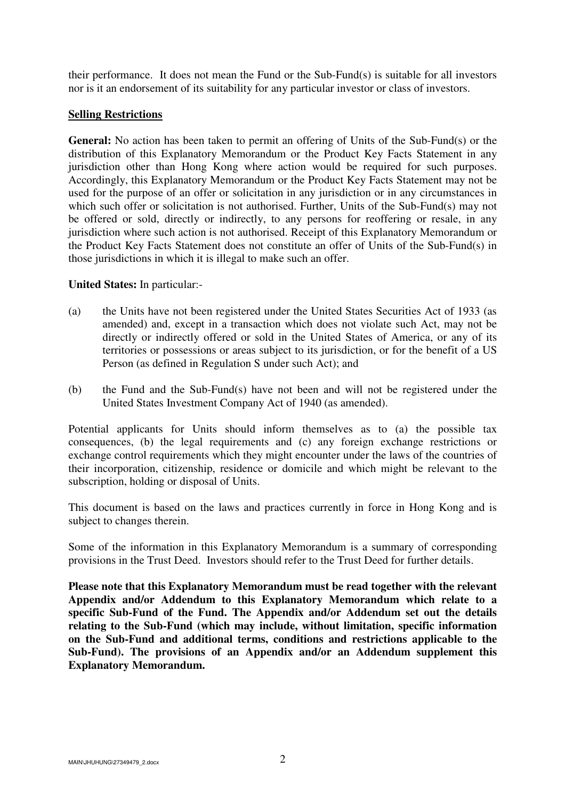their performance. It does not mean the Fund or the Sub-Fund(s) is suitable for all investors nor is it an endorsement of its suitability for any particular investor or class of investors.

## **Selling Restrictions**

**General:** No action has been taken to permit an offering of Units of the Sub-Fund(s) or the distribution of this Explanatory Memorandum or the Product Key Facts Statement in any jurisdiction other than Hong Kong where action would be required for such purposes. Accordingly, this Explanatory Memorandum or the Product Key Facts Statement may not be used for the purpose of an offer or solicitation in any jurisdiction or in any circumstances in which such offer or solicitation is not authorised. Further, Units of the Sub-Fund(s) may not be offered or sold, directly or indirectly, to any persons for reoffering or resale, in any jurisdiction where such action is not authorised. Receipt of this Explanatory Memorandum or the Product Key Facts Statement does not constitute an offer of Units of the Sub-Fund(s) in those jurisdictions in which it is illegal to make such an offer.

## **United States:** In particular:-

- (a) the Units have not been registered under the United States Securities Act of 1933 (as amended) and, except in a transaction which does not violate such Act, may not be directly or indirectly offered or sold in the United States of America, or any of its territories or possessions or areas subject to its jurisdiction, or for the benefit of a US Person (as defined in Regulation S under such Act); and
- (b) the Fund and the Sub-Fund(s) have not been and will not be registered under the United States Investment Company Act of 1940 (as amended).

Potential applicants for Units should inform themselves as to (a) the possible tax consequences, (b) the legal requirements and (c) any foreign exchange restrictions or exchange control requirements which they might encounter under the laws of the countries of their incorporation, citizenship, residence or domicile and which might be relevant to the subscription, holding or disposal of Units.

This document is based on the laws and practices currently in force in Hong Kong and is subject to changes therein.

Some of the information in this Explanatory Memorandum is a summary of corresponding provisions in the Trust Deed. Investors should refer to the Trust Deed for further details.

**Please note that this Explanatory Memorandum must be read together with the relevant Appendix and/or Addendum to this Explanatory Memorandum which relate to a specific Sub-Fund of the Fund. The Appendix and/or Addendum set out the details relating to the Sub-Fund (which may include, without limitation, specific information on the Sub-Fund and additional terms, conditions and restrictions applicable to the Sub-Fund). The provisions of an Appendix and/or an Addendum supplement this Explanatory Memorandum.**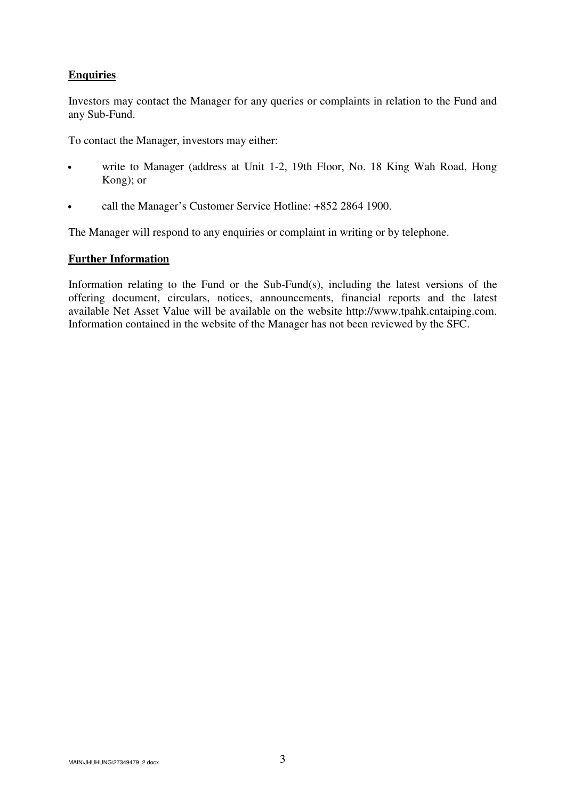# **Enquiries**

Investors may contact the Manager for any queries or complaints in relation to the Fund and any Sub-Fund.

To contact the Manager, investors may either:

- write to Manager (address at Unit 1-2, 19th Floor, No. 18 King Wah Road, Hong Kong); or
- call the Manager's Customer Service Hotline: +852 2864 1900.

The Manager will respond to any enquiries or complaint in writing or by telephone.

## **Further Information**

Information relating to the Fund or the Sub-Fund(s), including the latest versions of the offering document, circulars, notices, announcements, financial reports and the latest available Net Asset Value will be available on the website http://www.tpahk.cntaiping.com. Information contained in the website of the Manager has not been reviewed by the SFC.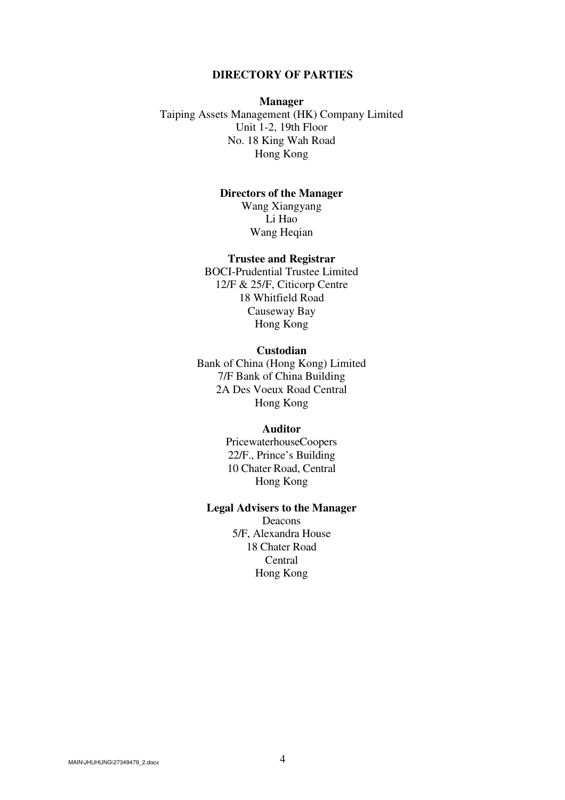#### **DIRECTORY OF PARTIES**

#### **Manager**

Taiping Assets Management (HK) Company Limited Unit 1-2, 19th Floor No. 18 King Wah Road Hong Kong

## **Directors of the Manager**

Wang Xiangyang Li Hao Wang Heqian

#### **Trustee and Registrar**

BOCI-Prudential Trustee Limited 12/F & 25/F, Citicorp Centre 18 Whitfield Road Causeway Bay Hong Kong

#### **Custodian**

Bank of China (Hong Kong) Limited 7/F Bank of China Building 2A Des Voeux Road Central Hong Kong

#### **Auditor**

PricewaterhouseCoopers 22/F., Prince's Building 10 Chater Road, Central Hong Kong

#### **Legal Advisers to the Manager**

Deacons 5/F, Alexandra House 18 Chater Road Central Hong Kong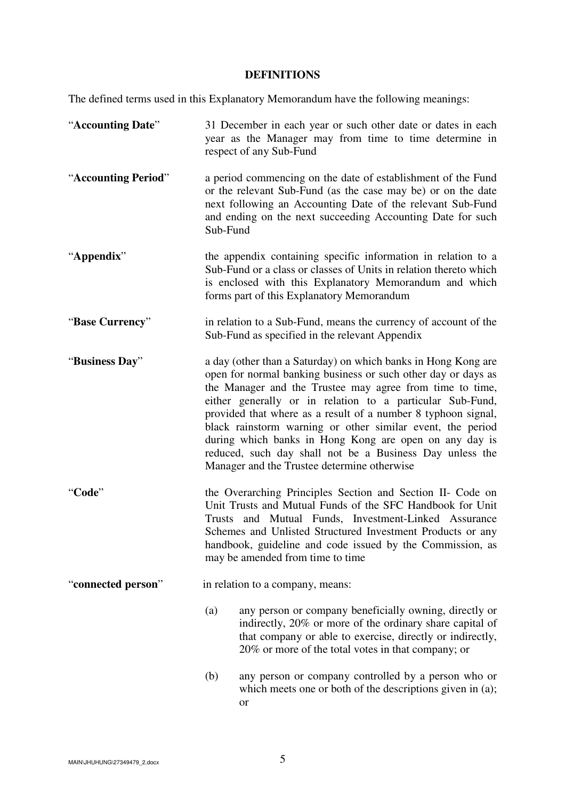# **DEFINITIONS**

The defined terms used in this Explanatory Memorandum have the following meanings:

| "Accounting Date"   | 31 December in each year or such other date or dates in each<br>year as the Manager may from time to time determine in<br>respect of any Sub-Fund                                                                                                                                                                                                                                                                                                                                                                                                           |
|---------------------|-------------------------------------------------------------------------------------------------------------------------------------------------------------------------------------------------------------------------------------------------------------------------------------------------------------------------------------------------------------------------------------------------------------------------------------------------------------------------------------------------------------------------------------------------------------|
| "Accounting Period" | a period commencing on the date of establishment of the Fund<br>or the relevant Sub-Fund (as the case may be) or on the date<br>next following an Accounting Date of the relevant Sub-Fund<br>and ending on the next succeeding Accounting Date for such<br>Sub-Fund                                                                                                                                                                                                                                                                                        |
| "Appendix"          | the appendix containing specific information in relation to a<br>Sub-Fund or a class or classes of Units in relation thereto which<br>is enclosed with this Explanatory Memorandum and which<br>forms part of this Explanatory Memorandum                                                                                                                                                                                                                                                                                                                   |
| "Base Currency"     | in relation to a Sub-Fund, means the currency of account of the<br>Sub-Fund as specified in the relevant Appendix                                                                                                                                                                                                                                                                                                                                                                                                                                           |
| "Business Day"      | a day (other than a Saturday) on which banks in Hong Kong are<br>open for normal banking business or such other day or days as<br>the Manager and the Trustee may agree from time to time,<br>either generally or in relation to a particular Sub-Fund,<br>provided that where as a result of a number 8 typhoon signal,<br>black rainstorm warning or other similar event, the period<br>during which banks in Hong Kong are open on any day is<br>reduced, such day shall not be a Business Day unless the<br>Manager and the Trustee determine otherwise |
| "Code"              | the Overarching Principles Section and Section II- Code on<br>Unit Trusts and Mutual Funds of the SFC Handbook for Unit<br>Trusts and Mutual Funds, Investment-Linked Assurance<br>Schemes and Unlisted Structured Investment Products or any<br>handbook, guideline and code issued by the Commission, as<br>may be amended from time to time                                                                                                                                                                                                              |
| "connected person"  | in relation to a company, means:                                                                                                                                                                                                                                                                                                                                                                                                                                                                                                                            |
|                     | (a)<br>any person or company beneficially owning, directly or<br>indirectly, 20% or more of the ordinary share capital of<br>that company or able to exercise, directly or indirectly,<br>20% or more of the total votes in that company; or                                                                                                                                                                                                                                                                                                                |
|                     | (b)<br>any person or company controlled by a person who or<br>which meets one or both of the descriptions given in (a);<br><b>or</b>                                                                                                                                                                                                                                                                                                                                                                                                                        |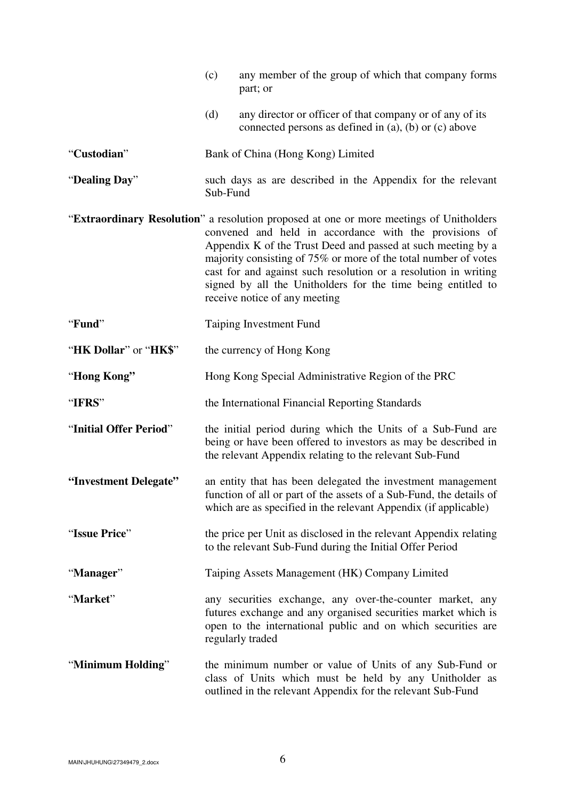|                        | (c)<br>any member of the group of which that company forms<br>part; or                                                                                                                                                                                                                                                                                                                                                                                   |
|------------------------|----------------------------------------------------------------------------------------------------------------------------------------------------------------------------------------------------------------------------------------------------------------------------------------------------------------------------------------------------------------------------------------------------------------------------------------------------------|
|                        | (d)<br>any director or officer of that company or of any of its<br>connected persons as defined in $(a)$ , $(b)$ or $(c)$ above                                                                                                                                                                                                                                                                                                                          |
| "Custodian"            | Bank of China (Hong Kong) Limited                                                                                                                                                                                                                                                                                                                                                                                                                        |
| "Dealing Day"          | such days as are described in the Appendix for the relevant<br>Sub-Fund                                                                                                                                                                                                                                                                                                                                                                                  |
|                        | "Extraordinary Resolution" a resolution proposed at one or more meetings of Unitholders<br>convened and held in accordance with the provisions of<br>Appendix K of the Trust Deed and passed at such meeting by a<br>majority consisting of 75% or more of the total number of votes<br>cast for and against such resolution or a resolution in writing<br>signed by all the Unitholders for the time being entitled to<br>receive notice of any meeting |
| "Fund"                 | <b>Taiping Investment Fund</b>                                                                                                                                                                                                                                                                                                                                                                                                                           |
| "HK Dollar" or "HK\$"  | the currency of Hong Kong                                                                                                                                                                                                                                                                                                                                                                                                                                |
| "Hong Kong"            | Hong Kong Special Administrative Region of the PRC                                                                                                                                                                                                                                                                                                                                                                                                       |
| "IFRS"                 | the International Financial Reporting Standards                                                                                                                                                                                                                                                                                                                                                                                                          |
| "Initial Offer Period" | the initial period during which the Units of a Sub-Fund are<br>being or have been offered to investors as may be described in<br>the relevant Appendix relating to the relevant Sub-Fund                                                                                                                                                                                                                                                                 |
| "Investment Delegate"  | an entity that has been delegated the investment management<br>function of all or part of the assets of a Sub-Fund, the details of<br>which are as specified in the relevant Appendix (if applicable)                                                                                                                                                                                                                                                    |
| "Issue Price"          | the price per Unit as disclosed in the relevant Appendix relating<br>to the relevant Sub-Fund during the Initial Offer Period                                                                                                                                                                                                                                                                                                                            |
| "Manager"              | Taiping Assets Management (HK) Company Limited                                                                                                                                                                                                                                                                                                                                                                                                           |
| "Market"               | any securities exchange, any over-the-counter market, any<br>futures exchange and any organised securities market which is<br>open to the international public and on which securities are<br>regularly traded                                                                                                                                                                                                                                           |
| "Minimum Holding"      | the minimum number or value of Units of any Sub-Fund or<br>class of Units which must be held by any Unitholder as<br>outlined in the relevant Appendix for the relevant Sub-Fund                                                                                                                                                                                                                                                                         |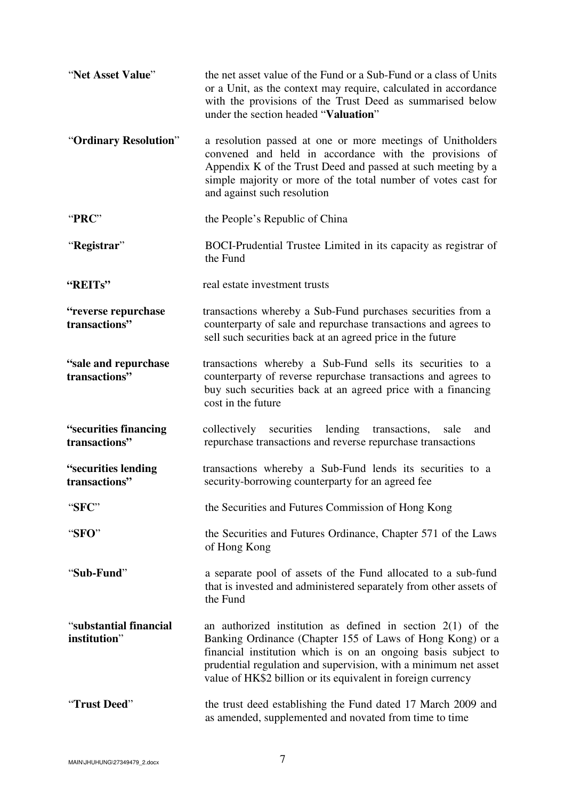| "Net Asset Value"                      | the net asset value of the Fund or a Sub-Fund or a class of Units<br>or a Unit, as the context may require, calculated in accordance<br>with the provisions of the Trust Deed as summarised below<br>under the section headed "Valuation"                                                                                      |
|----------------------------------------|--------------------------------------------------------------------------------------------------------------------------------------------------------------------------------------------------------------------------------------------------------------------------------------------------------------------------------|
| "Ordinary Resolution"                  | a resolution passed at one or more meetings of Unitholders<br>convened and held in accordance with the provisions of<br>Appendix K of the Trust Deed and passed at such meeting by a<br>simple majority or more of the total number of votes cast for<br>and against such resolution                                           |
| "PRC"                                  | the People's Republic of China                                                                                                                                                                                                                                                                                                 |
| "Registrar"                            | BOCI-Prudential Trustee Limited in its capacity as registrar of<br>the Fund                                                                                                                                                                                                                                                    |
| "REITs"                                | real estate investment trusts                                                                                                                                                                                                                                                                                                  |
| "reverse repurchase<br>transactions"   | transactions whereby a Sub-Fund purchases securities from a<br>counterparty of sale and repurchase transactions and agrees to<br>sell such securities back at an agreed price in the future                                                                                                                                    |
| "sale and repurchase<br>transactions"  | transactions whereby a Sub-Fund sells its securities to a<br>counterparty of reverse repurchase transactions and agrees to<br>buy such securities back at an agreed price with a financing<br>cost in the future                                                                                                               |
| "securities financing<br>transactions" | collectively securities lending transactions,<br>sale<br>and<br>repurchase transactions and reverse repurchase transactions                                                                                                                                                                                                    |
| "securities lending<br>transactions"   | transactions whereby a Sub-Fund lends its securities to a<br>security-borrowing counterparty for an agreed fee                                                                                                                                                                                                                 |
| "SFC"                                  | the Securities and Futures Commission of Hong Kong                                                                                                                                                                                                                                                                             |
| "SFO"                                  | the Securities and Futures Ordinance, Chapter 571 of the Laws<br>of Hong Kong                                                                                                                                                                                                                                                  |
| "Sub-Fund"                             | a separate pool of assets of the Fund allocated to a sub-fund<br>that is invested and administered separately from other assets of<br>the Fund                                                                                                                                                                                 |
| "substantial financial<br>institution" | an authorized institution as defined in section $2(1)$ of the<br>Banking Ordinance (Chapter 155 of Laws of Hong Kong) or a<br>financial institution which is on an ongoing basis subject to<br>prudential regulation and supervision, with a minimum net asset<br>value of HK\$2 billion or its equivalent in foreign currency |
| "Trust Deed"                           | the trust deed establishing the Fund dated 17 March 2009 and<br>as amended, supplemented and novated from time to time                                                                                                                                                                                                         |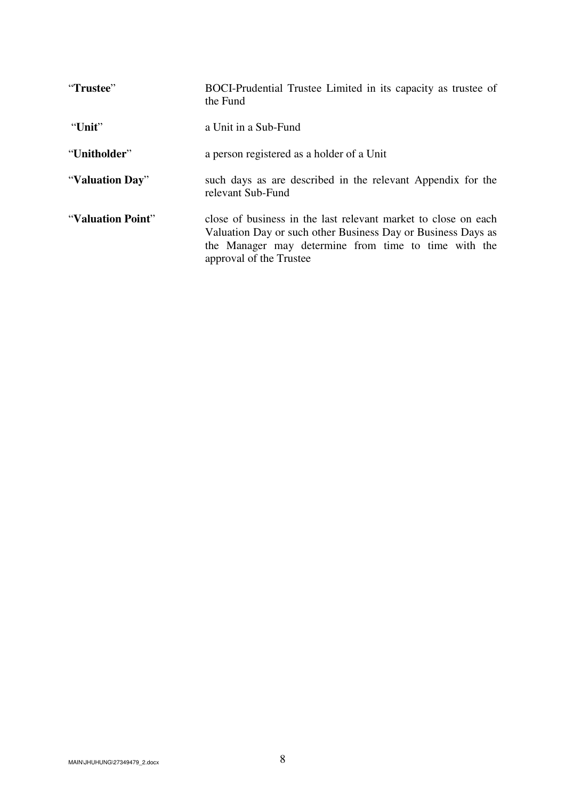| "Trustee"         | BOCI-Prudential Trustee Limited in its capacity as trustee of<br>the Fund                                                                                                                                         |
|-------------------|-------------------------------------------------------------------------------------------------------------------------------------------------------------------------------------------------------------------|
| "Unit"            | a Unit in a Sub-Fund                                                                                                                                                                                              |
| "Unitholder"      | a person registered as a holder of a Unit                                                                                                                                                                         |
| "Valuation Day"   | such days as are described in the relevant Appendix for the<br>relevant Sub-Fund                                                                                                                                  |
| "Valuation Point" | close of business in the last relevant market to close on each<br>Valuation Day or such other Business Day or Business Days as<br>the Manager may determine from time to time with the<br>approval of the Trustee |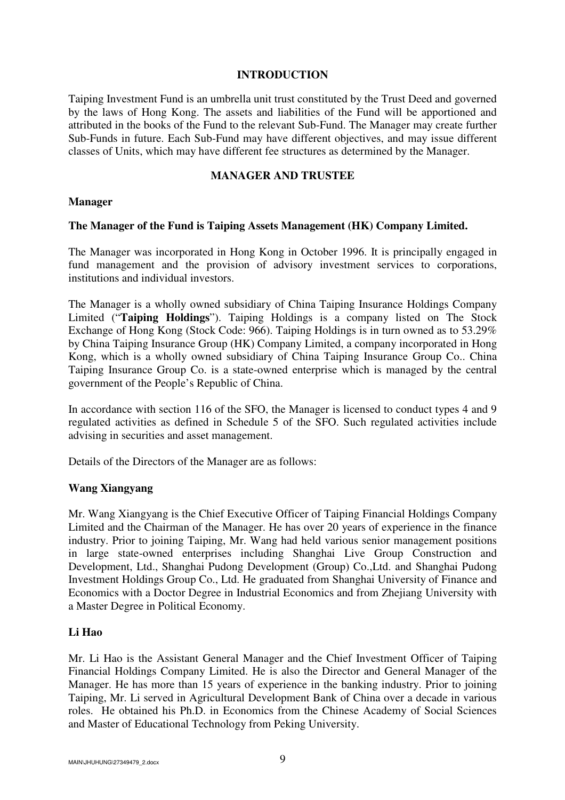#### **INTRODUCTION**

Taiping Investment Fund is an umbrella unit trust constituted by the Trust Deed and governed by the laws of Hong Kong. The assets and liabilities of the Fund will be apportioned and attributed in the books of the Fund to the relevant Sub-Fund. The Manager may create further Sub-Funds in future. Each Sub-Fund may have different objectives, and may issue different classes of Units, which may have different fee structures as determined by the Manager.

#### **MANAGER AND TRUSTEE**

#### **Manager**

#### **The Manager of the Fund is Taiping Assets Management (HK) Company Limited.**

The Manager was incorporated in Hong Kong in October 1996. It is principally engaged in fund management and the provision of advisory investment services to corporations, institutions and individual investors.

The Manager is a wholly owned subsidiary of China Taiping Insurance Holdings Company Limited ("**Taiping Holdings**"). Taiping Holdings is a company listed on The Stock Exchange of Hong Kong (Stock Code: 966). Taiping Holdings is in turn owned as to 53.29% by China Taiping Insurance Group (HK) Company Limited, a company incorporated in Hong Kong, which is a wholly owned subsidiary of China Taiping Insurance Group Co.. China Taiping Insurance Group Co. is a state-owned enterprise which is managed by the central government of the People's Republic of China.

In accordance with section 116 of the SFO, the Manager is licensed to conduct types 4 and 9 regulated activities as defined in Schedule 5 of the SFO. Such regulated activities include advising in securities and asset management.

Details of the Directors of the Manager are as follows:

### **Wang Xiangyang**

Mr. Wang Xiangyang is the Chief Executive Officer of Taiping Financial Holdings Company Limited and the Chairman of the Manager. He has over 20 years of experience in the finance industry. Prior to joining Taiping, Mr. Wang had held various senior management positions in large state-owned enterprises including Shanghai Live Group Construction and Development, Ltd., Shanghai Pudong Development (Group) Co.,Ltd. and Shanghai Pudong Investment Holdings Group Co., Ltd. He graduated from Shanghai University of Finance and Economics with a Doctor Degree in Industrial Economics and from Zhejiang University with a Master Degree in Political Economy.

### **Li Hao**

Mr. Li Hao is the Assistant General Manager and the Chief Investment Officer of Taiping Financial Holdings Company Limited. He is also the Director and General Manager of the Manager. He has more than 15 years of experience in the banking industry. Prior to joining Taiping, Mr. Li served in Agricultural Development Bank of China over a decade in various roles. He obtained his Ph.D. in Economics from the Chinese Academy of Social Sciences and Master of Educational Technology from Peking University.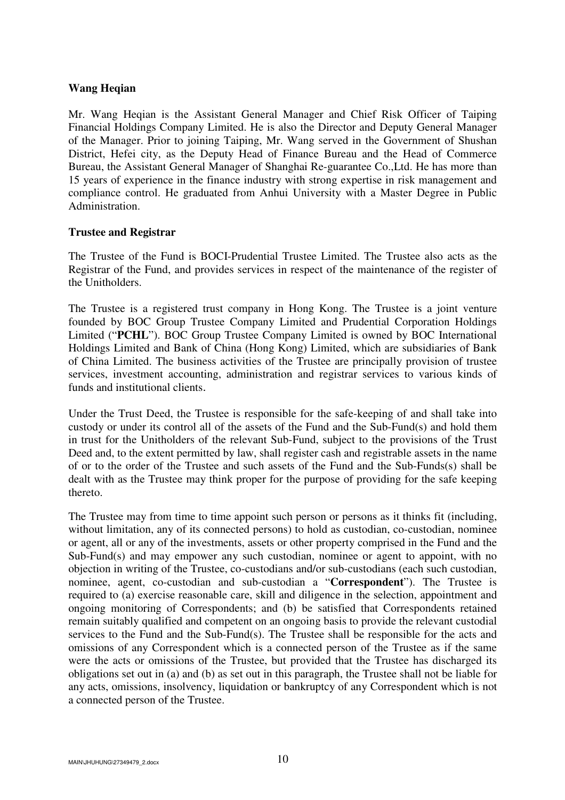#### **Wang Heqian**

Mr. Wang Heqian is the Assistant General Manager and Chief Risk Officer of Taiping Financial Holdings Company Limited. He is also the Director and Deputy General Manager of the Manager. Prior to joining Taiping, Mr. Wang served in the Government of Shushan District, Hefei city, as the Deputy Head of Finance Bureau and the Head of Commerce Bureau, the Assistant General Manager of Shanghai Re-guarantee Co.,Ltd. He has more than 15 years of experience in the finance industry with strong expertise in risk management and compliance control. He graduated from Anhui University with a Master Degree in Public Administration.

#### **Trustee and Registrar**

The Trustee of the Fund is BOCI-Prudential Trustee Limited. The Trustee also acts as the Registrar of the Fund, and provides services in respect of the maintenance of the register of the Unitholders.

The Trustee is a registered trust company in Hong Kong. The Trustee is a joint venture founded by BOC Group Trustee Company Limited and Prudential Corporation Holdings Limited ("**PCHL**"). BOC Group Trustee Company Limited is owned by BOC International Holdings Limited and Bank of China (Hong Kong) Limited, which are subsidiaries of Bank of China Limited. The business activities of the Trustee are principally provision of trustee services, investment accounting, administration and registrar services to various kinds of funds and institutional clients.

Under the Trust Deed, the Trustee is responsible for the safe-keeping of and shall take into custody or under its control all of the assets of the Fund and the Sub-Fund(s) and hold them in trust for the Unitholders of the relevant Sub-Fund, subject to the provisions of the Trust Deed and, to the extent permitted by law, shall register cash and registrable assets in the name of or to the order of the Trustee and such assets of the Fund and the Sub-Funds(s) shall be dealt with as the Trustee may think proper for the purpose of providing for the safe keeping thereto.

The Trustee may from time to time appoint such person or persons as it thinks fit (including, without limitation, any of its connected persons) to hold as custodian, co-custodian, nominee or agent, all or any of the investments, assets or other property comprised in the Fund and the Sub-Fund(s) and may empower any such custodian, nominee or agent to appoint, with no objection in writing of the Trustee, co-custodians and/or sub-custodians (each such custodian, nominee, agent, co-custodian and sub-custodian a "**Correspondent**"). The Trustee is required to (a) exercise reasonable care, skill and diligence in the selection, appointment and ongoing monitoring of Correspondents; and (b) be satisfied that Correspondents retained remain suitably qualified and competent on an ongoing basis to provide the relevant custodial services to the Fund and the Sub-Fund(s). The Trustee shall be responsible for the acts and omissions of any Correspondent which is a connected person of the Trustee as if the same were the acts or omissions of the Trustee, but provided that the Trustee has discharged its obligations set out in (a) and (b) as set out in this paragraph, the Trustee shall not be liable for any acts, omissions, insolvency, liquidation or bankruptcy of any Correspondent which is not a connected person of the Trustee.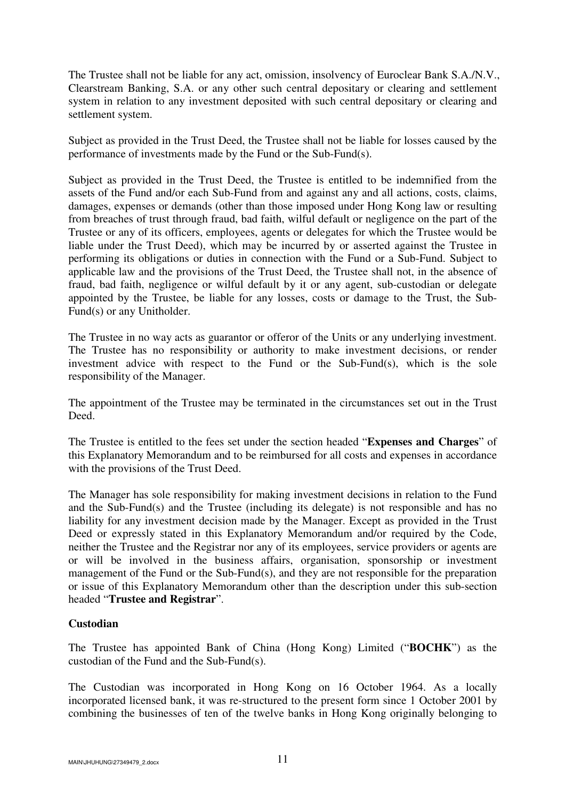The Trustee shall not be liable for any act, omission, insolvency of Euroclear Bank S.A./N.V., Clearstream Banking, S.A. or any other such central depositary or clearing and settlement system in relation to any investment deposited with such central depositary or clearing and settlement system.

Subject as provided in the Trust Deed, the Trustee shall not be liable for losses caused by the performance of investments made by the Fund or the Sub-Fund(s).

Subject as provided in the Trust Deed, the Trustee is entitled to be indemnified from the assets of the Fund and/or each Sub-Fund from and against any and all actions, costs, claims, damages, expenses or demands (other than those imposed under Hong Kong law or resulting from breaches of trust through fraud, bad faith, wilful default or negligence on the part of the Trustee or any of its officers, employees, agents or delegates for which the Trustee would be liable under the Trust Deed), which may be incurred by or asserted against the Trustee in performing its obligations or duties in connection with the Fund or a Sub-Fund. Subject to applicable law and the provisions of the Trust Deed, the Trustee shall not, in the absence of fraud, bad faith, negligence or wilful default by it or any agent, sub-custodian or delegate appointed by the Trustee, be liable for any losses, costs or damage to the Trust, the Sub-Fund(s) or any Unitholder.

The Trustee in no way acts as guarantor or offeror of the Units or any underlying investment. The Trustee has no responsibility or authority to make investment decisions, or render investment advice with respect to the Fund or the Sub-Fund(s), which is the sole responsibility of the Manager.

The appointment of the Trustee may be terminated in the circumstances set out in the Trust Deed.

The Trustee is entitled to the fees set under the section headed "**Expenses and Charges**" of this Explanatory Memorandum and to be reimbursed for all costs and expenses in accordance with the provisions of the Trust Deed.

The Manager has sole responsibility for making investment decisions in relation to the Fund and the Sub-Fund(s) and the Trustee (including its delegate) is not responsible and has no liability for any investment decision made by the Manager. Except as provided in the Trust Deed or expressly stated in this Explanatory Memorandum and/or required by the Code, neither the Trustee and the Registrar nor any of its employees, service providers or agents are or will be involved in the business affairs, organisation, sponsorship or investment management of the Fund or the Sub-Fund(s), and they are not responsible for the preparation or issue of this Explanatory Memorandum other than the description under this sub-section headed "**Trustee and Registrar**".

# **Custodian**

The Trustee has appointed Bank of China (Hong Kong) Limited ("**BOCHK**") as the custodian of the Fund and the Sub-Fund(s).

The Custodian was incorporated in Hong Kong on 16 October 1964. As a locally incorporated licensed bank, it was re-structured to the present form since 1 October 2001 by combining the businesses of ten of the twelve banks in Hong Kong originally belonging to

 $M$ AIN\JHUHUNG\27349479\_2.docx  $11$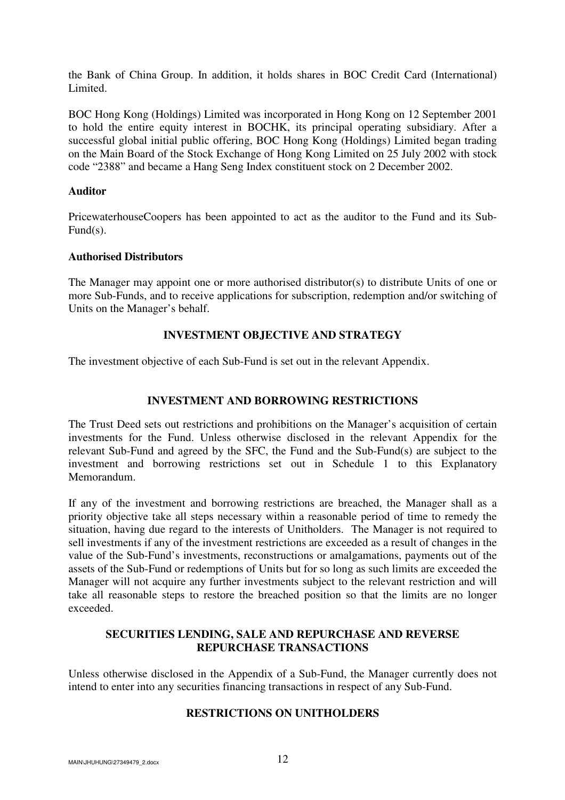the Bank of China Group. In addition, it holds shares in BOC Credit Card (International) Limited.

BOC Hong Kong (Holdings) Limited was incorporated in Hong Kong on 12 September 2001 to hold the entire equity interest in BOCHK, its principal operating subsidiary. After a successful global initial public offering, BOC Hong Kong (Holdings) Limited began trading on the Main Board of the Stock Exchange of Hong Kong Limited on 25 July 2002 with stock code "2388" and became a Hang Seng Index constituent stock on 2 December 2002.

## **Auditor**

PricewaterhouseCoopers has been appointed to act as the auditor to the Fund and its Sub-Fund(s).

## **Authorised Distributors**

The Manager may appoint one or more authorised distributor(s) to distribute Units of one or more Sub-Funds, and to receive applications for subscription, redemption and/or switching of Units on the Manager's behalf.

# **INVESTMENT OBJECTIVE AND STRATEGY**

The investment objective of each Sub-Fund is set out in the relevant Appendix.

# **INVESTMENT AND BORROWING RESTRICTIONS**

The Trust Deed sets out restrictions and prohibitions on the Manager's acquisition of certain investments for the Fund. Unless otherwise disclosed in the relevant Appendix for the relevant Sub-Fund and agreed by the SFC, the Fund and the Sub-Fund(s) are subject to the investment and borrowing restrictions set out in Schedule 1 to this Explanatory Memorandum.

If any of the investment and borrowing restrictions are breached, the Manager shall as a priority objective take all steps necessary within a reasonable period of time to remedy the situation, having due regard to the interests of Unitholders. The Manager is not required to sell investments if any of the investment restrictions are exceeded as a result of changes in the value of the Sub-Fund's investments, reconstructions or amalgamations, payments out of the assets of the Sub-Fund or redemptions of Units but for so long as such limits are exceeded the Manager will not acquire any further investments subject to the relevant restriction and will take all reasonable steps to restore the breached position so that the limits are no longer exceeded.

### **SECURITIES LENDING, SALE AND REPURCHASE AND REVERSE REPURCHASE TRANSACTIONS**

Unless otherwise disclosed in the Appendix of a Sub-Fund, the Manager currently does not intend to enter into any securities financing transactions in respect of any Sub-Fund.

# **RESTRICTIONS ON UNITHOLDERS**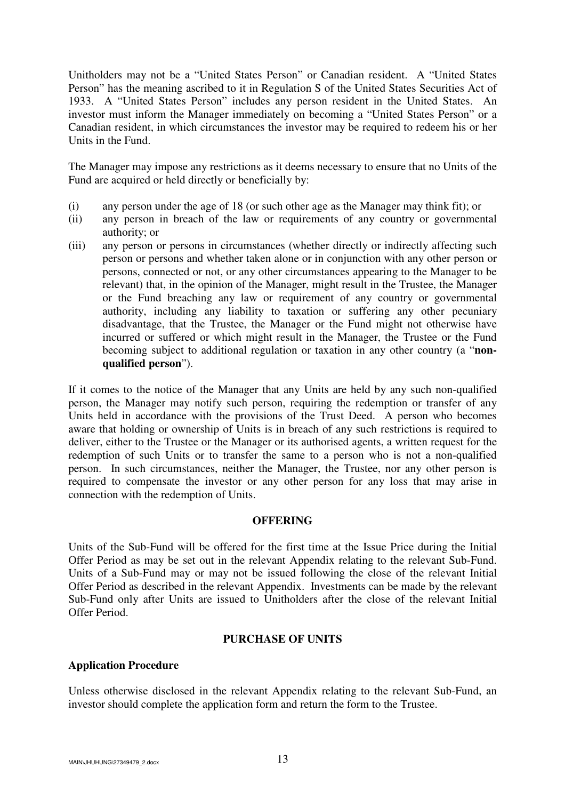Unitholders may not be a "United States Person" or Canadian resident. A "United States Person" has the meaning ascribed to it in Regulation S of the United States Securities Act of 1933. A "United States Person" includes any person resident in the United States. An investor must inform the Manager immediately on becoming a "United States Person" or a Canadian resident, in which circumstances the investor may be required to redeem his or her Units in the Fund.

The Manager may impose any restrictions as it deems necessary to ensure that no Units of the Fund are acquired or held directly or beneficially by:

- (i) any person under the age of 18 (or such other age as the Manager may think fit); or
- (ii) any person in breach of the law or requirements of any country or governmental authority; or
- (iii) any person or persons in circumstances (whether directly or indirectly affecting such person or persons and whether taken alone or in conjunction with any other person or persons, connected or not, or any other circumstances appearing to the Manager to be relevant) that, in the opinion of the Manager, might result in the Trustee, the Manager or the Fund breaching any law or requirement of any country or governmental authority, including any liability to taxation or suffering any other pecuniary disadvantage, that the Trustee, the Manager or the Fund might not otherwise have incurred or suffered or which might result in the Manager, the Trustee or the Fund becoming subject to additional regulation or taxation in any other country (a "**nonqualified person**").

If it comes to the notice of the Manager that any Units are held by any such non-qualified person, the Manager may notify such person, requiring the redemption or transfer of any Units held in accordance with the provisions of the Trust Deed. A person who becomes aware that holding or ownership of Units is in breach of any such restrictions is required to deliver, either to the Trustee or the Manager or its authorised agents, a written request for the redemption of such Units or to transfer the same to a person who is not a non-qualified person. In such circumstances, neither the Manager, the Trustee, nor any other person is required to compensate the investor or any other person for any loss that may arise in connection with the redemption of Units.

# **OFFERING**

Units of the Sub-Fund will be offered for the first time at the Issue Price during the Initial Offer Period as may be set out in the relevant Appendix relating to the relevant Sub-Fund. Units of a Sub-Fund may or may not be issued following the close of the relevant Initial Offer Period as described in the relevant Appendix. Investments can be made by the relevant Sub-Fund only after Units are issued to Unitholders after the close of the relevant Initial Offer Period.

# **PURCHASE OF UNITS**

### **Application Procedure**

Unless otherwise disclosed in the relevant Appendix relating to the relevant Sub-Fund, an investor should complete the application form and return the form to the Trustee.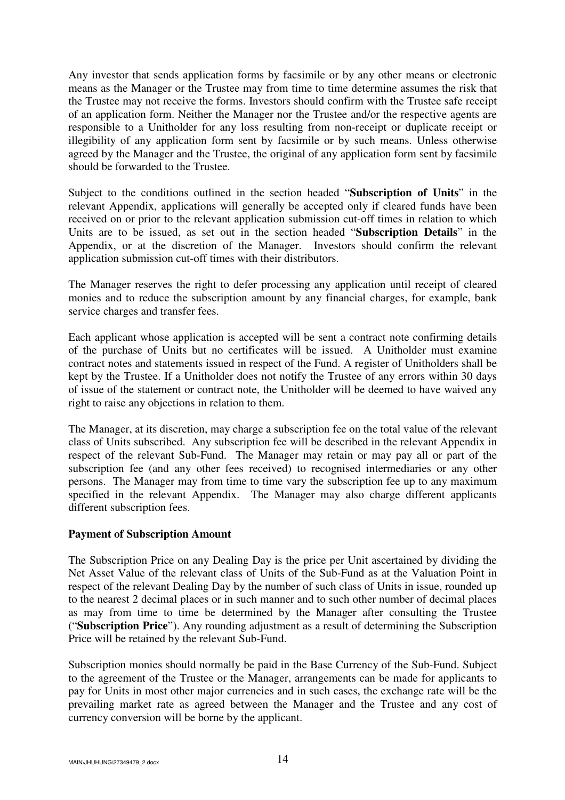Any investor that sends application forms by facsimile or by any other means or electronic means as the Manager or the Trustee may from time to time determine assumes the risk that the Trustee may not receive the forms. Investors should confirm with the Trustee safe receipt of an application form. Neither the Manager nor the Trustee and/or the respective agents are responsible to a Unitholder for any loss resulting from non-receipt or duplicate receipt or illegibility of any application form sent by facsimile or by such means. Unless otherwise agreed by the Manager and the Trustee, the original of any application form sent by facsimile should be forwarded to the Trustee.

Subject to the conditions outlined in the section headed "**Subscription of Units**" in the relevant Appendix, applications will generally be accepted only if cleared funds have been received on or prior to the relevant application submission cut-off times in relation to which Units are to be issued, as set out in the section headed "**Subscription Details**" in the Appendix, or at the discretion of the Manager. Investors should confirm the relevant application submission cut-off times with their distributors.

The Manager reserves the right to defer processing any application until receipt of cleared monies and to reduce the subscription amount by any financial charges, for example, bank service charges and transfer fees.

Each applicant whose application is accepted will be sent a contract note confirming details of the purchase of Units but no certificates will be issued. A Unitholder must examine contract notes and statements issued in respect of the Fund. A register of Unitholders shall be kept by the Trustee. If a Unitholder does not notify the Trustee of any errors within 30 days of issue of the statement or contract note, the Unitholder will be deemed to have waived any right to raise any objections in relation to them.

The Manager, at its discretion, may charge a subscription fee on the total value of the relevant class of Units subscribed. Any subscription fee will be described in the relevant Appendix in respect of the relevant Sub-Fund. The Manager may retain or may pay all or part of the subscription fee (and any other fees received) to recognised intermediaries or any other persons. The Manager may from time to time vary the subscription fee up to any maximum specified in the relevant Appendix. The Manager may also charge different applicants different subscription fees.

### **Payment of Subscription Amount**

The Subscription Price on any Dealing Day is the price per Unit ascertained by dividing the Net Asset Value of the relevant class of Units of the Sub-Fund as at the Valuation Point in respect of the relevant Dealing Day by the number of such class of Units in issue, rounded up to the nearest 2 decimal places or in such manner and to such other number of decimal places as may from time to time be determined by the Manager after consulting the Trustee ("**Subscription Price**"). Any rounding adjustment as a result of determining the Subscription Price will be retained by the relevant Sub-Fund.

Subscription monies should normally be paid in the Base Currency of the Sub-Fund. Subject to the agreement of the Trustee or the Manager, arrangements can be made for applicants to pay for Units in most other major currencies and in such cases, the exchange rate will be the prevailing market rate as agreed between the Manager and the Trustee and any cost of currency conversion will be borne by the applicant.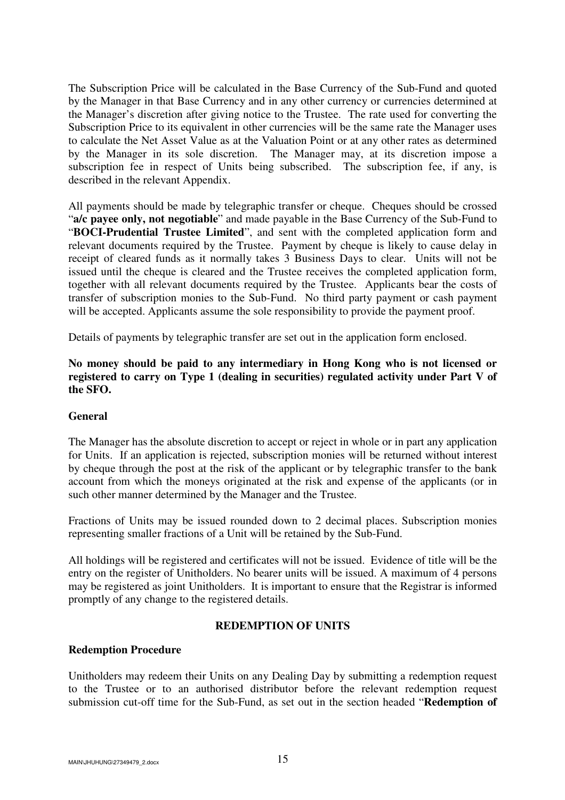The Subscription Price will be calculated in the Base Currency of the Sub-Fund and quoted by the Manager in that Base Currency and in any other currency or currencies determined at the Manager's discretion after giving notice to the Trustee. The rate used for converting the Subscription Price to its equivalent in other currencies will be the same rate the Manager uses to calculate the Net Asset Value as at the Valuation Point or at any other rates as determined by the Manager in its sole discretion. The Manager may, at its discretion impose a subscription fee in respect of Units being subscribed. The subscription fee, if any, is described in the relevant Appendix.

All payments should be made by telegraphic transfer or cheque. Cheques should be crossed "**a/c payee only, not negotiable**" and made payable in the Base Currency of the Sub-Fund to "**BOCI-Prudential Trustee Limited**", and sent with the completed application form and relevant documents required by the Trustee. Payment by cheque is likely to cause delay in receipt of cleared funds as it normally takes 3 Business Days to clear. Units will not be issued until the cheque is cleared and the Trustee receives the completed application form, together with all relevant documents required by the Trustee. Applicants bear the costs of transfer of subscription monies to the Sub-Fund. No third party payment or cash payment will be accepted. Applicants assume the sole responsibility to provide the payment proof.

Details of payments by telegraphic transfer are set out in the application form enclosed.

**No money should be paid to any intermediary in Hong Kong who is not licensed or registered to carry on Type 1 (dealing in securities) regulated activity under Part V of the SFO.** 

### **General**

The Manager has the absolute discretion to accept or reject in whole or in part any application for Units. If an application is rejected, subscription monies will be returned without interest by cheque through the post at the risk of the applicant or by telegraphic transfer to the bank account from which the moneys originated at the risk and expense of the applicants (or in such other manner determined by the Manager and the Trustee.

Fractions of Units may be issued rounded down to 2 decimal places. Subscription monies representing smaller fractions of a Unit will be retained by the Sub-Fund.

All holdings will be registered and certificates will not be issued. Evidence of title will be the entry on the register of Unitholders. No bearer units will be issued. A maximum of 4 persons may be registered as joint Unitholders. It is important to ensure that the Registrar is informed promptly of any change to the registered details.

### **REDEMPTION OF UNITS**

### **Redemption Procedure**

Unitholders may redeem their Units on any Dealing Day by submitting a redemption request to the Trustee or to an authorised distributor before the relevant redemption request submission cut-off time for the Sub-Fund, as set out in the section headed "**Redemption of**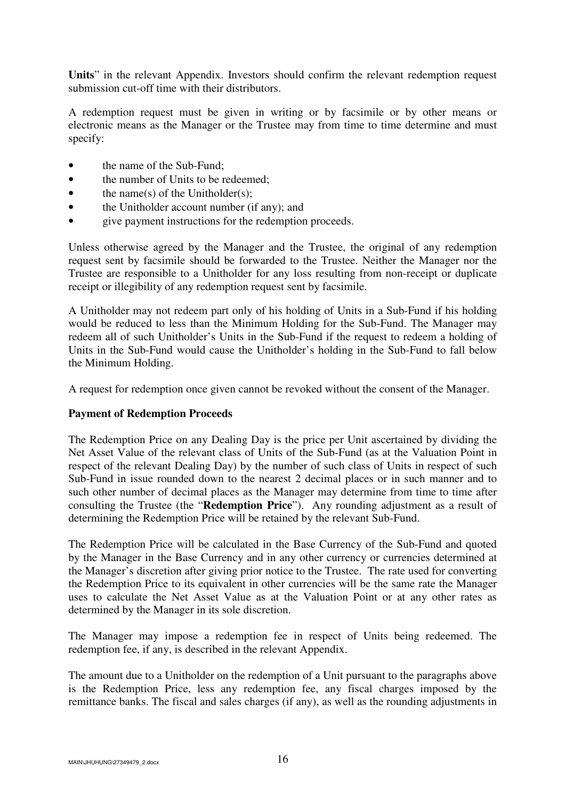**Units**" in the relevant Appendix. Investors should confirm the relevant redemption request submission cut-off time with their distributors.

A redemption request must be given in writing or by facsimile or by other means or electronic means as the Manager or the Trustee may from time to time determine and must specify:

- the name of the Sub-Fund:
- the number of Units to be redeemed:
- the name(s) of the Unitholder(s);
- the Unitholder account number (if any); and
- give payment instructions for the redemption proceeds.

Unless otherwise agreed by the Manager and the Trustee, the original of any redemption request sent by facsimile should be forwarded to the Trustee. Neither the Manager nor the Trustee are responsible to a Unitholder for any loss resulting from non-receipt or duplicate receipt or illegibility of any redemption request sent by facsimile.

A Unitholder may not redeem part only of his holding of Units in a Sub-Fund if his holding would be reduced to less than the Minimum Holding for the Sub-Fund. The Manager may redeem all of such Unitholder's Units in the Sub-Fund if the request to redeem a holding of Units in the Sub-Fund would cause the Unitholder's holding in the Sub-Fund to fall below the Minimum Holding.

A request for redemption once given cannot be revoked without the consent of the Manager.

### **Payment of Redemption Proceeds**

The Redemption Price on any Dealing Day is the price per Unit ascertained by dividing the Net Asset Value of the relevant class of Units of the Sub-Fund (as at the Valuation Point in respect of the relevant Dealing Day) by the number of such class of Units in respect of such Sub-Fund in issue rounded down to the nearest 2 decimal places or in such manner and to such other number of decimal places as the Manager may determine from time to time after consulting the Trustee (the "**Redemption Price**"). Any rounding adjustment as a result of determining the Redemption Price will be retained by the relevant Sub-Fund.

The Redemption Price will be calculated in the Base Currency of the Sub-Fund and quoted by the Manager in the Base Currency and in any other currency or currencies determined at the Manager's discretion after giving prior notice to the Trustee. The rate used for converting the Redemption Price to its equivalent in other currencies will be the same rate the Manager uses to calculate the Net Asset Value as at the Valuation Point or at any other rates as determined by the Manager in its sole discretion.

The Manager may impose a redemption fee in respect of Units being redeemed. The redemption fee, if any, is described in the relevant Appendix.

The amount due to a Unitholder on the redemption of a Unit pursuant to the paragraphs above is the Redemption Price, less any redemption fee, any fiscal charges imposed by the remittance banks. The fiscal and sales charges (if any), as well as the rounding adjustments in

MAIN\JHUHUNG\27349479\_2.docx  $16$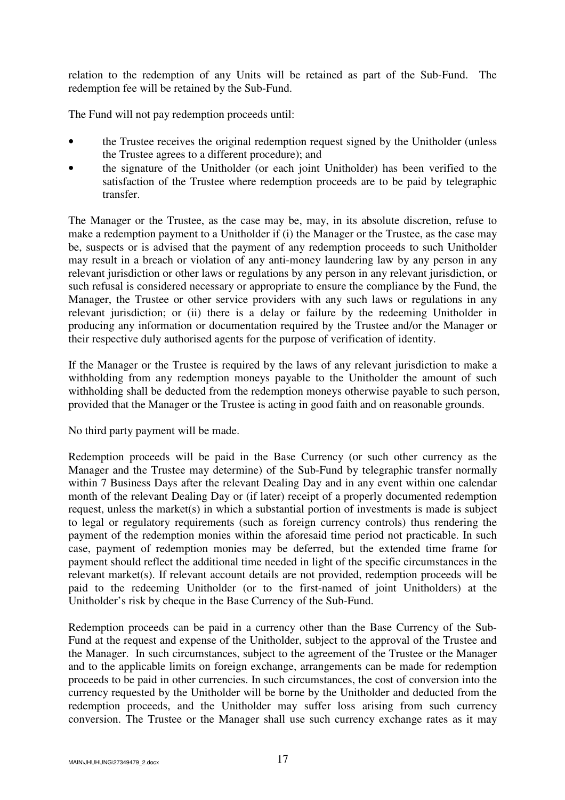relation to the redemption of any Units will be retained as part of the Sub-Fund. The redemption fee will be retained by the Sub-Fund.

The Fund will not pay redemption proceeds until:

- the Trustee receives the original redemption request signed by the Unitholder (unless the Trustee agrees to a different procedure); and
- the signature of the Unitholder (or each joint Unitholder) has been verified to the satisfaction of the Trustee where redemption proceeds are to be paid by telegraphic transfer.

The Manager or the Trustee, as the case may be, may, in its absolute discretion, refuse to make a redemption payment to a Unitholder if (i) the Manager or the Trustee, as the case may be, suspects or is advised that the payment of any redemption proceeds to such Unitholder may result in a breach or violation of any anti-money laundering law by any person in any relevant jurisdiction or other laws or regulations by any person in any relevant jurisdiction, or such refusal is considered necessary or appropriate to ensure the compliance by the Fund, the Manager, the Trustee or other service providers with any such laws or regulations in any relevant jurisdiction; or (ii) there is a delay or failure by the redeeming Unitholder in producing any information or documentation required by the Trustee and/or the Manager or their respective duly authorised agents for the purpose of verification of identity.

If the Manager or the Trustee is required by the laws of any relevant jurisdiction to make a withholding from any redemption moneys payable to the Unitholder the amount of such withholding shall be deducted from the redemption moneys otherwise payable to such person, provided that the Manager or the Trustee is acting in good faith and on reasonable grounds.

No third party payment will be made.

Redemption proceeds will be paid in the Base Currency (or such other currency as the Manager and the Trustee may determine) of the Sub-Fund by telegraphic transfer normally within 7 Business Days after the relevant Dealing Day and in any event within one calendar month of the relevant Dealing Day or (if later) receipt of a properly documented redemption request, unless the market(s) in which a substantial portion of investments is made is subject to legal or regulatory requirements (such as foreign currency controls) thus rendering the payment of the redemption monies within the aforesaid time period not practicable. In such case, payment of redemption monies may be deferred, but the extended time frame for payment should reflect the additional time needed in light of the specific circumstances in the relevant market(s). If relevant account details are not provided, redemption proceeds will be paid to the redeeming Unitholder (or to the first-named of joint Unitholders) at the Unitholder's risk by cheque in the Base Currency of the Sub-Fund.

Redemption proceeds can be paid in a currency other than the Base Currency of the Sub-Fund at the request and expense of the Unitholder, subject to the approval of the Trustee and the Manager. In such circumstances, subject to the agreement of the Trustee or the Manager and to the applicable limits on foreign exchange, arrangements can be made for redemption proceeds to be paid in other currencies. In such circumstances, the cost of conversion into the currency requested by the Unitholder will be borne by the Unitholder and deducted from the redemption proceeds, and the Unitholder may suffer loss arising from such currency conversion. The Trustee or the Manager shall use such currency exchange rates as it may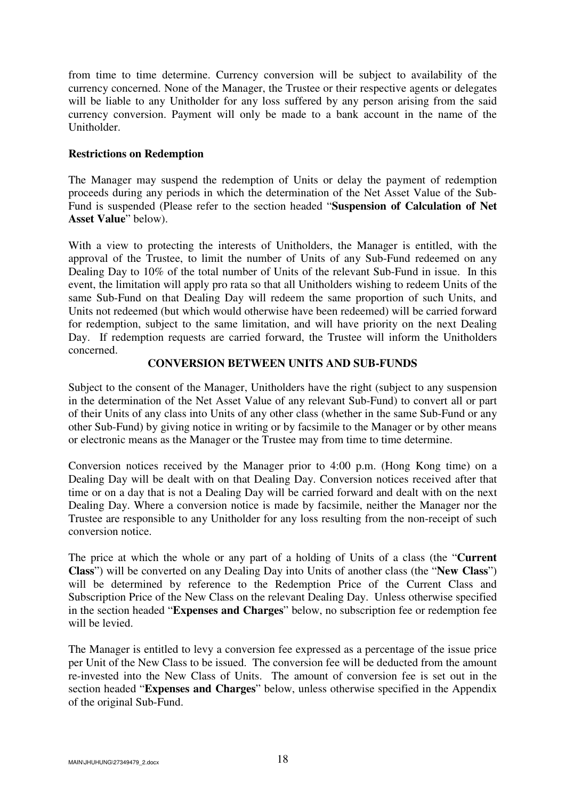from time to time determine. Currency conversion will be subject to availability of the currency concerned. None of the Manager, the Trustee or their respective agents or delegates will be liable to any Unitholder for any loss suffered by any person arising from the said currency conversion. Payment will only be made to a bank account in the name of the Unitholder.

## **Restrictions on Redemption**

The Manager may suspend the redemption of Units or delay the payment of redemption proceeds during any periods in which the determination of the Net Asset Value of the Sub-Fund is suspended (Please refer to the section headed "**Suspension of Calculation of Net Asset Value**" below).

With a view to protecting the interests of Unitholders, the Manager is entitled, with the approval of the Trustee, to limit the number of Units of any Sub-Fund redeemed on any Dealing Day to 10% of the total number of Units of the relevant Sub-Fund in issue. In this event, the limitation will apply pro rata so that all Unitholders wishing to redeem Units of the same Sub-Fund on that Dealing Day will redeem the same proportion of such Units, and Units not redeemed (but which would otherwise have been redeemed) will be carried forward for redemption, subject to the same limitation, and will have priority on the next Dealing Day. If redemption requests are carried forward, the Trustee will inform the Unitholders concerned.

## **CONVERSION BETWEEN UNITS AND SUB-FUNDS**

Subject to the consent of the Manager, Unitholders have the right (subject to any suspension in the determination of the Net Asset Value of any relevant Sub-Fund) to convert all or part of their Units of any class into Units of any other class (whether in the same Sub-Fund or any other Sub-Fund) by giving notice in writing or by facsimile to the Manager or by other means or electronic means as the Manager or the Trustee may from time to time determine.

Conversion notices received by the Manager prior to 4:00 p.m. (Hong Kong time) on a Dealing Day will be dealt with on that Dealing Day. Conversion notices received after that time or on a day that is not a Dealing Day will be carried forward and dealt with on the next Dealing Day. Where a conversion notice is made by facsimile, neither the Manager nor the Trustee are responsible to any Unitholder for any loss resulting from the non-receipt of such conversion notice.

The price at which the whole or any part of a holding of Units of a class (the "**Current Class**") will be converted on any Dealing Day into Units of another class (the "**New Class**") will be determined by reference to the Redemption Price of the Current Class and Subscription Price of the New Class on the relevant Dealing Day. Unless otherwise specified in the section headed "**Expenses and Charges**" below, no subscription fee or redemption fee will be levied.

The Manager is entitled to levy a conversion fee expressed as a percentage of the issue price per Unit of the New Class to be issued. The conversion fee will be deducted from the amount re-invested into the New Class of Units. The amount of conversion fee is set out in the section headed "**Expenses and Charges**" below, unless otherwise specified in the Appendix of the original Sub-Fund.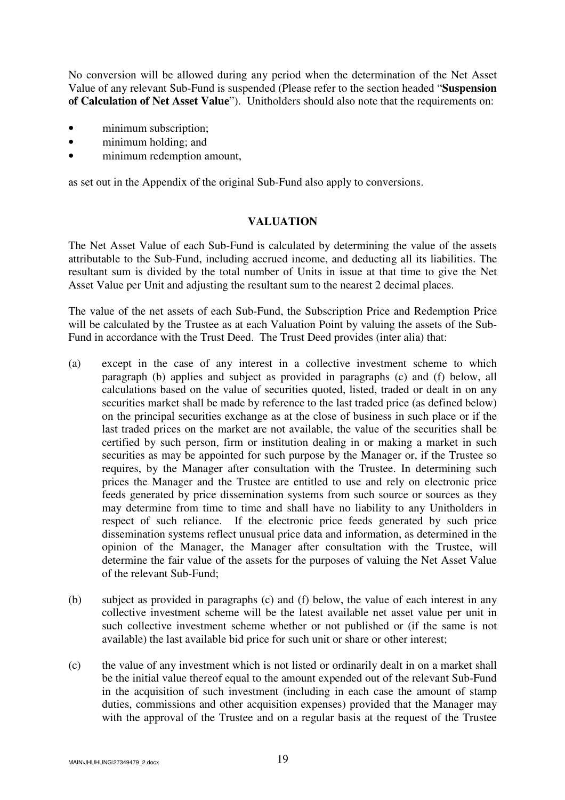No conversion will be allowed during any period when the determination of the Net Asset Value of any relevant Sub-Fund is suspended (Please refer to the section headed "**Suspension of Calculation of Net Asset Value**"). Unitholders should also note that the requirements on:

- minimum subscription;
- minimum holding; and
- minimum redemption amount,

as set out in the Appendix of the original Sub-Fund also apply to conversions.

### **VALUATION**

The Net Asset Value of each Sub-Fund is calculated by determining the value of the assets attributable to the Sub-Fund, including accrued income, and deducting all its liabilities. The resultant sum is divided by the total number of Units in issue at that time to give the Net Asset Value per Unit and adjusting the resultant sum to the nearest 2 decimal places.

The value of the net assets of each Sub-Fund, the Subscription Price and Redemption Price will be calculated by the Trustee as at each Valuation Point by valuing the assets of the Sub-Fund in accordance with the Trust Deed. The Trust Deed provides (inter alia) that:

- (a) except in the case of any interest in a collective investment scheme to which paragraph (b) applies and subject as provided in paragraphs (c) and (f) below, all calculations based on the value of securities quoted, listed, traded or dealt in on any securities market shall be made by reference to the last traded price (as defined below) on the principal securities exchange as at the close of business in such place or if the last traded prices on the market are not available, the value of the securities shall be certified by such person, firm or institution dealing in or making a market in such securities as may be appointed for such purpose by the Manager or, if the Trustee so requires, by the Manager after consultation with the Trustee. In determining such prices the Manager and the Trustee are entitled to use and rely on electronic price feeds generated by price dissemination systems from such source or sources as they may determine from time to time and shall have no liability to any Unitholders in respect of such reliance. If the electronic price feeds generated by such price dissemination systems reflect unusual price data and information, as determined in the opinion of the Manager, the Manager after consultation with the Trustee, will determine the fair value of the assets for the purposes of valuing the Net Asset Value of the relevant Sub-Fund;
- (b) subject as provided in paragraphs (c) and (f) below, the value of each interest in any collective investment scheme will be the latest available net asset value per unit in such collective investment scheme whether or not published or (if the same is not available) the last available bid price for such unit or share or other interest;
- (c) the value of any investment which is not listed or ordinarily dealt in on a market shall be the initial value thereof equal to the amount expended out of the relevant Sub-Fund in the acquisition of such investment (including in each case the amount of stamp duties, commissions and other acquisition expenses) provided that the Manager may with the approval of the Trustee and on a regular basis at the request of the Trustee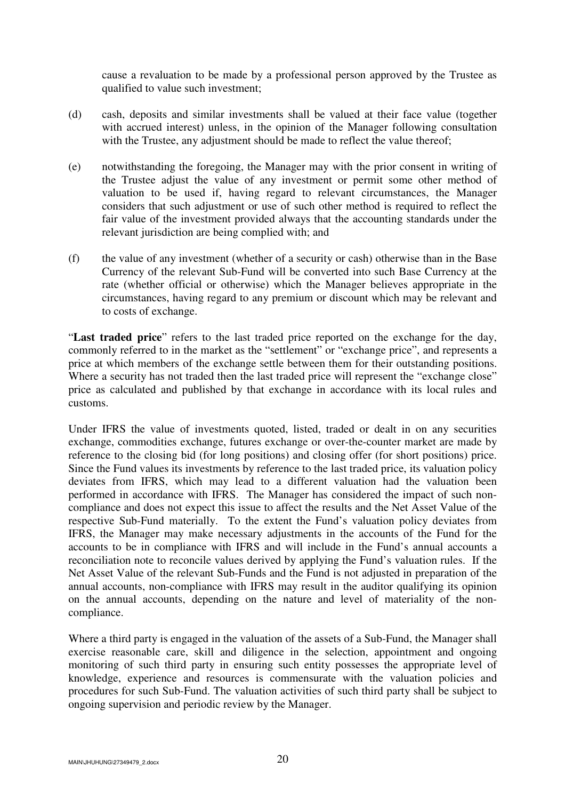cause a revaluation to be made by a professional person approved by the Trustee as qualified to value such investment;

- (d) cash, deposits and similar investments shall be valued at their face value (together with accrued interest) unless, in the opinion of the Manager following consultation with the Trustee, any adjustment should be made to reflect the value thereof;
- (e) notwithstanding the foregoing, the Manager may with the prior consent in writing of the Trustee adjust the value of any investment or permit some other method of valuation to be used if, having regard to relevant circumstances, the Manager considers that such adjustment or use of such other method is required to reflect the fair value of the investment provided always that the accounting standards under the relevant jurisdiction are being complied with; and
- (f) the value of any investment (whether of a security or cash) otherwise than in the Base Currency of the relevant Sub-Fund will be converted into such Base Currency at the rate (whether official or otherwise) which the Manager believes appropriate in the circumstances, having regard to any premium or discount which may be relevant and to costs of exchange.

"**Last traded price**" refers to the last traded price reported on the exchange for the day, commonly referred to in the market as the "settlement" or "exchange price", and represents a price at which members of the exchange settle between them for their outstanding positions. Where a security has not traded then the last traded price will represent the "exchange close" price as calculated and published by that exchange in accordance with its local rules and customs.

Under IFRS the value of investments quoted, listed, traded or dealt in on any securities exchange, commodities exchange, futures exchange or over-the-counter market are made by reference to the closing bid (for long positions) and closing offer (for short positions) price. Since the Fund values its investments by reference to the last traded price, its valuation policy deviates from IFRS, which may lead to a different valuation had the valuation been performed in accordance with IFRS. The Manager has considered the impact of such noncompliance and does not expect this issue to affect the results and the Net Asset Value of the respective Sub-Fund materially. To the extent the Fund's valuation policy deviates from IFRS, the Manager may make necessary adjustments in the accounts of the Fund for the accounts to be in compliance with IFRS and will include in the Fund's annual accounts a reconciliation note to reconcile values derived by applying the Fund's valuation rules. If the Net Asset Value of the relevant Sub-Funds and the Fund is not adjusted in preparation of the annual accounts, non-compliance with IFRS may result in the auditor qualifying its opinion on the annual accounts, depending on the nature and level of materiality of the noncompliance.

Where a third party is engaged in the valuation of the assets of a Sub-Fund, the Manager shall exercise reasonable care, skill and diligence in the selection, appointment and ongoing monitoring of such third party in ensuring such entity possesses the appropriate level of knowledge, experience and resources is commensurate with the valuation policies and procedures for such Sub-Fund. The valuation activities of such third party shall be subject to ongoing supervision and periodic review by the Manager.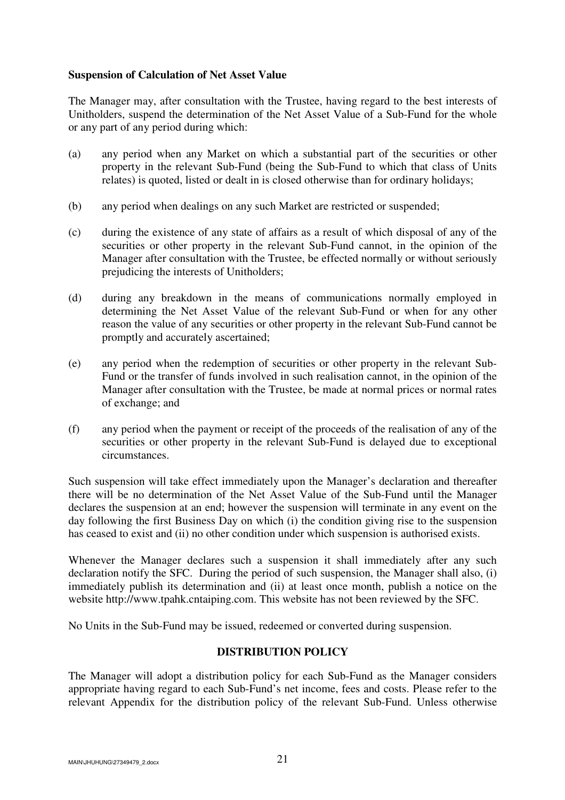## **Suspension of Calculation of Net Asset Value**

The Manager may, after consultation with the Trustee, having regard to the best interests of Unitholders, suspend the determination of the Net Asset Value of a Sub-Fund for the whole or any part of any period during which:

- (a) any period when any Market on which a substantial part of the securities or other property in the relevant Sub-Fund (being the Sub-Fund to which that class of Units relates) is quoted, listed or dealt in is closed otherwise than for ordinary holidays;
- (b) any period when dealings on any such Market are restricted or suspended;
- (c) during the existence of any state of affairs as a result of which disposal of any of the securities or other property in the relevant Sub-Fund cannot, in the opinion of the Manager after consultation with the Trustee, be effected normally or without seriously prejudicing the interests of Unitholders;
- (d) during any breakdown in the means of communications normally employed in determining the Net Asset Value of the relevant Sub-Fund or when for any other reason the value of any securities or other property in the relevant Sub-Fund cannot be promptly and accurately ascertained;
- (e) any period when the redemption of securities or other property in the relevant Sub-Fund or the transfer of funds involved in such realisation cannot, in the opinion of the Manager after consultation with the Trustee, be made at normal prices or normal rates of exchange; and
- (f) any period when the payment or receipt of the proceeds of the realisation of any of the securities or other property in the relevant Sub-Fund is delayed due to exceptional circumstances.

Such suspension will take effect immediately upon the Manager's declaration and thereafter there will be no determination of the Net Asset Value of the Sub-Fund until the Manager declares the suspension at an end; however the suspension will terminate in any event on the day following the first Business Day on which (i) the condition giving rise to the suspension has ceased to exist and (ii) no other condition under which suspension is authorised exists.

Whenever the Manager declares such a suspension it shall immediately after any such declaration notify the SFC. During the period of such suspension, the Manager shall also, (i) immediately publish its determination and (ii) at least once month, publish a notice on the website http://www.tpahk.cntaiping.com. This website has not been reviewed by the SFC.

No Units in the Sub-Fund may be issued, redeemed or converted during suspension.

# **DISTRIBUTION POLICY**

The Manager will adopt a distribution policy for each Sub-Fund as the Manager considers appropriate having regard to each Sub-Fund's net income, fees and costs. Please refer to the relevant Appendix for the distribution policy of the relevant Sub-Fund. Unless otherwise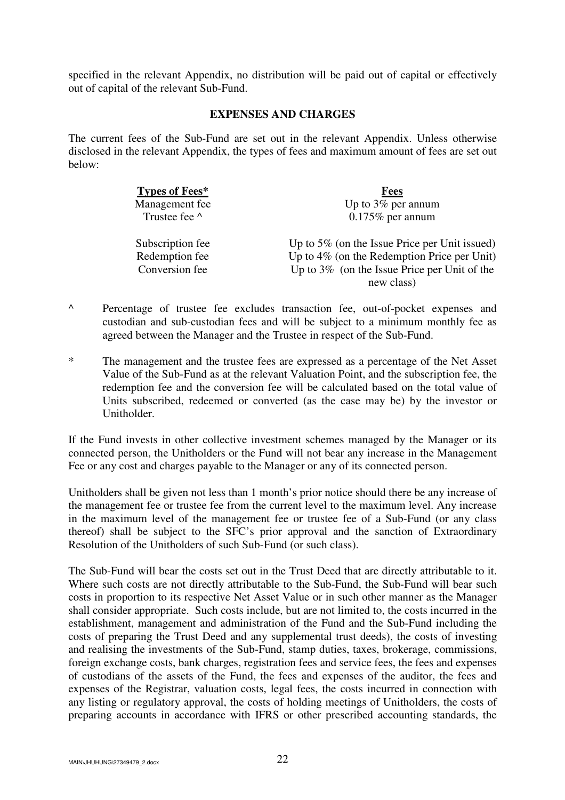specified in the relevant Appendix, no distribution will be paid out of capital or effectively out of capital of the relevant Sub-Fund.

### **EXPENSES AND CHARGES**

The current fees of the Sub-Fund are set out in the relevant Appendix. Unless otherwise disclosed in the relevant Appendix, the types of fees and maximum amount of fees are set out below:

| Types of Fees*   | Fees                                             |
|------------------|--------------------------------------------------|
| Management fee   | Up to $3\%$ per annum                            |
| Trustee fee ^    | $0.175\%$ per annum                              |
| Subscription fee | Up to $5\%$ (on the Issue Price per Unit issued) |
| Redemption fee   | Up to $4\%$ (on the Redemption Price per Unit)   |
| Conversion fee   | Up to $3\%$ (on the Issue Price per Unit of the  |
|                  | new class)                                       |

- ^ Percentage of trustee fee excludes transaction fee, out-of-pocket expenses and custodian and sub-custodian fees and will be subject to a minimum monthly fee as agreed between the Manager and the Trustee in respect of the Sub-Fund.
- \* The management and the trustee fees are expressed as a percentage of the Net Asset Value of the Sub-Fund as at the relevant Valuation Point, and the subscription fee, the redemption fee and the conversion fee will be calculated based on the total value of Units subscribed, redeemed or converted (as the case may be) by the investor or Unitholder.

If the Fund invests in other collective investment schemes managed by the Manager or its connected person, the Unitholders or the Fund will not bear any increase in the Management Fee or any cost and charges payable to the Manager or any of its connected person.

Unitholders shall be given not less than 1 month's prior notice should there be any increase of the management fee or trustee fee from the current level to the maximum level. Any increase in the maximum level of the management fee or trustee fee of a Sub-Fund (or any class thereof) shall be subject to the SFC's prior approval and the sanction of Extraordinary Resolution of the Unitholders of such Sub-Fund (or such class).

The Sub-Fund will bear the costs set out in the Trust Deed that are directly attributable to it. Where such costs are not directly attributable to the Sub-Fund, the Sub-Fund will bear such costs in proportion to its respective Net Asset Value or in such other manner as the Manager shall consider appropriate. Such costs include, but are not limited to, the costs incurred in the establishment, management and administration of the Fund and the Sub-Fund including the costs of preparing the Trust Deed and any supplemental trust deeds), the costs of investing and realising the investments of the Sub-Fund, stamp duties, taxes, brokerage, commissions, foreign exchange costs, bank charges, registration fees and service fees, the fees and expenses of custodians of the assets of the Fund, the fees and expenses of the auditor, the fees and expenses of the Registrar, valuation costs, legal fees, the costs incurred in connection with any listing or regulatory approval, the costs of holding meetings of Unitholders, the costs of preparing accounts in accordance with IFRS or other prescribed accounting standards, the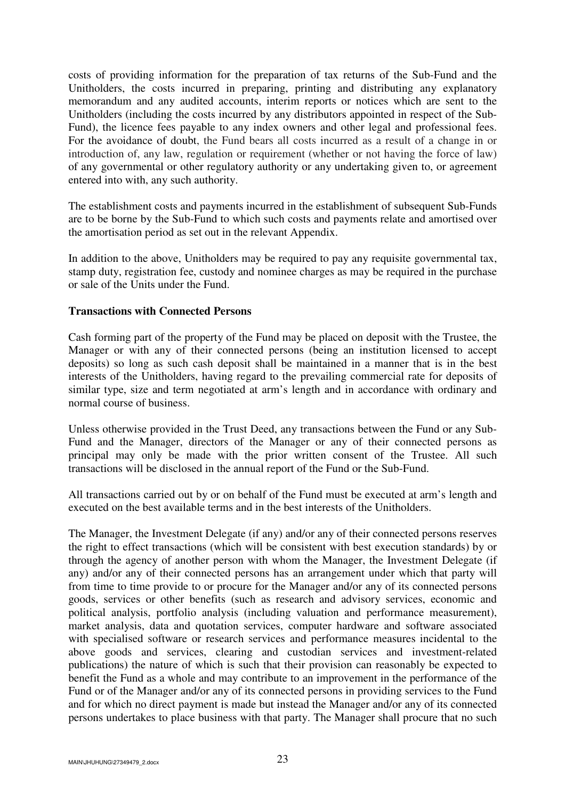costs of providing information for the preparation of tax returns of the Sub-Fund and the Unitholders, the costs incurred in preparing, printing and distributing any explanatory memorandum and any audited accounts, interim reports or notices which are sent to the Unitholders (including the costs incurred by any distributors appointed in respect of the Sub-Fund), the licence fees payable to any index owners and other legal and professional fees. For the avoidance of doubt, the Fund bears all costs incurred as a result of a change in or introduction of, any law, regulation or requirement (whether or not having the force of law) of any governmental or other regulatory authority or any undertaking given to, or agreement entered into with, any such authority.

The establishment costs and payments incurred in the establishment of subsequent Sub-Funds are to be borne by the Sub-Fund to which such costs and payments relate and amortised over the amortisation period as set out in the relevant Appendix.

In addition to the above, Unitholders may be required to pay any requisite governmental tax, stamp duty, registration fee, custody and nominee charges as may be required in the purchase or sale of the Units under the Fund.

### **Transactions with Connected Persons**

Cash forming part of the property of the Fund may be placed on deposit with the Trustee, the Manager or with any of their connected persons (being an institution licensed to accept deposits) so long as such cash deposit shall be maintained in a manner that is in the best interests of the Unitholders, having regard to the prevailing commercial rate for deposits of similar type, size and term negotiated at arm's length and in accordance with ordinary and normal course of business.

Unless otherwise provided in the Trust Deed, any transactions between the Fund or any Sub-Fund and the Manager, directors of the Manager or any of their connected persons as principal may only be made with the prior written consent of the Trustee. All such transactions will be disclosed in the annual report of the Fund or the Sub-Fund.

All transactions carried out by or on behalf of the Fund must be executed at arm's length and executed on the best available terms and in the best interests of the Unitholders.

The Manager, the Investment Delegate (if any) and/or any of their connected persons reserves the right to effect transactions (which will be consistent with best execution standards) by or through the agency of another person with whom the Manager, the Investment Delegate (if any) and/or any of their connected persons has an arrangement under which that party will from time to time provide to or procure for the Manager and/or any of its connected persons goods, services or other benefits (such as research and advisory services, economic and political analysis, portfolio analysis (including valuation and performance measurement), market analysis, data and quotation services, computer hardware and software associated with specialised software or research services and performance measures incidental to the above goods and services, clearing and custodian services and investment-related publications) the nature of which is such that their provision can reasonably be expected to benefit the Fund as a whole and may contribute to an improvement in the performance of the Fund or of the Manager and/or any of its connected persons in providing services to the Fund and for which no direct payment is made but instead the Manager and/or any of its connected persons undertakes to place business with that party. The Manager shall procure that no such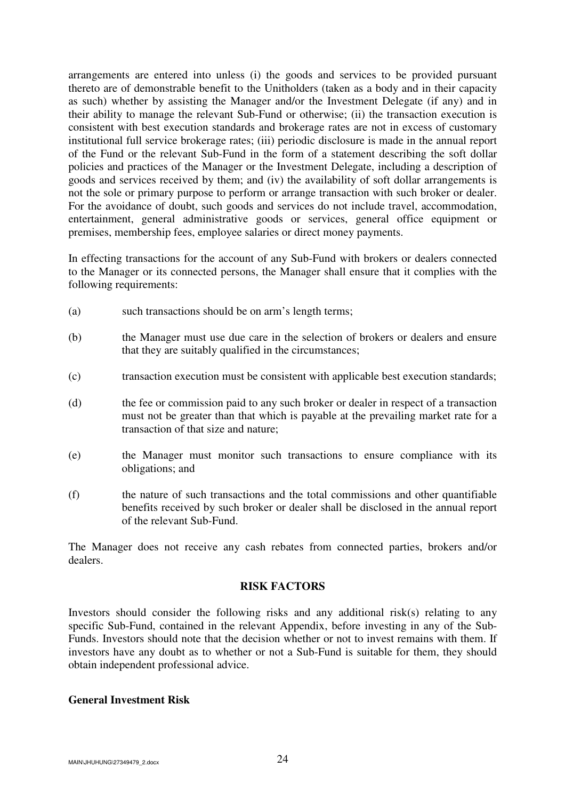arrangements are entered into unless (i) the goods and services to be provided pursuant thereto are of demonstrable benefit to the Unitholders (taken as a body and in their capacity as such) whether by assisting the Manager and/or the Investment Delegate (if any) and in their ability to manage the relevant Sub-Fund or otherwise; (ii) the transaction execution is consistent with best execution standards and brokerage rates are not in excess of customary institutional full service brokerage rates; (iii) periodic disclosure is made in the annual report of the Fund or the relevant Sub-Fund in the form of a statement describing the soft dollar policies and practices of the Manager or the Investment Delegate, including a description of goods and services received by them; and (iv) the availability of soft dollar arrangements is not the sole or primary purpose to perform or arrange transaction with such broker or dealer. For the avoidance of doubt, such goods and services do not include travel, accommodation, entertainment, general administrative goods or services, general office equipment or premises, membership fees, employee salaries or direct money payments.

In effecting transactions for the account of any Sub-Fund with brokers or dealers connected to the Manager or its connected persons, the Manager shall ensure that it complies with the following requirements:

- (a) such transactions should be on arm's length terms;
- (b) the Manager must use due care in the selection of brokers or dealers and ensure that they are suitably qualified in the circumstances;
- (c) transaction execution must be consistent with applicable best execution standards;
- (d) the fee or commission paid to any such broker or dealer in respect of a transaction must not be greater than that which is payable at the prevailing market rate for a transaction of that size and nature;
- (e) the Manager must monitor such transactions to ensure compliance with its obligations; and
- (f) the nature of such transactions and the total commissions and other quantifiable benefits received by such broker or dealer shall be disclosed in the annual report of the relevant Sub-Fund.

The Manager does not receive any cash rebates from connected parties, brokers and/or dealers.

### **RISK FACTORS**

Investors should consider the following risks and any additional risk(s) relating to any specific Sub-Fund, contained in the relevant Appendix, before investing in any of the Sub-Funds. Investors should note that the decision whether or not to invest remains with them. If investors have any doubt as to whether or not a Sub-Fund is suitable for them, they should obtain independent professional advice.

### **General Investment Risk**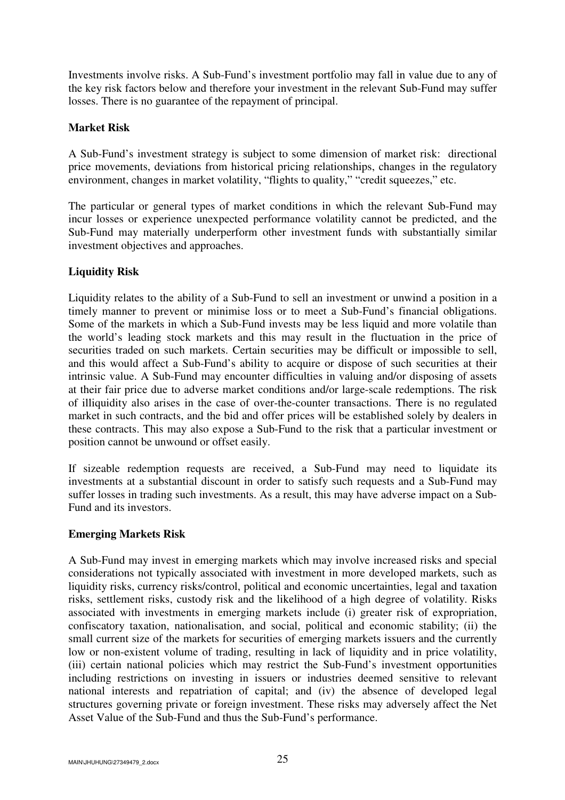Investments involve risks. A Sub-Fund's investment portfolio may fall in value due to any of the key risk factors below and therefore your investment in the relevant Sub-Fund may suffer losses. There is no guarantee of the repayment of principal.

## **Market Risk**

A Sub-Fund's investment strategy is subject to some dimension of market risk: directional price movements, deviations from historical pricing relationships, changes in the regulatory environment, changes in market volatility, "flights to quality," "credit squeezes," etc.

The particular or general types of market conditions in which the relevant Sub-Fund may incur losses or experience unexpected performance volatility cannot be predicted, and the Sub-Fund may materially underperform other investment funds with substantially similar investment objectives and approaches.

# **Liquidity Risk**

Liquidity relates to the ability of a Sub-Fund to sell an investment or unwind a position in a timely manner to prevent or minimise loss or to meet a Sub-Fund's financial obligations. Some of the markets in which a Sub-Fund invests may be less liquid and more volatile than the world's leading stock markets and this may result in the fluctuation in the price of securities traded on such markets. Certain securities may be difficult or impossible to sell, and this would affect a Sub-Fund's ability to acquire or dispose of such securities at their intrinsic value. A Sub-Fund may encounter difficulties in valuing and/or disposing of assets at their fair price due to adverse market conditions and/or large-scale redemptions. The risk of illiquidity also arises in the case of over-the-counter transactions. There is no regulated market in such contracts, and the bid and offer prices will be established solely by dealers in these contracts. This may also expose a Sub-Fund to the risk that a particular investment or position cannot be unwound or offset easily.

If sizeable redemption requests are received, a Sub-Fund may need to liquidate its investments at a substantial discount in order to satisfy such requests and a Sub-Fund may suffer losses in trading such investments. As a result, this may have adverse impact on a Sub-Fund and its investors.

### **Emerging Markets Risk**

A Sub-Fund may invest in emerging markets which may involve increased risks and special considerations not typically associated with investment in more developed markets, such as liquidity risks, currency risks/control, political and economic uncertainties, legal and taxation risks, settlement risks, custody risk and the likelihood of a high degree of volatility. Risks associated with investments in emerging markets include (i) greater risk of expropriation, confiscatory taxation, nationalisation, and social, political and economic stability; (ii) the small current size of the markets for securities of emerging markets issuers and the currently low or non-existent volume of trading, resulting in lack of liquidity and in price volatility, (iii) certain national policies which may restrict the Sub-Fund's investment opportunities including restrictions on investing in issuers or industries deemed sensitive to relevant national interests and repatriation of capital; and (iv) the absence of developed legal structures governing private or foreign investment. These risks may adversely affect the Net Asset Value of the Sub-Fund and thus the Sub-Fund's performance.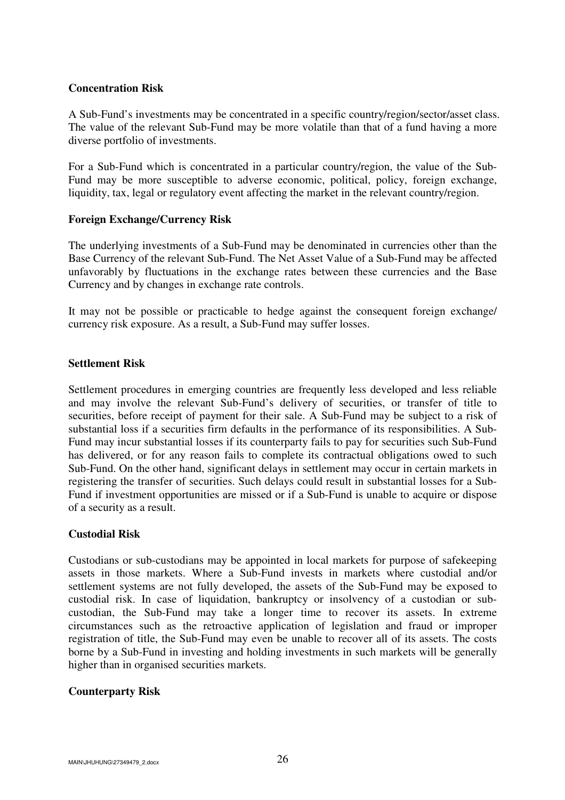#### **Concentration Risk**

A Sub-Fund's investments may be concentrated in a specific country/region/sector/asset class. The value of the relevant Sub-Fund may be more volatile than that of a fund having a more diverse portfolio of investments.

For a Sub-Fund which is concentrated in a particular country/region, the value of the Sub-Fund may be more susceptible to adverse economic, political, policy, foreign exchange, liquidity, tax, legal or regulatory event affecting the market in the relevant country/region.

#### **Foreign Exchange/Currency Risk**

The underlying investments of a Sub-Fund may be denominated in currencies other than the Base Currency of the relevant Sub-Fund. The Net Asset Value of a Sub-Fund may be affected unfavorably by fluctuations in the exchange rates between these currencies and the Base Currency and by changes in exchange rate controls.

It may not be possible or practicable to hedge against the consequent foreign exchange/ currency risk exposure. As a result, a Sub-Fund may suffer losses.

#### **Settlement Risk**

Settlement procedures in emerging countries are frequently less developed and less reliable and may involve the relevant Sub-Fund's delivery of securities, or transfer of title to securities, before receipt of payment for their sale. A Sub-Fund may be subject to a risk of substantial loss if a securities firm defaults in the performance of its responsibilities. A Sub-Fund may incur substantial losses if its counterparty fails to pay for securities such Sub-Fund has delivered, or for any reason fails to complete its contractual obligations owed to such Sub-Fund. On the other hand, significant delays in settlement may occur in certain markets in registering the transfer of securities. Such delays could result in substantial losses for a Sub-Fund if investment opportunities are missed or if a Sub-Fund is unable to acquire or dispose of a security as a result.

### **Custodial Risk**

Custodians or sub-custodians may be appointed in local markets for purpose of safekeeping assets in those markets. Where a Sub-Fund invests in markets where custodial and/or settlement systems are not fully developed, the assets of the Sub-Fund may be exposed to custodial risk. In case of liquidation, bankruptcy or insolvency of a custodian or subcustodian, the Sub-Fund may take a longer time to recover its assets. In extreme circumstances such as the retroactive application of legislation and fraud or improper registration of title, the Sub-Fund may even be unable to recover all of its assets. The costs borne by a Sub-Fund in investing and holding investments in such markets will be generally higher than in organised securities markets.

### **Counterparty Risk**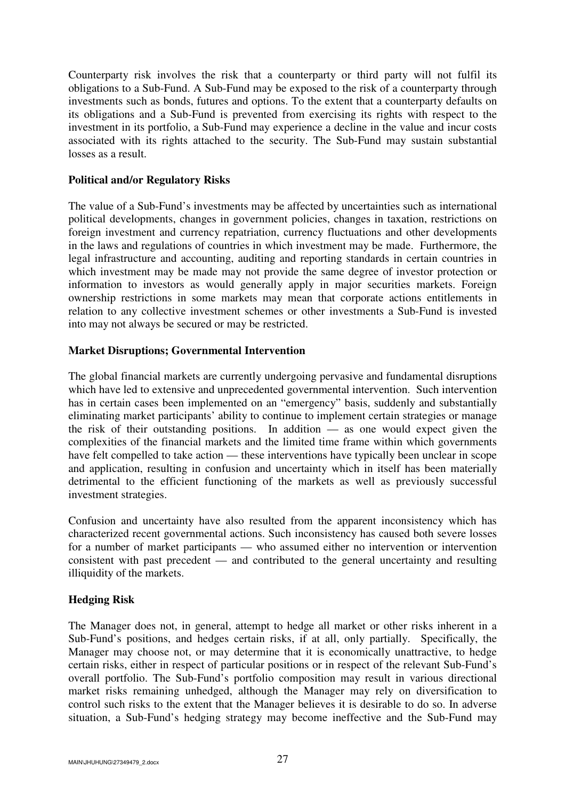Counterparty risk involves the risk that a counterparty or third party will not fulfil its obligations to a Sub-Fund. A Sub-Fund may be exposed to the risk of a counterparty through investments such as bonds, futures and options. To the extent that a counterparty defaults on its obligations and a Sub-Fund is prevented from exercising its rights with respect to the investment in its portfolio, a Sub-Fund may experience a decline in the value and incur costs associated with its rights attached to the security. The Sub-Fund may sustain substantial losses as a result.

## **Political and/or Regulatory Risks**

The value of a Sub-Fund's investments may be affected by uncertainties such as international political developments, changes in government policies, changes in taxation, restrictions on foreign investment and currency repatriation, currency fluctuations and other developments in the laws and regulations of countries in which investment may be made. Furthermore, the legal infrastructure and accounting, auditing and reporting standards in certain countries in which investment may be made may not provide the same degree of investor protection or information to investors as would generally apply in major securities markets. Foreign ownership restrictions in some markets may mean that corporate actions entitlements in relation to any collective investment schemes or other investments a Sub-Fund is invested into may not always be secured or may be restricted.

## **Market Disruptions; Governmental Intervention**

The global financial markets are currently undergoing pervasive and fundamental disruptions which have led to extensive and unprecedented governmental intervention. Such intervention has in certain cases been implemented on an "emergency" basis, suddenly and substantially eliminating market participants' ability to continue to implement certain strategies or manage the risk of their outstanding positions. In addition — as one would expect given the complexities of the financial markets and the limited time frame within which governments have felt compelled to take action — these interventions have typically been unclear in scope and application, resulting in confusion and uncertainty which in itself has been materially detrimental to the efficient functioning of the markets as well as previously successful investment strategies.

Confusion and uncertainty have also resulted from the apparent inconsistency which has characterized recent governmental actions. Such inconsistency has caused both severe losses for a number of market participants — who assumed either no intervention or intervention consistent with past precedent — and contributed to the general uncertainty and resulting illiquidity of the markets.

# **Hedging Risk**

The Manager does not, in general, attempt to hedge all market or other risks inherent in a Sub-Fund's positions, and hedges certain risks, if at all, only partially. Specifically, the Manager may choose not, or may determine that it is economically unattractive, to hedge certain risks, either in respect of particular positions or in respect of the relevant Sub-Fund's overall portfolio. The Sub-Fund's portfolio composition may result in various directional market risks remaining unhedged, although the Manager may rely on diversification to control such risks to the extent that the Manager believes it is desirable to do so. In adverse situation, a Sub-Fund's hedging strategy may become ineffective and the Sub-Fund may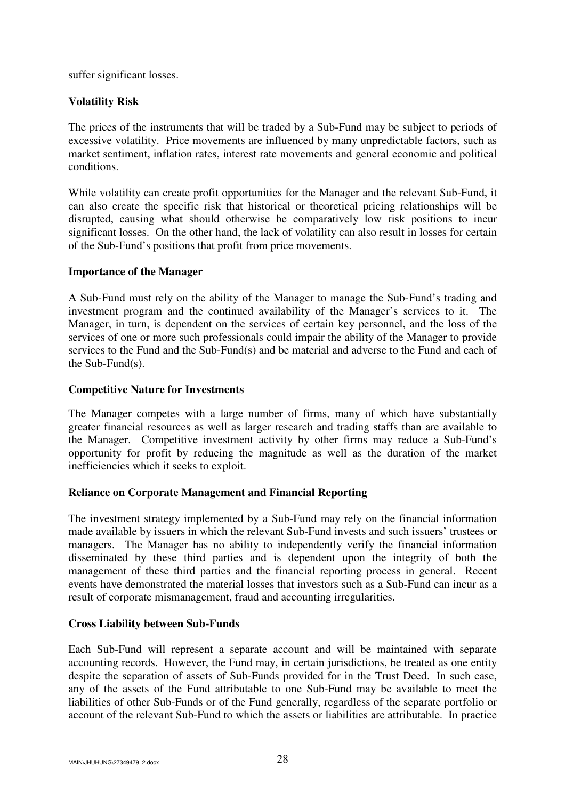suffer significant losses.

## **Volatility Risk**

The prices of the instruments that will be traded by a Sub-Fund may be subject to periods of excessive volatility. Price movements are influenced by many unpredictable factors, such as market sentiment, inflation rates, interest rate movements and general economic and political conditions.

While volatility can create profit opportunities for the Manager and the relevant Sub-Fund, it can also create the specific risk that historical or theoretical pricing relationships will be disrupted, causing what should otherwise be comparatively low risk positions to incur significant losses. On the other hand, the lack of volatility can also result in losses for certain of the Sub-Fund's positions that profit from price movements.

## **Importance of the Manager**

A Sub-Fund must rely on the ability of the Manager to manage the Sub-Fund's trading and investment program and the continued availability of the Manager's services to it. The Manager, in turn, is dependent on the services of certain key personnel, and the loss of the services of one or more such professionals could impair the ability of the Manager to provide services to the Fund and the Sub-Fund(s) and be material and adverse to the Fund and each of the Sub-Fund(s).

## **Competitive Nature for Investments**

The Manager competes with a large number of firms, many of which have substantially greater financial resources as well as larger research and trading staffs than are available to the Manager. Competitive investment activity by other firms may reduce a Sub-Fund's opportunity for profit by reducing the magnitude as well as the duration of the market inefficiencies which it seeks to exploit.

# **Reliance on Corporate Management and Financial Reporting**

The investment strategy implemented by a Sub-Fund may rely on the financial information made available by issuers in which the relevant Sub-Fund invests and such issuers' trustees or managers. The Manager has no ability to independently verify the financial information disseminated by these third parties and is dependent upon the integrity of both the management of these third parties and the financial reporting process in general. Recent events have demonstrated the material losses that investors such as a Sub-Fund can incur as a result of corporate mismanagement, fraud and accounting irregularities.

# **Cross Liability between Sub-Funds**

Each Sub-Fund will represent a separate account and will be maintained with separate accounting records. However, the Fund may, in certain jurisdictions, be treated as one entity despite the separation of assets of Sub-Funds provided for in the Trust Deed. In such case, any of the assets of the Fund attributable to one Sub-Fund may be available to meet the liabilities of other Sub-Funds or of the Fund generally, regardless of the separate portfolio or account of the relevant Sub-Fund to which the assets or liabilities are attributable. In practice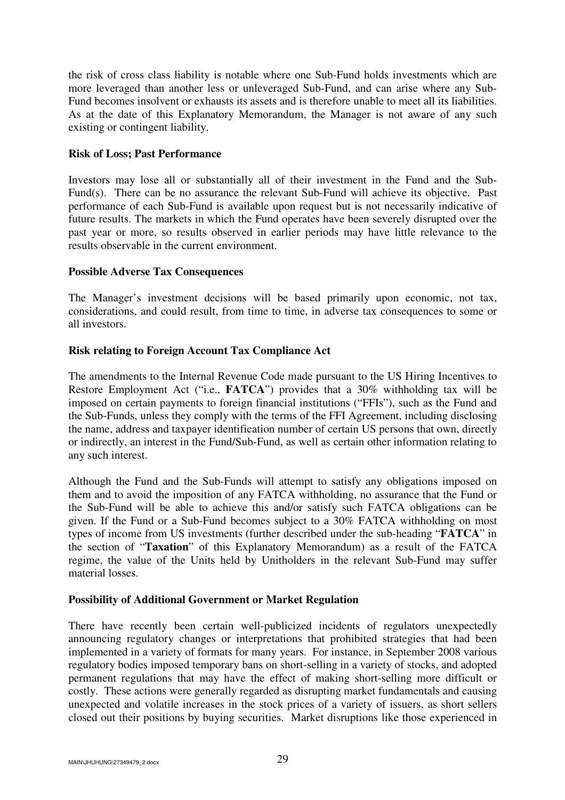the risk of cross class liability is notable where one Sub-Fund holds investments which are more leveraged than another less or unleveraged Sub-Fund, and can arise where any Sub-Fund becomes insolvent or exhausts its assets and is therefore unable to meet all its liabilities. As at the date of this Explanatory Memorandum, the Manager is not aware of any such existing or contingent liability.

## **Risk of Loss; Past Performance**

Investors may lose all or substantially all of their investment in the Fund and the Sub-Fund(s). There can be no assurance the relevant Sub-Fund will achieve its objective. Past performance of each Sub-Fund is available upon request but is not necessarily indicative of future results. The markets in which the Fund operates have been severely disrupted over the past year or more, so results observed in earlier periods may have little relevance to the results observable in the current environment.

## **Possible Adverse Tax Consequences**

The Manager's investment decisions will be based primarily upon economic, not tax, considerations, and could result, from time to time, in adverse tax consequences to some or all investors.

# **Risk relating to Foreign Account Tax Compliance Act**

The amendments to the Internal Revenue Code made pursuant to the US Hiring Incentives to Restore Employment Act ("i.e., **FATCA**") provides that a 30% withholding tax will be imposed on certain payments to foreign financial institutions ("FFIs"), such as the Fund and the Sub-Funds, unless they comply with the terms of the FFI Agreement, including disclosing the name, address and taxpayer identification number of certain US persons that own, directly or indirectly, an interest in the Fund/Sub-Fund, as well as certain other information relating to any such interest.

Although the Fund and the Sub-Funds will attempt to satisfy any obligations imposed on them and to avoid the imposition of any FATCA withholding, no assurance that the Fund or the Sub-Fund will be able to achieve this and/or satisfy such FATCA obligations can be given. If the Fund or a Sub-Fund becomes subject to a 30% FATCA withholding on most types of income from US investments (further described under the sub-heading "**FATCA**" in the section of "**Taxation**" of this Explanatory Memorandum) as a result of the FATCA regime, the value of the Units held by Unitholders in the relevant Sub-Fund may suffer material losses.

### **Possibility of Additional Government or Market Regulation**

There have recently been certain well-publicized incidents of regulators unexpectedly announcing regulatory changes or interpretations that prohibited strategies that had been implemented in a variety of formats for many years. For instance, in September 2008 various regulatory bodies imposed temporary bans on short-selling in a variety of stocks, and adopted permanent regulations that may have the effect of making short-selling more difficult or costly. These actions were generally regarded as disrupting market fundamentals and causing unexpected and volatile increases in the stock prices of a variety of issuers, as short sellers closed out their positions by buying securities. Market disruptions like those experienced in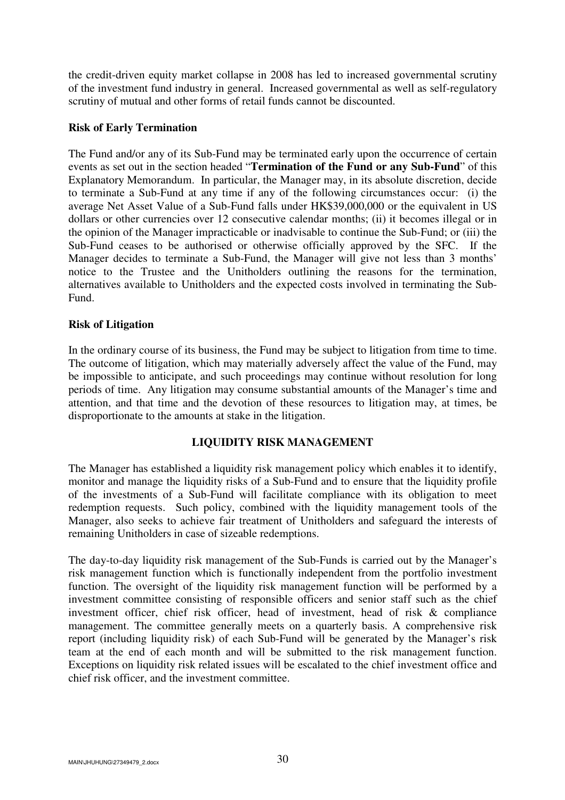the credit-driven equity market collapse in 2008 has led to increased governmental scrutiny of the investment fund industry in general. Increased governmental as well as self-regulatory scrutiny of mutual and other forms of retail funds cannot be discounted.

### **Risk of Early Termination**

The Fund and/or any of its Sub-Fund may be terminated early upon the occurrence of certain events as set out in the section headed "**Termination of the Fund or any Sub-Fund**" of this Explanatory Memorandum. In particular, the Manager may, in its absolute discretion, decide to terminate a Sub-Fund at any time if any of the following circumstances occur: (i) the average Net Asset Value of a Sub-Fund falls under HK\$39,000,000 or the equivalent in US dollars or other currencies over 12 consecutive calendar months; (ii) it becomes illegal or in the opinion of the Manager impracticable or inadvisable to continue the Sub-Fund; or (iii) the Sub-Fund ceases to be authorised or otherwise officially approved by the SFC. If the Manager decides to terminate a Sub-Fund, the Manager will give not less than 3 months' notice to the Trustee and the Unitholders outlining the reasons for the termination, alternatives available to Unitholders and the expected costs involved in terminating the Sub-Fund.

## **Risk of Litigation**

In the ordinary course of its business, the Fund may be subject to litigation from time to time. The outcome of litigation, which may materially adversely affect the value of the Fund, may be impossible to anticipate, and such proceedings may continue without resolution for long periods of time. Any litigation may consume substantial amounts of the Manager's time and attention, and that time and the devotion of these resources to litigation may, at times, be disproportionate to the amounts at stake in the litigation.

### **LIQUIDITY RISK MANAGEMENT**

The Manager has established a liquidity risk management policy which enables it to identify, monitor and manage the liquidity risks of a Sub-Fund and to ensure that the liquidity profile of the investments of a Sub-Fund will facilitate compliance with its obligation to meet redemption requests. Such policy, combined with the liquidity management tools of the Manager, also seeks to achieve fair treatment of Unitholders and safeguard the interests of remaining Unitholders in case of sizeable redemptions.

The day-to-day liquidity risk management of the Sub-Funds is carried out by the Manager's risk management function which is functionally independent from the portfolio investment function. The oversight of the liquidity risk management function will be performed by a investment committee consisting of responsible officers and senior staff such as the chief investment officer, chief risk officer, head of investment, head of risk & compliance management. The committee generally meets on a quarterly basis. A comprehensive risk report (including liquidity risk) of each Sub-Fund will be generated by the Manager's risk team at the end of each month and will be submitted to the risk management function. Exceptions on liquidity risk related issues will be escalated to the chief investment office and chief risk officer, and the investment committee.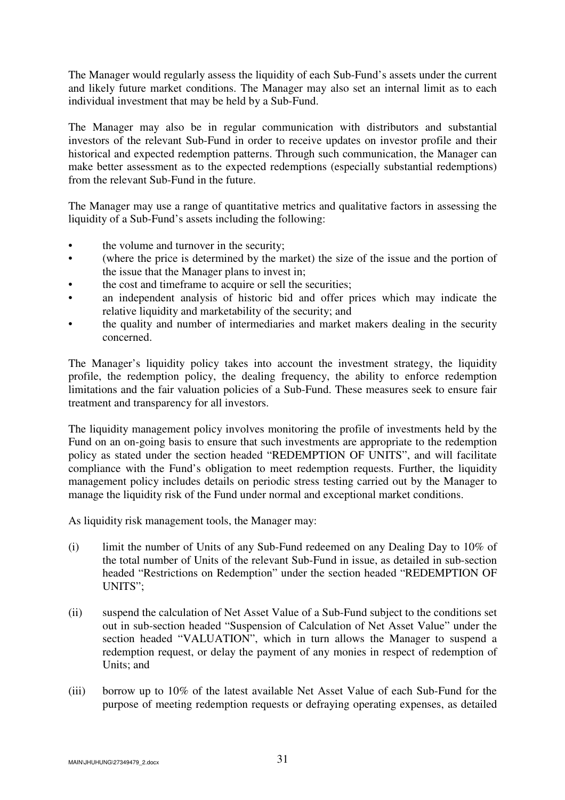The Manager would regularly assess the liquidity of each Sub-Fund's assets under the current and likely future market conditions. The Manager may also set an internal limit as to each individual investment that may be held by a Sub-Fund.

The Manager may also be in regular communication with distributors and substantial investors of the relevant Sub-Fund in order to receive updates on investor profile and their historical and expected redemption patterns. Through such communication, the Manager can make better assessment as to the expected redemptions (especially substantial redemptions) from the relevant Sub-Fund in the future.

The Manager may use a range of quantitative metrics and qualitative factors in assessing the liquidity of a Sub-Fund's assets including the following:

- the volume and turnover in the security;
- (where the price is determined by the market) the size of the issue and the portion of the issue that the Manager plans to invest in;
- the cost and timeframe to acquire or sell the securities;
- an independent analysis of historic bid and offer prices which may indicate the relative liquidity and marketability of the security; and
- the quality and number of intermediaries and market makers dealing in the security concerned.

The Manager's liquidity policy takes into account the investment strategy, the liquidity profile, the redemption policy, the dealing frequency, the ability to enforce redemption limitations and the fair valuation policies of a Sub-Fund. These measures seek to ensure fair treatment and transparency for all investors.

The liquidity management policy involves monitoring the profile of investments held by the Fund on an on-going basis to ensure that such investments are appropriate to the redemption policy as stated under the section headed "REDEMPTION OF UNITS", and will facilitate compliance with the Fund's obligation to meet redemption requests. Further, the liquidity management policy includes details on periodic stress testing carried out by the Manager to manage the liquidity risk of the Fund under normal and exceptional market conditions.

As liquidity risk management tools, the Manager may:

- (i) limit the number of Units of any Sub-Fund redeemed on any Dealing Day to 10% of the total number of Units of the relevant Sub-Fund in issue, as detailed in sub-section headed "Restrictions on Redemption" under the section headed "REDEMPTION OF UNITS";
- (ii) suspend the calculation of Net Asset Value of a Sub-Fund subject to the conditions set out in sub-section headed "Suspension of Calculation of Net Asset Value" under the section headed "VALUATION", which in turn allows the Manager to suspend a redemption request, or delay the payment of any monies in respect of redemption of Units; and
- (iii) borrow up to 10% of the latest available Net Asset Value of each Sub-Fund for the purpose of meeting redemption requests or defraying operating expenses, as detailed

MAIN\JHUHUNG\27349479\_2.docx  $31$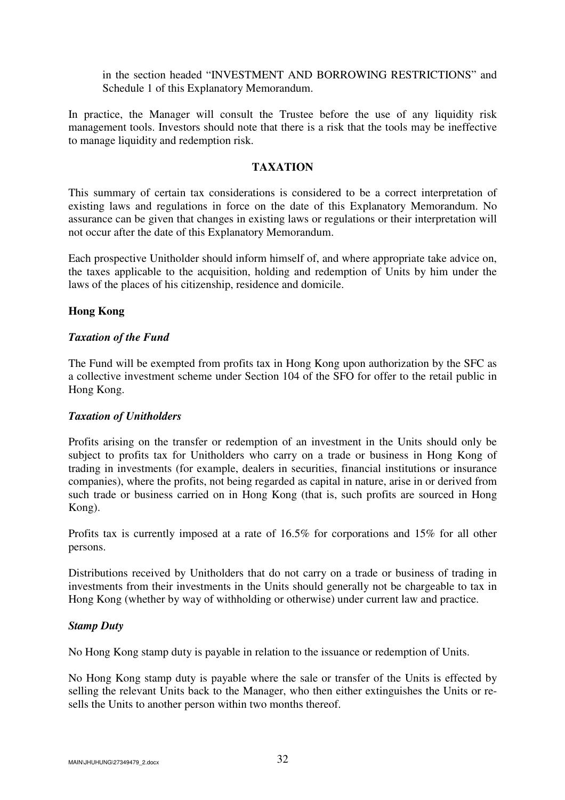in the section headed "INVESTMENT AND BORROWING RESTRICTIONS" and Schedule 1 of this Explanatory Memorandum.

In practice, the Manager will consult the Trustee before the use of any liquidity risk management tools. Investors should note that there is a risk that the tools may be ineffective to manage liquidity and redemption risk.

#### **TAXATION**

This summary of certain tax considerations is considered to be a correct interpretation of existing laws and regulations in force on the date of this Explanatory Memorandum. No assurance can be given that changes in existing laws or regulations or their interpretation will not occur after the date of this Explanatory Memorandum.

Each prospective Unitholder should inform himself of, and where appropriate take advice on, the taxes applicable to the acquisition, holding and redemption of Units by him under the laws of the places of his citizenship, residence and domicile.

#### **Hong Kong**

#### *Taxation of the Fund*

The Fund will be exempted from profits tax in Hong Kong upon authorization by the SFC as a collective investment scheme under Section 104 of the SFO for offer to the retail public in Hong Kong.

### *Taxation of Unitholders*

Profits arising on the transfer or redemption of an investment in the Units should only be subject to profits tax for Unitholders who carry on a trade or business in Hong Kong of trading in investments (for example, dealers in securities, financial institutions or insurance companies), where the profits, not being regarded as capital in nature, arise in or derived from such trade or business carried on in Hong Kong (that is, such profits are sourced in Hong Kong).

Profits tax is currently imposed at a rate of 16.5% for corporations and 15% for all other persons.

Distributions received by Unitholders that do not carry on a trade or business of trading in investments from their investments in the Units should generally not be chargeable to tax in Hong Kong (whether by way of withholding or otherwise) under current law and practice.

#### *Stamp Duty*

No Hong Kong stamp duty is payable in relation to the issuance or redemption of Units.

No Hong Kong stamp duty is payable where the sale or transfer of the Units is effected by selling the relevant Units back to the Manager, who then either extinguishes the Units or resells the Units to another person within two months thereof.

 $M$ AIN\JHUHUNG\27349479\_2.docx  $32$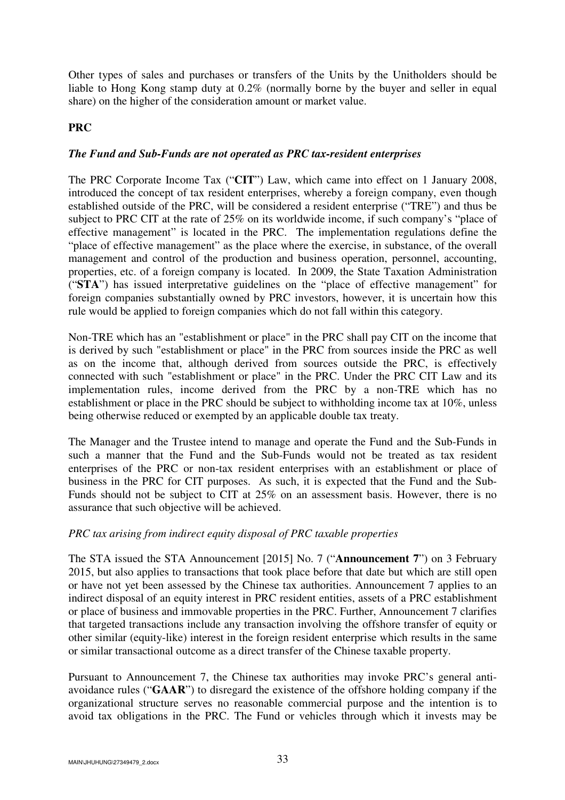Other types of sales and purchases or transfers of the Units by the Unitholders should be liable to Hong Kong stamp duty at 0.2% (normally borne by the buyer and seller in equal share) on the higher of the consideration amount or market value.

## **PRC**

## *The Fund and Sub-Funds are not operated as PRC tax-resident enterprises*

The PRC Corporate Income Tax ("**CIT**") Law, which came into effect on 1 January 2008, introduced the concept of tax resident enterprises, whereby a foreign company, even though established outside of the PRC, will be considered a resident enterprise ("TRE") and thus be subject to PRC CIT at the rate of 25% on its worldwide income, if such company's "place of effective management" is located in the PRC. The implementation regulations define the "place of effective management" as the place where the exercise, in substance, of the overall management and control of the production and business operation, personnel, accounting, properties, etc. of a foreign company is located. In 2009, the State Taxation Administration ("**STA**") has issued interpretative guidelines on the "place of effective management" for foreign companies substantially owned by PRC investors, however, it is uncertain how this rule would be applied to foreign companies which do not fall within this category.

Non-TRE which has an "establishment or place" in the PRC shall pay CIT on the income that is derived by such "establishment or place" in the PRC from sources inside the PRC as well as on the income that, although derived from sources outside the PRC, is effectively connected with such "establishment or place" in the PRC. Under the PRC CIT Law and its implementation rules, income derived from the PRC by a non-TRE which has no establishment or place in the PRC should be subject to withholding income tax at 10%, unless being otherwise reduced or exempted by an applicable double tax treaty.

The Manager and the Trustee intend to manage and operate the Fund and the Sub-Funds in such a manner that the Fund and the Sub-Funds would not be treated as tax resident enterprises of the PRC or non-tax resident enterprises with an establishment or place of business in the PRC for CIT purposes. As such, it is expected that the Fund and the Sub-Funds should not be subject to CIT at 25% on an assessment basis. However, there is no assurance that such objective will be achieved.

### *PRC tax arising from indirect equity disposal of PRC taxable properties*

The STA issued the STA Announcement [2015] No. 7 ("**Announcement 7**") on 3 February 2015, but also applies to transactions that took place before that date but which are still open or have not yet been assessed by the Chinese tax authorities. Announcement 7 applies to an indirect disposal of an equity interest in PRC resident entities, assets of a PRC establishment or place of business and immovable properties in the PRC. Further, Announcement 7 clarifies that targeted transactions include any transaction involving the offshore transfer of equity or other similar (equity-like) interest in the foreign resident enterprise which results in the same or similar transactional outcome as a direct transfer of the Chinese taxable property.

Pursuant to Announcement 7, the Chinese tax authorities may invoke PRC's general antiavoidance rules ("**GAAR**") to disregard the existence of the offshore holding company if the organizational structure serves no reasonable commercial purpose and the intention is to avoid tax obligations in the PRC. The Fund or vehicles through which it invests may be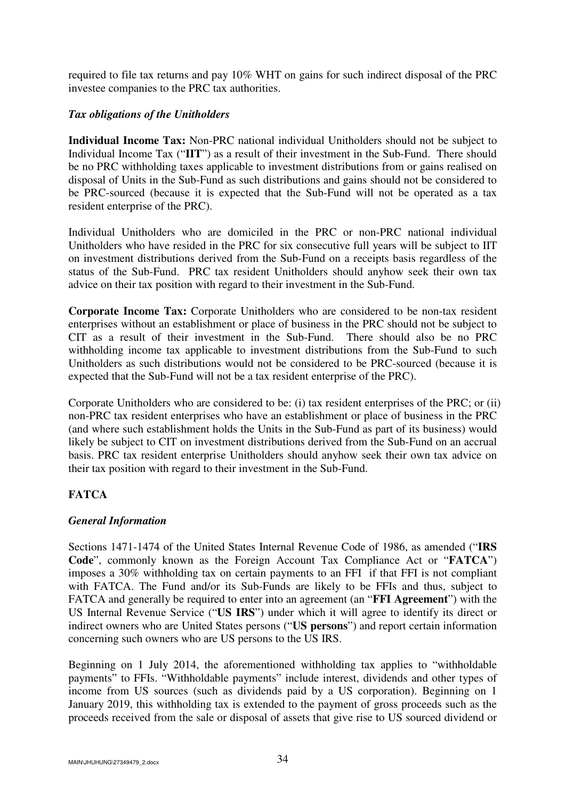required to file tax returns and pay 10% WHT on gains for such indirect disposal of the PRC investee companies to the PRC tax authorities.

# *Tax obligations of the Unitholders*

**Individual Income Tax:** Non-PRC national individual Unitholders should not be subject to Individual Income Tax ("**IIT**") as a result of their investment in the Sub-Fund. There should be no PRC withholding taxes applicable to investment distributions from or gains realised on disposal of Units in the Sub-Fund as such distributions and gains should not be considered to be PRC-sourced (because it is expected that the Sub-Fund will not be operated as a tax resident enterprise of the PRC).

Individual Unitholders who are domiciled in the PRC or non-PRC national individual Unitholders who have resided in the PRC for six consecutive full years will be subject to IIT on investment distributions derived from the Sub-Fund on a receipts basis regardless of the status of the Sub-Fund. PRC tax resident Unitholders should anyhow seek their own tax advice on their tax position with regard to their investment in the Sub-Fund.

**Corporate Income Tax:** Corporate Unitholders who are considered to be non-tax resident enterprises without an establishment or place of business in the PRC should not be subject to CIT as a result of their investment in the Sub-Fund. There should also be no PRC withholding income tax applicable to investment distributions from the Sub-Fund to such Unitholders as such distributions would not be considered to be PRC-sourced (because it is expected that the Sub-Fund will not be a tax resident enterprise of the PRC).

Corporate Unitholders who are considered to be: (i) tax resident enterprises of the PRC; or (ii) non-PRC tax resident enterprises who have an establishment or place of business in the PRC (and where such establishment holds the Units in the Sub-Fund as part of its business) would likely be subject to CIT on investment distributions derived from the Sub-Fund on an accrual basis. PRC tax resident enterprise Unitholders should anyhow seek their own tax advice on their tax position with regard to their investment in the Sub-Fund.

# **FATCA**

# *General Information*

Sections 1471-1474 of the United States Internal Revenue Code of 1986, as amended ("**IRS Code**", commonly known as the Foreign Account Tax Compliance Act or "**FATCA**") imposes a 30% withholding tax on certain payments to an FFI if that FFI is not compliant with FATCA. The Fund and/or its Sub-Funds are likely to be FFIs and thus, subject to FATCA and generally be required to enter into an agreement (an "**FFI Agreement**") with the US Internal Revenue Service ("**US IRS**") under which it will agree to identify its direct or indirect owners who are United States persons ("**US persons**") and report certain information concerning such owners who are US persons to the US IRS.

Beginning on 1 July 2014, the aforementioned withholding tax applies to "withholdable payments" to FFIs. "Withholdable payments" include interest, dividends and other types of income from US sources (such as dividends paid by a US corporation). Beginning on 1 January 2019, this withholding tax is extended to the payment of gross proceeds such as the proceeds received from the sale or disposal of assets that give rise to US sourced dividend or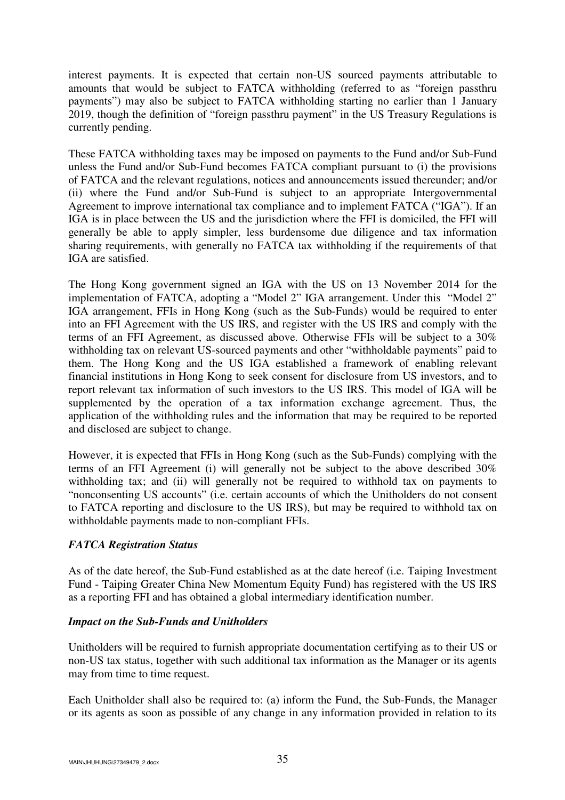interest payments. It is expected that certain non-US sourced payments attributable to amounts that would be subject to FATCA withholding (referred to as "foreign passthru payments") may also be subject to FATCA withholding starting no earlier than 1 January 2019, though the definition of "foreign passthru payment" in the US Treasury Regulations is currently pending.

These FATCA withholding taxes may be imposed on payments to the Fund and/or Sub-Fund unless the Fund and/or Sub-Fund becomes FATCA compliant pursuant to (i) the provisions of FATCA and the relevant regulations, notices and announcements issued thereunder; and/or (ii) where the Fund and/or Sub-Fund is subject to an appropriate Intergovernmental Agreement to improve international tax compliance and to implement FATCA ("IGA"). If an IGA is in place between the US and the jurisdiction where the FFI is domiciled, the FFI will generally be able to apply simpler, less burdensome due diligence and tax information sharing requirements, with generally no FATCA tax withholding if the requirements of that IGA are satisfied.

The Hong Kong government signed an IGA with the US on 13 November 2014 for the implementation of FATCA, adopting a "Model 2" IGA arrangement. Under this "Model 2" IGA arrangement, FFIs in Hong Kong (such as the Sub-Funds) would be required to enter into an FFI Agreement with the US IRS, and register with the US IRS and comply with the terms of an FFI Agreement, as discussed above. Otherwise FFIs will be subject to a 30% withholding tax on relevant US-sourced payments and other "withholdable payments" paid to them. The Hong Kong and the US IGA established a framework of enabling relevant financial institutions in Hong Kong to seek consent for disclosure from US investors, and to report relevant tax information of such investors to the US IRS. This model of IGA will be supplemented by the operation of a tax information exchange agreement. Thus, the application of the withholding rules and the information that may be required to be reported and disclosed are subject to change.

However, it is expected that FFIs in Hong Kong (such as the Sub-Funds) complying with the terms of an FFI Agreement (i) will generally not be subject to the above described 30% withholding tax; and (ii) will generally not be required to withhold tax on payments to "nonconsenting US accounts" (i.e. certain accounts of which the Unitholders do not consent to FATCA reporting and disclosure to the US IRS), but may be required to withhold tax on withholdable payments made to non-compliant FFIs.

# *FATCA Registration Status*

As of the date hereof, the Sub-Fund established as at the date hereof (i.e. Taiping Investment Fund - Taiping Greater China New Momentum Equity Fund) has registered with the US IRS as a reporting FFI and has obtained a global intermediary identification number.

# *Impact on the Sub-Funds and Unitholders*

Unitholders will be required to furnish appropriate documentation certifying as to their US or non-US tax status, together with such additional tax information as the Manager or its agents may from time to time request.

Each Unitholder shall also be required to: (a) inform the Fund, the Sub-Funds, the Manager or its agents as soon as possible of any change in any information provided in relation to its

MAIN\JHUHUNG\27349479\_2.docx  $35$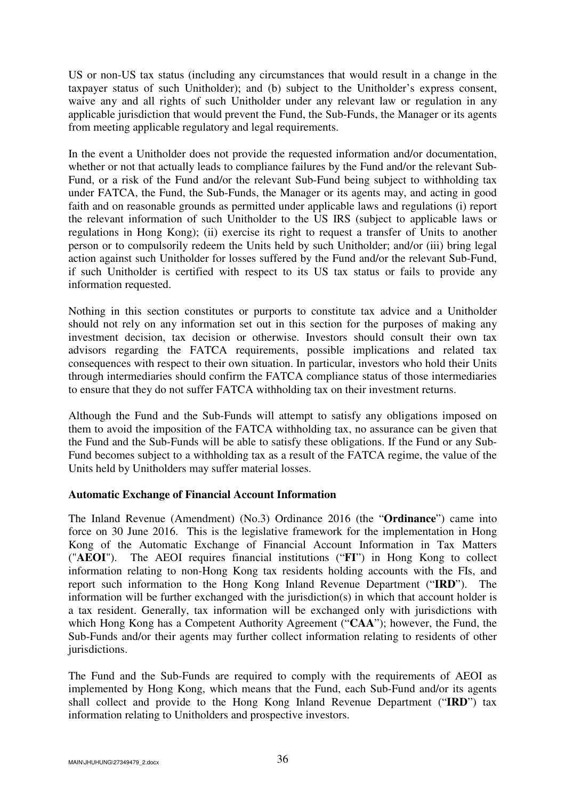US or non-US tax status (including any circumstances that would result in a change in the taxpayer status of such Unitholder); and (b) subject to the Unitholder's express consent, waive any and all rights of such Unitholder under any relevant law or regulation in any applicable jurisdiction that would prevent the Fund, the Sub-Funds, the Manager or its agents from meeting applicable regulatory and legal requirements.

In the event a Unitholder does not provide the requested information and/or documentation, whether or not that actually leads to compliance failures by the Fund and/or the relevant Sub-Fund, or a risk of the Fund and/or the relevant Sub-Fund being subject to withholding tax under FATCA, the Fund, the Sub-Funds, the Manager or its agents may, and acting in good faith and on reasonable grounds as permitted under applicable laws and regulations (i) report the relevant information of such Unitholder to the US IRS (subject to applicable laws or regulations in Hong Kong); (ii) exercise its right to request a transfer of Units to another person or to compulsorily redeem the Units held by such Unitholder; and/or (iii) bring legal action against such Unitholder for losses suffered by the Fund and/or the relevant Sub-Fund, if such Unitholder is certified with respect to its US tax status or fails to provide any information requested.

Nothing in this section constitutes or purports to constitute tax advice and a Unitholder should not rely on any information set out in this section for the purposes of making any investment decision, tax decision or otherwise. Investors should consult their own tax advisors regarding the FATCA requirements, possible implications and related tax consequences with respect to their own situation. In particular, investors who hold their Units through intermediaries should confirm the FATCA compliance status of those intermediaries to ensure that they do not suffer FATCA withholding tax on their investment returns.

Although the Fund and the Sub-Funds will attempt to satisfy any obligations imposed on them to avoid the imposition of the FATCA withholding tax, no assurance can be given that the Fund and the Sub-Funds will be able to satisfy these obligations. If the Fund or any Sub-Fund becomes subject to a withholding tax as a result of the FATCA regime, the value of the Units held by Unitholders may suffer material losses.

# **Automatic Exchange of Financial Account Information**

The Inland Revenue (Amendment) (No.3) Ordinance 2016 (the "**Ordinance**") came into force on 30 June 2016. This is the legislative framework for the implementation in Hong Kong of the Automatic Exchange of Financial Account Information in Tax Matters ("**AEOI**"). The AEOI requires financial institutions ("**FI**") in Hong Kong to collect information relating to non-Hong Kong tax residents holding accounts with the FIs, and report such information to the Hong Kong Inland Revenue Department ("**IRD**"). The information will be further exchanged with the jurisdiction(s) in which that account holder is a tax resident. Generally, tax information will be exchanged only with jurisdictions with which Hong Kong has a Competent Authority Agreement ("**CAA**"); however, the Fund, the Sub-Funds and/or their agents may further collect information relating to residents of other jurisdictions.

The Fund and the Sub-Funds are required to comply with the requirements of AEOI as implemented by Hong Kong, which means that the Fund, each Sub-Fund and/or its agents shall collect and provide to the Hong Kong Inland Revenue Department ("**IRD**") tax information relating to Unitholders and prospective investors.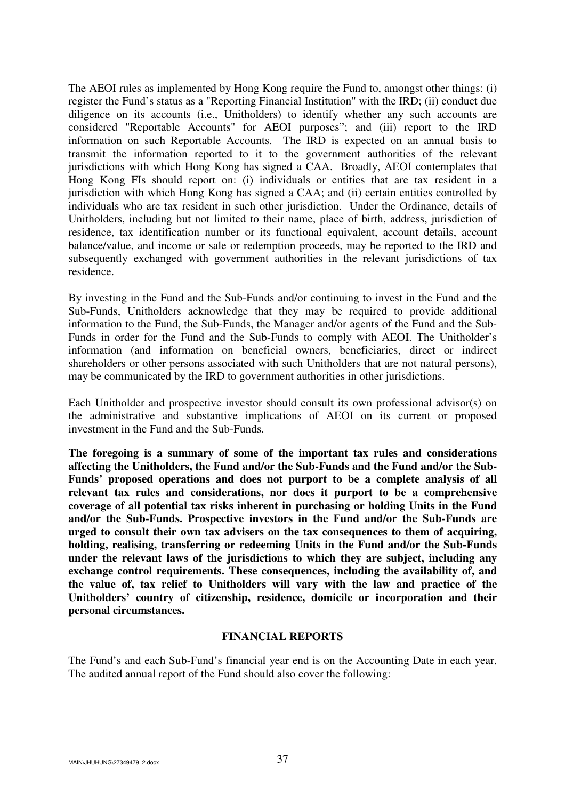The AEOI rules as implemented by Hong Kong require the Fund to, amongst other things: (i) register the Fund's status as a "Reporting Financial Institution" with the IRD; (ii) conduct due diligence on its accounts (i.e., Unitholders) to identify whether any such accounts are considered "Reportable Accounts" for AEOI purposes"; and (iii) report to the IRD information on such Reportable Accounts. The IRD is expected on an annual basis to transmit the information reported to it to the government authorities of the relevant jurisdictions with which Hong Kong has signed a CAA. Broadly, AEOI contemplates that Hong Kong FIs should report on: (i) individuals or entities that are tax resident in a jurisdiction with which Hong Kong has signed a CAA; and (ii) certain entities controlled by individuals who are tax resident in such other jurisdiction. Under the Ordinance, details of Unitholders, including but not limited to their name, place of birth, address, jurisdiction of residence, tax identification number or its functional equivalent, account details, account balance/value, and income or sale or redemption proceeds, may be reported to the IRD and subsequently exchanged with government authorities in the relevant jurisdictions of tax residence.

By investing in the Fund and the Sub-Funds and/or continuing to invest in the Fund and the Sub-Funds, Unitholders acknowledge that they may be required to provide additional information to the Fund, the Sub-Funds, the Manager and/or agents of the Fund and the Sub-Funds in order for the Fund and the Sub-Funds to comply with AEOI. The Unitholder's information (and information on beneficial owners, beneficiaries, direct or indirect shareholders or other persons associated with such Unitholders that are not natural persons), may be communicated by the IRD to government authorities in other jurisdictions.

Each Unitholder and prospective investor should consult its own professional advisor(s) on the administrative and substantive implications of AEOI on its current or proposed investment in the Fund and the Sub-Funds.

**The foregoing is a summary of some of the important tax rules and considerations affecting the Unitholders, the Fund and/or the Sub-Funds and the Fund and/or the Sub-Funds' proposed operations and does not purport to be a complete analysis of all relevant tax rules and considerations, nor does it purport to be a comprehensive coverage of all potential tax risks inherent in purchasing or holding Units in the Fund and/or the Sub-Funds. Prospective investors in the Fund and/or the Sub-Funds are urged to consult their own tax advisers on the tax consequences to them of acquiring, holding, realising, transferring or redeeming Units in the Fund and/or the Sub-Funds under the relevant laws of the jurisdictions to which they are subject, including any exchange control requirements. These consequences, including the availability of, and the value of, tax relief to Unitholders will vary with the law and practice of the Unitholders' country of citizenship, residence, domicile or incorporation and their personal circumstances.** 

### **FINANCIAL REPORTS**

The Fund's and each Sub-Fund's financial year end is on the Accounting Date in each year. The audited annual report of the Fund should also cover the following: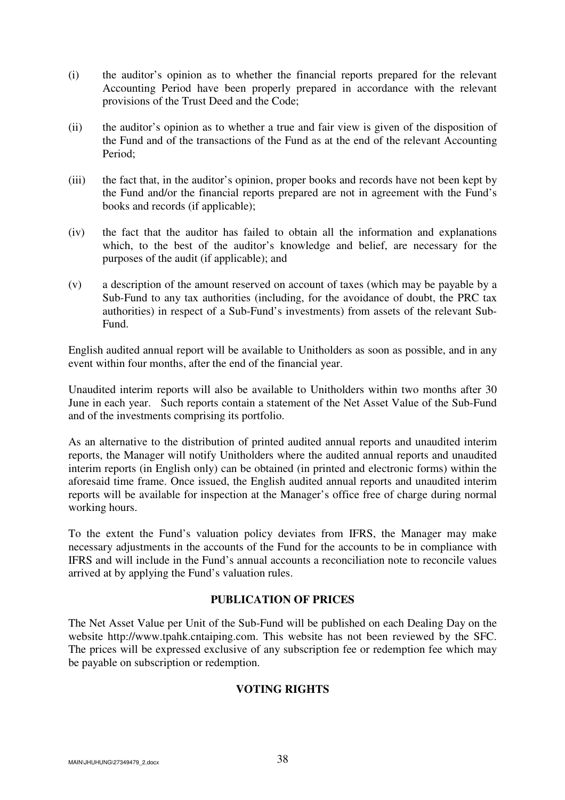- (i) the auditor's opinion as to whether the financial reports prepared for the relevant Accounting Period have been properly prepared in accordance with the relevant provisions of the Trust Deed and the Code;
- (ii) the auditor's opinion as to whether a true and fair view is given of the disposition of the Fund and of the transactions of the Fund as at the end of the relevant Accounting Period;
- (iii) the fact that, in the auditor's opinion, proper books and records have not been kept by the Fund and/or the financial reports prepared are not in agreement with the Fund's books and records (if applicable);
- (iv) the fact that the auditor has failed to obtain all the information and explanations which, to the best of the auditor's knowledge and belief, are necessary for the purposes of the audit (if applicable); and
- (v) a description of the amount reserved on account of taxes (which may be payable by a Sub-Fund to any tax authorities (including, for the avoidance of doubt, the PRC tax authorities) in respect of a Sub-Fund's investments) from assets of the relevant Sub-Fund.

English audited annual report will be available to Unitholders as soon as possible, and in any event within four months, after the end of the financial year.

Unaudited interim reports will also be available to Unitholders within two months after 30 June in each year. Such reports contain a statement of the Net Asset Value of the Sub-Fund and of the investments comprising its portfolio.

As an alternative to the distribution of printed audited annual reports and unaudited interim reports, the Manager will notify Unitholders where the audited annual reports and unaudited interim reports (in English only) can be obtained (in printed and electronic forms) within the aforesaid time frame. Once issued, the English audited annual reports and unaudited interim reports will be available for inspection at the Manager's office free of charge during normal working hours.

To the extent the Fund's valuation policy deviates from IFRS, the Manager may make necessary adjustments in the accounts of the Fund for the accounts to be in compliance with IFRS and will include in the Fund's annual accounts a reconciliation note to reconcile values arrived at by applying the Fund's valuation rules.

# **PUBLICATION OF PRICES**

The Net Asset Value per Unit of the Sub-Fund will be published on each Dealing Day on the website http://www.tpahk.cntaiping.com. This website has not been reviewed by the SFC. The prices will be expressed exclusive of any subscription fee or redemption fee which may be payable on subscription or redemption.

# **VOTING RIGHTS**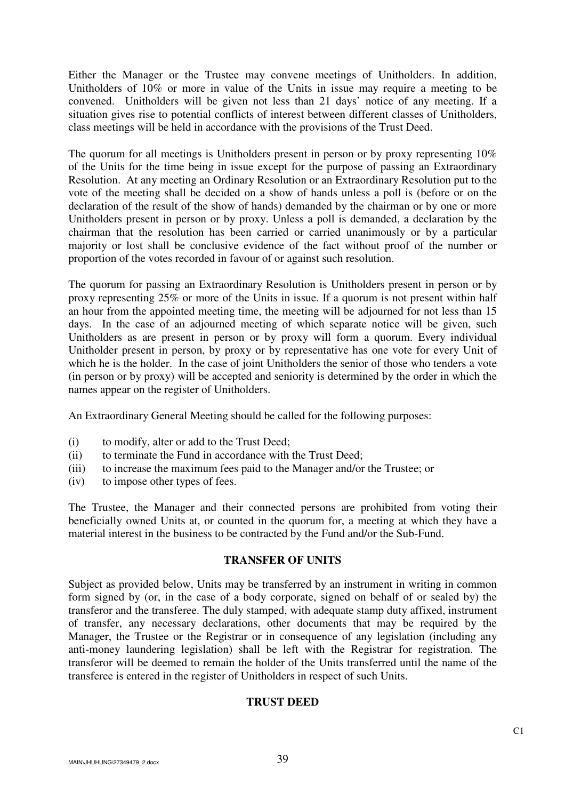Either the Manager or the Trustee may convene meetings of Unitholders. In addition, Unitholders of 10% or more in value of the Units in issue may require a meeting to be convened. Unitholders will be given not less than 21 days' notice of any meeting. If a situation gives rise to potential conflicts of interest between different classes of Unitholders, class meetings will be held in accordance with the provisions of the Trust Deed.

The quorum for all meetings is Unitholders present in person or by proxy representing 10% of the Units for the time being in issue except for the purpose of passing an Extraordinary Resolution. At any meeting an Ordinary Resolution or an Extraordinary Resolution put to the vote of the meeting shall be decided on a show of hands unless a poll is (before or on the declaration of the result of the show of hands) demanded by the chairman or by one or more Unitholders present in person or by proxy. Unless a poll is demanded, a declaration by the chairman that the resolution has been carried or carried unanimously or by a particular majority or lost shall be conclusive evidence of the fact without proof of the number or proportion of the votes recorded in favour of or against such resolution.

The quorum for passing an Extraordinary Resolution is Unitholders present in person or by proxy representing 25% or more of the Units in issue. If a quorum is not present within half an hour from the appointed meeting time, the meeting will be adjourned for not less than 15 days. In the case of an adjourned meeting of which separate notice will be given, such Unitholders as are present in person or by proxy will form a quorum. Every individual Unitholder present in person, by proxy or by representative has one vote for every Unit of which he is the holder. In the case of joint Unitholders the senior of those who tenders a vote (in person or by proxy) will be accepted and seniority is determined by the order in which the names appear on the register of Unitholders.

An Extraordinary General Meeting should be called for the following purposes:

- (i) to modify, alter or add to the Trust Deed;
- (ii) to terminate the Fund in accordance with the Trust Deed;
- (iii) to increase the maximum fees paid to the Manager and/or the Trustee; or
- (iv) to impose other types of fees.

The Trustee, the Manager and their connected persons are prohibited from voting their beneficially owned Units at, or counted in the quorum for, a meeting at which they have a material interest in the business to be contracted by the Fund and/or the Sub-Fund.

# **TRANSFER OF UNITS**

Subject as provided below, Units may be transferred by an instrument in writing in common form signed by (or, in the case of a body corporate, signed on behalf of or sealed by) the transferor and the transferee. The duly stamped, with adequate stamp duty affixed, instrument of transfer, any necessary declarations, other documents that may be required by the Manager, the Trustee or the Registrar or in consequence of any legislation (including any anti-money laundering legislation) shall be left with the Registrar for registration. The transferor will be deemed to remain the holder of the Units transferred until the name of the transferee is entered in the register of Unitholders in respect of such Units.

# **TRUST DEED**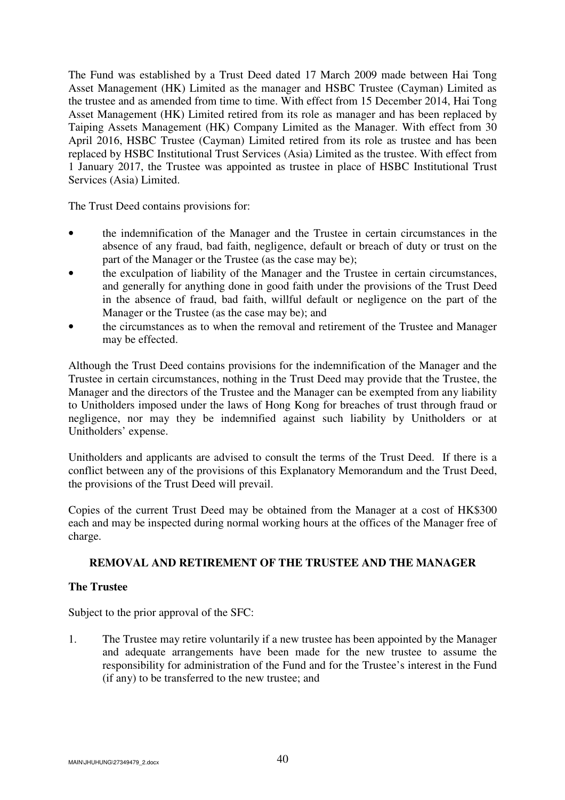The Fund was established by a Trust Deed dated 17 March 2009 made between Hai Tong Asset Management (HK) Limited as the manager and HSBC Trustee (Cayman) Limited as the trustee and as amended from time to time. With effect from 15 December 2014, Hai Tong Asset Management (HK) Limited retired from its role as manager and has been replaced by Taiping Assets Management (HK) Company Limited as the Manager. With effect from 30 April 2016, HSBC Trustee (Cayman) Limited retired from its role as trustee and has been replaced by HSBC Institutional Trust Services (Asia) Limited as the trustee. With effect from 1 January 2017, the Trustee was appointed as trustee in place of HSBC Institutional Trust Services (Asia) Limited.

The Trust Deed contains provisions for:

- the indemnification of the Manager and the Trustee in certain circumstances in the absence of any fraud, bad faith, negligence, default or breach of duty or trust on the part of the Manager or the Trustee (as the case may be);
- the exculpation of liability of the Manager and the Trustee in certain circumstances, and generally for anything done in good faith under the provisions of the Trust Deed in the absence of fraud, bad faith, willful default or negligence on the part of the Manager or the Trustee (as the case may be); and
- the circumstances as to when the removal and retirement of the Trustee and Manager may be effected.

Although the Trust Deed contains provisions for the indemnification of the Manager and the Trustee in certain circumstances, nothing in the Trust Deed may provide that the Trustee, the Manager and the directors of the Trustee and the Manager can be exempted from any liability to Unitholders imposed under the laws of Hong Kong for breaches of trust through fraud or negligence, nor may they be indemnified against such liability by Unitholders or at Unitholders' expense.

Unitholders and applicants are advised to consult the terms of the Trust Deed. If there is a conflict between any of the provisions of this Explanatory Memorandum and the Trust Deed, the provisions of the Trust Deed will prevail.

Copies of the current Trust Deed may be obtained from the Manager at a cost of HK\$300 each and may be inspected during normal working hours at the offices of the Manager free of charge.

# **REMOVAL AND RETIREMENT OF THE TRUSTEE AND THE MANAGER**

# **The Trustee**

Subject to the prior approval of the SFC:

1. The Trustee may retire voluntarily if a new trustee has been appointed by the Manager and adequate arrangements have been made for the new trustee to assume the responsibility for administration of the Fund and for the Trustee's interest in the Fund (if any) to be transferred to the new trustee; and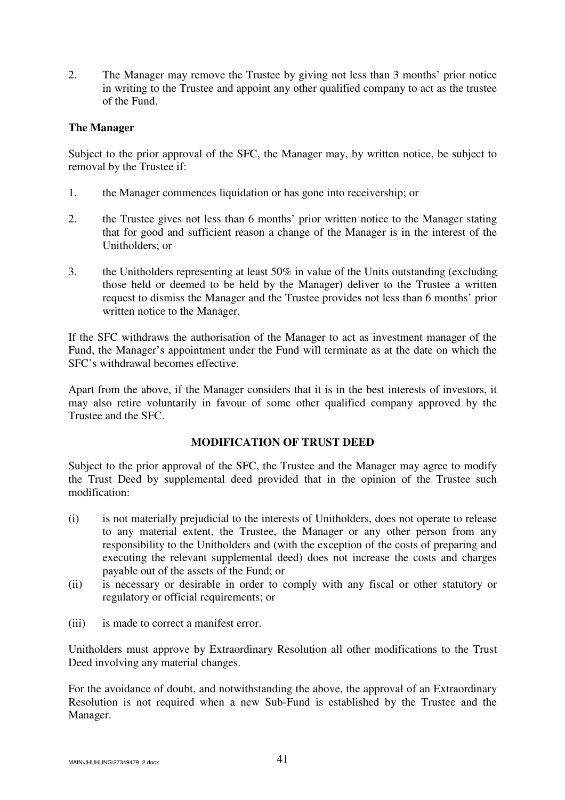2. The Manager may remove the Trustee by giving not less than 3 months' prior notice in writing to the Trustee and appoint any other qualified company to act as the trustee of the Fund.

## **The Manager**

Subject to the prior approval of the SFC, the Manager may, by written notice, be subject to removal by the Trustee if:

- 1. the Manager commences liquidation or has gone into receivership; or
- 2. the Trustee gives not less than 6 months' prior written notice to the Manager stating that for good and sufficient reason a change of the Manager is in the interest of the Unitholders; or
- 3. the Unitholders representing at least 50% in value of the Units outstanding (excluding those held or deemed to be held by the Manager) deliver to the Trustee a written request to dismiss the Manager and the Trustee provides not less than 6 months' prior written notice to the Manager.

If the SFC withdraws the authorisation of the Manager to act as investment manager of the Fund, the Manager's appointment under the Fund will terminate as at the date on which the SFC's withdrawal becomes effective.

Apart from the above, if the Manager considers that it is in the best interests of investors, it may also retire voluntarily in favour of some other qualified company approved by the Trustee and the SFC.

### **MODIFICATION OF TRUST DEED**

Subject to the prior approval of the SFC, the Trustee and the Manager may agree to modify the Trust Deed by supplemental deed provided that in the opinion of the Trustee such modification:

- (i) is not materially prejudicial to the interests of Unitholders, does not operate to release to any material extent, the Trustee, the Manager or any other person from any responsibility to the Unitholders and (with the exception of the costs of preparing and executing the relevant supplemental deed) does not increase the costs and charges payable out of the assets of the Fund; or
- (ii) is necessary or desirable in order to comply with any fiscal or other statutory or regulatory or official requirements; or
- (iii) is made to correct a manifest error.

Unitholders must approve by Extraordinary Resolution all other modifications to the Trust Deed involving any material changes.

For the avoidance of doubt, and notwithstanding the above, the approval of an Extraordinary Resolution is not required when a new Sub-Fund is established by the Trustee and the Manager.

 $\mu$ MAIN\JHUHUNG\27349479\_2.docx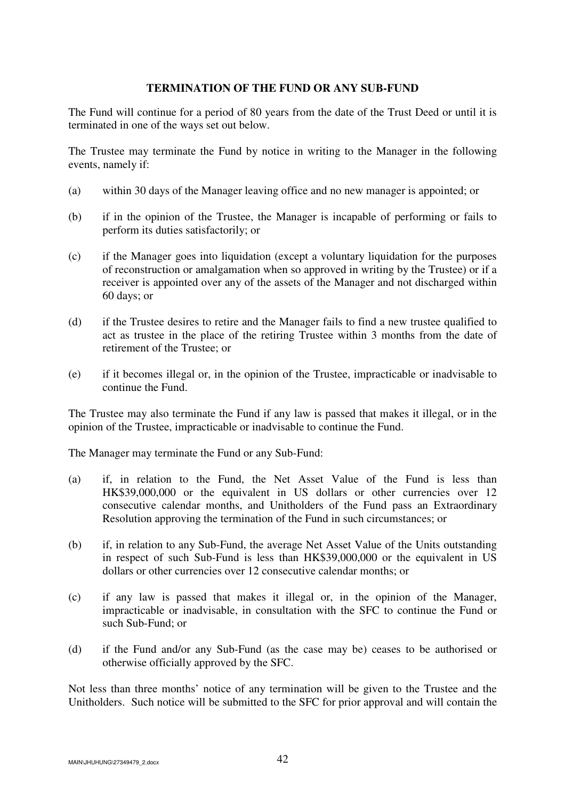#### **TERMINATION OF THE FUND OR ANY SUB-FUND**

The Fund will continue for a period of 80 years from the date of the Trust Deed or until it is terminated in one of the ways set out below.

The Trustee may terminate the Fund by notice in writing to the Manager in the following events, namely if:

- (a) within 30 days of the Manager leaving office and no new manager is appointed; or
- (b) if in the opinion of the Trustee, the Manager is incapable of performing or fails to perform its duties satisfactorily; or
- (c) if the Manager goes into liquidation (except a voluntary liquidation for the purposes of reconstruction or amalgamation when so approved in writing by the Trustee) or if a receiver is appointed over any of the assets of the Manager and not discharged within 60 days; or
- (d) if the Trustee desires to retire and the Manager fails to find a new trustee qualified to act as trustee in the place of the retiring Trustee within 3 months from the date of retirement of the Trustee; or
- (e) if it becomes illegal or, in the opinion of the Trustee, impracticable or inadvisable to continue the Fund.

The Trustee may also terminate the Fund if any law is passed that makes it illegal, or in the opinion of the Trustee, impracticable or inadvisable to continue the Fund.

The Manager may terminate the Fund or any Sub-Fund:

- (a) if, in relation to the Fund, the Net Asset Value of the Fund is less than HK\$39,000,000 or the equivalent in US dollars or other currencies over 12 consecutive calendar months, and Unitholders of the Fund pass an Extraordinary Resolution approving the termination of the Fund in such circumstances; or
- (b) if, in relation to any Sub-Fund, the average Net Asset Value of the Units outstanding in respect of such Sub-Fund is less than HK\$39,000,000 or the equivalent in US dollars or other currencies over 12 consecutive calendar months; or
- (c) if any law is passed that makes it illegal or, in the opinion of the Manager, impracticable or inadvisable, in consultation with the SFC to continue the Fund or such Sub-Fund; or
- (d) if the Fund and/or any Sub-Fund (as the case may be) ceases to be authorised or otherwise officially approved by the SFC.

Not less than three months' notice of any termination will be given to the Trustee and the Unitholders. Such notice will be submitted to the SFC for prior approval and will contain the

MAIN\JHUHUNG\27349479\_2.docx  $42$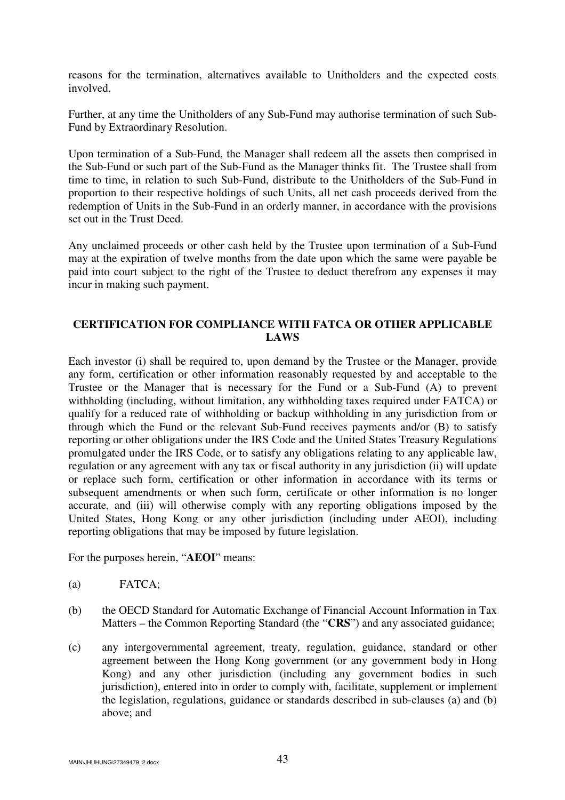reasons for the termination, alternatives available to Unitholders and the expected costs involved.

Further, at any time the Unitholders of any Sub-Fund may authorise termination of such Sub-Fund by Extraordinary Resolution.

Upon termination of a Sub-Fund, the Manager shall redeem all the assets then comprised in the Sub-Fund or such part of the Sub-Fund as the Manager thinks fit. The Trustee shall from time to time, in relation to such Sub-Fund, distribute to the Unitholders of the Sub-Fund in proportion to their respective holdings of such Units, all net cash proceeds derived from the redemption of Units in the Sub-Fund in an orderly manner, in accordance with the provisions set out in the Trust Deed.

Any unclaimed proceeds or other cash held by the Trustee upon termination of a Sub-Fund may at the expiration of twelve months from the date upon which the same were payable be paid into court subject to the right of the Trustee to deduct therefrom any expenses it may incur in making such payment.

# **CERTIFICATION FOR COMPLIANCE WITH FATCA OR OTHER APPLICABLE LAWS**

Each investor (i) shall be required to, upon demand by the Trustee or the Manager, provide any form, certification or other information reasonably requested by and acceptable to the Trustee or the Manager that is necessary for the Fund or a Sub-Fund (A) to prevent withholding (including, without limitation, any withholding taxes required under FATCA) or qualify for a reduced rate of withholding or backup withholding in any jurisdiction from or through which the Fund or the relevant Sub-Fund receives payments and/or (B) to satisfy reporting or other obligations under the IRS Code and the United States Treasury Regulations promulgated under the IRS Code, or to satisfy any obligations relating to any applicable law, regulation or any agreement with any tax or fiscal authority in any jurisdiction (ii) will update or replace such form, certification or other information in accordance with its terms or subsequent amendments or when such form, certificate or other information is no longer accurate, and (iii) will otherwise comply with any reporting obligations imposed by the United States, Hong Kong or any other jurisdiction (including under AEOI), including reporting obligations that may be imposed by future legislation.

For the purposes herein, "**AEOI**" means:

- (a) FATCA;
- (b) the OECD Standard for Automatic Exchange of Financial Account Information in Tax Matters – the Common Reporting Standard (the "**CRS**") and any associated guidance;
- (c) any intergovernmental agreement, treaty, regulation, guidance, standard or other agreement between the Hong Kong government (or any government body in Hong Kong) and any other jurisdiction (including any government bodies in such jurisdiction), entered into in order to comply with, facilitate, supplement or implement the legislation, regulations, guidance or standards described in sub-clauses (a) and (b) above; and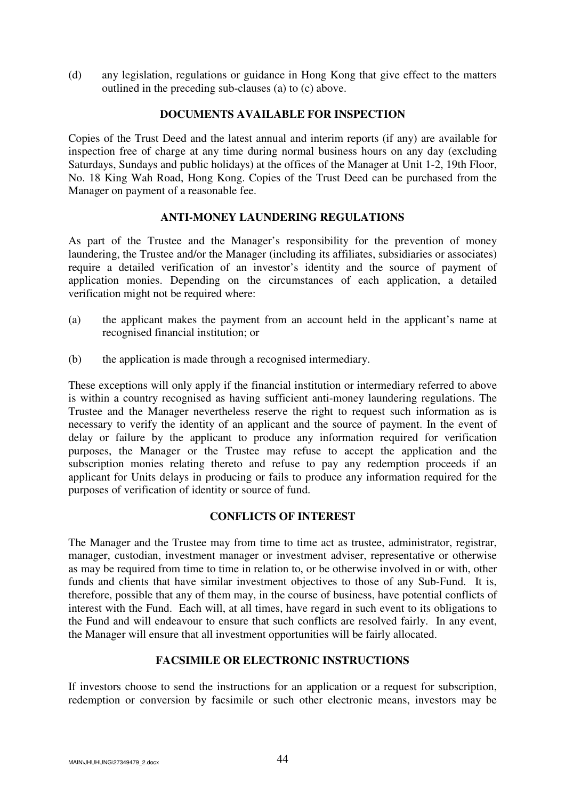(d) any legislation, regulations or guidance in Hong Kong that give effect to the matters outlined in the preceding sub-clauses (a) to (c) above.

## **DOCUMENTS AVAILABLE FOR INSPECTION**

Copies of the Trust Deed and the latest annual and interim reports (if any) are available for inspection free of charge at any time during normal business hours on any day (excluding Saturdays, Sundays and public holidays) at the offices of the Manager at Unit 1-2, 19th Floor, No. 18 King Wah Road, Hong Kong. Copies of the Trust Deed can be purchased from the Manager on payment of a reasonable fee.

## **ANTI-MONEY LAUNDERING REGULATIONS**

As part of the Trustee and the Manager's responsibility for the prevention of money laundering, the Trustee and/or the Manager (including its affiliates, subsidiaries or associates) require a detailed verification of an investor's identity and the source of payment of application monies. Depending on the circumstances of each application, a detailed verification might not be required where:

- (a) the applicant makes the payment from an account held in the applicant's name at recognised financial institution; or
- (b) the application is made through a recognised intermediary.

These exceptions will only apply if the financial institution or intermediary referred to above is within a country recognised as having sufficient anti-money laundering regulations. The Trustee and the Manager nevertheless reserve the right to request such information as is necessary to verify the identity of an applicant and the source of payment. In the event of delay or failure by the applicant to produce any information required for verification purposes, the Manager or the Trustee may refuse to accept the application and the subscription monies relating thereto and refuse to pay any redemption proceeds if an applicant for Units delays in producing or fails to produce any information required for the purposes of verification of identity or source of fund.

## **CONFLICTS OF INTEREST**

The Manager and the Trustee may from time to time act as trustee, administrator, registrar, manager, custodian, investment manager or investment adviser, representative or otherwise as may be required from time to time in relation to, or be otherwise involved in or with, other funds and clients that have similar investment objectives to those of any Sub-Fund. It is, therefore, possible that any of them may, in the course of business, have potential conflicts of interest with the Fund. Each will, at all times, have regard in such event to its obligations to the Fund and will endeavour to ensure that such conflicts are resolved fairly. In any event, the Manager will ensure that all investment opportunities will be fairly allocated.

# **FACSIMILE OR ELECTRONIC INSTRUCTIONS**

If investors choose to send the instructions for an application or a request for subscription, redemption or conversion by facsimile or such other electronic means, investors may be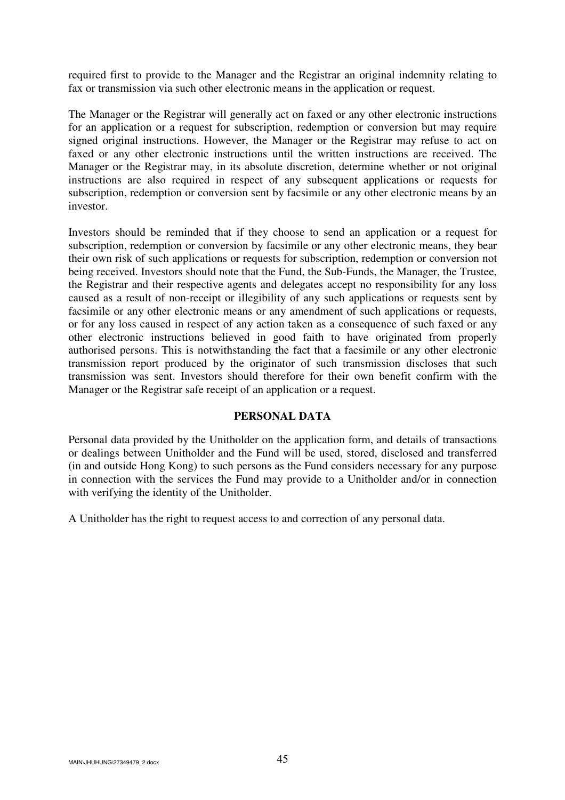required first to provide to the Manager and the Registrar an original indemnity relating to fax or transmission via such other electronic means in the application or request.

The Manager or the Registrar will generally act on faxed or any other electronic instructions for an application or a request for subscription, redemption or conversion but may require signed original instructions. However, the Manager or the Registrar may refuse to act on faxed or any other electronic instructions until the written instructions are received. The Manager or the Registrar may, in its absolute discretion, determine whether or not original instructions are also required in respect of any subsequent applications or requests for subscription, redemption or conversion sent by facsimile or any other electronic means by an investor.

Investors should be reminded that if they choose to send an application or a request for subscription, redemption or conversion by facsimile or any other electronic means, they bear their own risk of such applications or requests for subscription, redemption or conversion not being received. Investors should note that the Fund, the Sub-Funds, the Manager, the Trustee, the Registrar and their respective agents and delegates accept no responsibility for any loss caused as a result of non-receipt or illegibility of any such applications or requests sent by facsimile or any other electronic means or any amendment of such applications or requests, or for any loss caused in respect of any action taken as a consequence of such faxed or any other electronic instructions believed in good faith to have originated from properly authorised persons. This is notwithstanding the fact that a facsimile or any other electronic transmission report produced by the originator of such transmission discloses that such transmission was sent. Investors should therefore for their own benefit confirm with the Manager or the Registrar safe receipt of an application or a request.

### **PERSONAL DATA**

Personal data provided by the Unitholder on the application form, and details of transactions or dealings between Unitholder and the Fund will be used, stored, disclosed and transferred (in and outside Hong Kong) to such persons as the Fund considers necessary for any purpose in connection with the services the Fund may provide to a Unitholder and/or in connection with verifying the identity of the Unitholder.

A Unitholder has the right to request access to and correction of any personal data.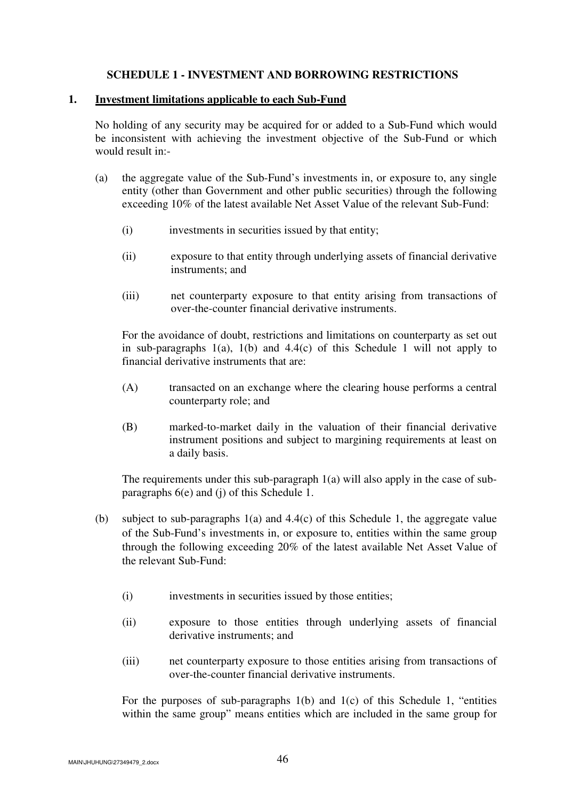## **SCHEDULE 1 - INVESTMENT AND BORROWING RESTRICTIONS**

#### **1. Investment limitations applicable to each Sub-Fund**

No holding of any security may be acquired for or added to a Sub-Fund which would be inconsistent with achieving the investment objective of the Sub-Fund or which would result in:-

- (a) the aggregate value of the Sub-Fund's investments in, or exposure to, any single entity (other than Government and other public securities) through the following exceeding 10% of the latest available Net Asset Value of the relevant Sub-Fund:
	- (i) investments in securities issued by that entity;
	- (ii) exposure to that entity through underlying assets of financial derivative instruments; and
	- (iii) net counterparty exposure to that entity arising from transactions of over-the-counter financial derivative instruments.

For the avoidance of doubt, restrictions and limitations on counterparty as set out in sub-paragraphs  $1(a)$ ,  $1(b)$  and  $4.4(c)$  of this Schedule 1 will not apply to financial derivative instruments that are:

- (A) transacted on an exchange where the clearing house performs a central counterparty role; and
- (B) marked-to-market daily in the valuation of their financial derivative instrument positions and subject to margining requirements at least on a daily basis.

 The requirements under this sub-paragraph 1(a) will also apply in the case of subparagraphs 6(e) and (j) of this Schedule 1.

- (b) subject to sub-paragraphs 1(a) and 4.4(c) of this Schedule 1, the aggregate value of the Sub-Fund's investments in, or exposure to, entities within the same group through the following exceeding 20% of the latest available Net Asset Value of the relevant Sub-Fund:
	- (i) investments in securities issued by those entities;
	- (ii) exposure to those entities through underlying assets of financial derivative instruments; and
	- (iii) net counterparty exposure to those entities arising from transactions of over-the-counter financial derivative instruments.

For the purposes of sub-paragraphs  $1(b)$  and  $1(c)$  of this Schedule 1, "entities within the same group" means entities which are included in the same group for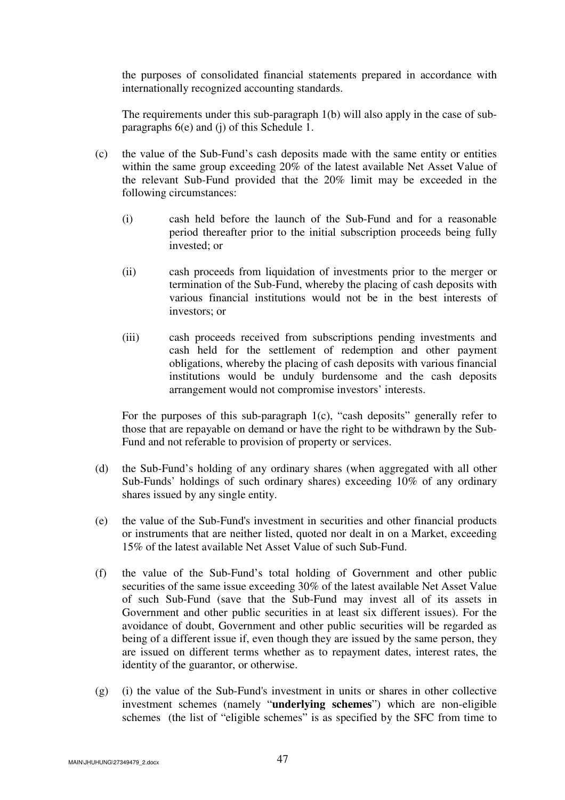the purposes of consolidated financial statements prepared in accordance with internationally recognized accounting standards.

 The requirements under this sub-paragraph 1(b) will also apply in the case of subparagraphs 6(e) and (j) of this Schedule 1.

- (c) the value of the Sub-Fund's cash deposits made with the same entity or entities within the same group exceeding 20% of the latest available Net Asset Value of the relevant Sub-Fund provided that the 20% limit may be exceeded in the following circumstances:
	- (i) cash held before the launch of the Sub-Fund and for a reasonable period thereafter prior to the initial subscription proceeds being fully invested; or
	- (ii) cash proceeds from liquidation of investments prior to the merger or termination of the Sub-Fund, whereby the placing of cash deposits with various financial institutions would not be in the best interests of investors; or
	- (iii) cash proceeds received from subscriptions pending investments and cash held for the settlement of redemption and other payment obligations, whereby the placing of cash deposits with various financial institutions would be unduly burdensome and the cash deposits arrangement would not compromise investors' interests.

For the purposes of this sub-paragraph 1(c), "cash deposits" generally refer to those that are repayable on demand or have the right to be withdrawn by the Sub-Fund and not referable to provision of property or services.

- (d) the Sub-Fund's holding of any ordinary shares (when aggregated with all other Sub-Funds' holdings of such ordinary shares) exceeding 10% of any ordinary shares issued by any single entity.
- (e) the value of the Sub-Fund's investment in securities and other financial products or instruments that are neither listed, quoted nor dealt in on a Market, exceeding 15% of the latest available Net Asset Value of such Sub-Fund.
- (f) the value of the Sub-Fund's total holding of Government and other public securities of the same issue exceeding 30% of the latest available Net Asset Value of such Sub-Fund (save that the Sub-Fund may invest all of its assets in Government and other public securities in at least six different issues). For the avoidance of doubt, Government and other public securities will be regarded as being of a different issue if, even though they are issued by the same person, they are issued on different terms whether as to repayment dates, interest rates, the identity of the guarantor, or otherwise.
- (g) (i) the value of the Sub-Fund's investment in units or shares in other collective investment schemes (namely "**underlying schemes**") which are non-eligible schemes (the list of "eligible schemes" is as specified by the SFC from time to

MAIN\JHUHUNG\27349479\_2.docx 47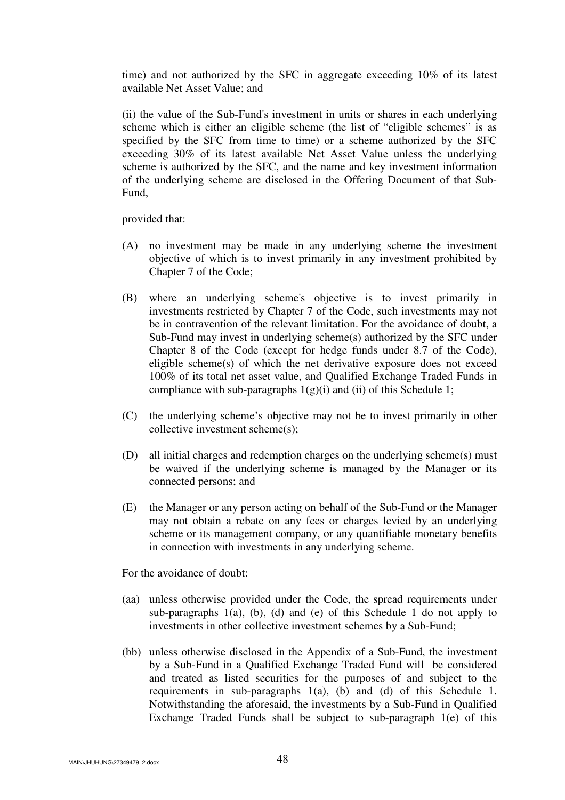time) and not authorized by the SFC in aggregate exceeding 10% of its latest available Net Asset Value; and

(ii) the value of the Sub-Fund's investment in units or shares in each underlying scheme which is either an eligible scheme (the list of "eligible schemes" is as specified by the SFC from time to time) or a scheme authorized by the SFC exceeding 30% of its latest available Net Asset Value unless the underlying scheme is authorized by the SFC, and the name and key investment information of the underlying scheme are disclosed in the Offering Document of that Sub-Fund,

provided that:

- (A) no investment may be made in any underlying scheme the investment objective of which is to invest primarily in any investment prohibited by Chapter 7 of the Code;
- (B) where an underlying scheme's objective is to invest primarily in investments restricted by Chapter 7 of the Code, such investments may not be in contravention of the relevant limitation. For the avoidance of doubt, a Sub-Fund may invest in underlying scheme(s) authorized by the SFC under Chapter 8 of the Code (except for hedge funds under 8.7 of the Code), eligible scheme(s) of which the net derivative exposure does not exceed 100% of its total net asset value, and Qualified Exchange Traded Funds in compliance with sub-paragraphs  $1(g)(i)$  and (ii) of this Schedule 1;
- (C) the underlying scheme's objective may not be to invest primarily in other collective investment scheme(s);
- (D) all initial charges and redemption charges on the underlying scheme(s) must be waived if the underlying scheme is managed by the Manager or its connected persons; and
- (E) the Manager or any person acting on behalf of the Sub-Fund or the Manager may not obtain a rebate on any fees or charges levied by an underlying scheme or its management company, or any quantifiable monetary benefits in connection with investments in any underlying scheme.

For the avoidance of doubt:

- (aa) unless otherwise provided under the Code, the spread requirements under sub-paragraphs  $1(a)$ , (b), (d) and (e) of this Schedule 1 do not apply to investments in other collective investment schemes by a Sub-Fund;
- (bb) unless otherwise disclosed in the Appendix of a Sub-Fund, the investment by a Sub-Fund in a Qualified Exchange Traded Fund will be considered and treated as listed securities for the purposes of and subject to the requirements in sub-paragraphs 1(a), (b) and (d) of this Schedule 1. Notwithstanding the aforesaid, the investments by a Sub-Fund in Qualified Exchange Traded Funds shall be subject to sub-paragraph 1(e) of this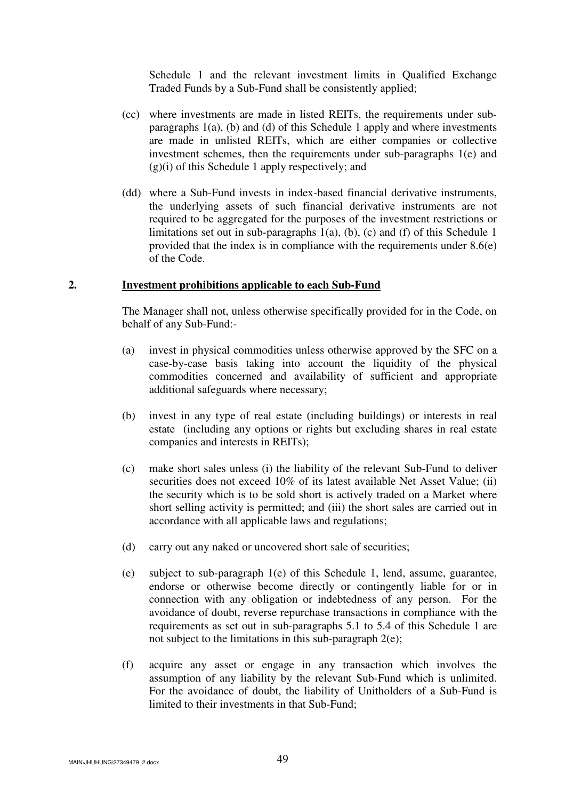Schedule 1 and the relevant investment limits in Qualified Exchange Traded Funds by a Sub-Fund shall be consistently applied;

- (cc) where investments are made in listed REITs, the requirements under subparagraphs 1(a), (b) and (d) of this Schedule 1 apply and where investments are made in unlisted REITs, which are either companies or collective investment schemes, then the requirements under sub-paragraphs 1(e) and  $(g)(i)$  of this Schedule 1 apply respectively; and
- (dd) where a Sub-Fund invests in index-based financial derivative instruments, the underlying assets of such financial derivative instruments are not required to be aggregated for the purposes of the investment restrictions or limitations set out in sub-paragraphs  $1(a)$ ,  $(b)$ ,  $(c)$  and  $(f)$  of this Schedule 1 provided that the index is in compliance with the requirements under 8.6(e) of the Code.

#### **2. Investment prohibitions applicable to each Sub-Fund**

 The Manager shall not, unless otherwise specifically provided for in the Code, on behalf of any Sub-Fund:-

- (a) invest in physical commodities unless otherwise approved by the SFC on a case-by-case basis taking into account the liquidity of the physical commodities concerned and availability of sufficient and appropriate additional safeguards where necessary;
- (b) invest in any type of real estate (including buildings) or interests in real estate (including any options or rights but excluding shares in real estate companies and interests in REITs);
- (c) make short sales unless (i) the liability of the relevant Sub-Fund to deliver securities does not exceed 10% of its latest available Net Asset Value; (ii) the security which is to be sold short is actively traded on a Market where short selling activity is permitted; and (iii) the short sales are carried out in accordance with all applicable laws and regulations;
- (d) carry out any naked or uncovered short sale of securities;
- (e) subject to sub-paragraph 1(e) of this Schedule 1, lend, assume, guarantee, endorse or otherwise become directly or contingently liable for or in connection with any obligation or indebtedness of any person. For the avoidance of doubt, reverse repurchase transactions in compliance with the requirements as set out in sub-paragraphs 5.1 to 5.4 of this Schedule 1 are not subject to the limitations in this sub-paragraph 2(e);
- (f) acquire any asset or engage in any transaction which involves the assumption of any liability by the relevant Sub-Fund which is unlimited. For the avoidance of doubt, the liability of Unitholders of a Sub-Fund is limited to their investments in that Sub-Fund;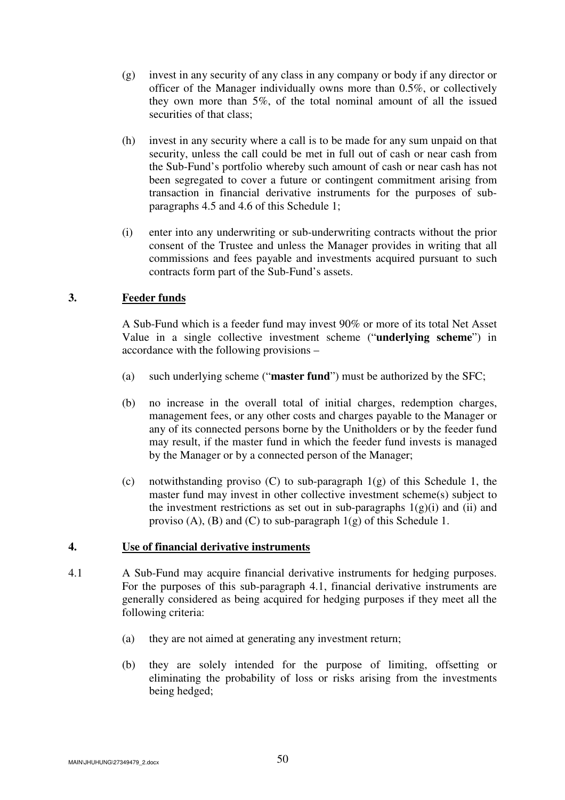- (g) invest in any security of any class in any company or body if any director or officer of the Manager individually owns more than 0.5%, or collectively they own more than 5%, of the total nominal amount of all the issued securities of that class;
- (h) invest in any security where a call is to be made for any sum unpaid on that security, unless the call could be met in full out of cash or near cash from the Sub-Fund's portfolio whereby such amount of cash or near cash has not been segregated to cover a future or contingent commitment arising from transaction in financial derivative instruments for the purposes of subparagraphs 4.5 and 4.6 of this Schedule 1;
- (i) enter into any underwriting or sub-underwriting contracts without the prior consent of the Trustee and unless the Manager provides in writing that all commissions and fees payable and investments acquired pursuant to such contracts form part of the Sub-Fund's assets.

# **3. Feeder funds**

 A Sub-Fund which is a feeder fund may invest 90% or more of its total Net Asset Value in a single collective investment scheme ("**underlying scheme**") in accordance with the following provisions –

- (a) such underlying scheme ("**master fund**") must be authorized by the SFC;
- (b) no increase in the overall total of initial charges, redemption charges, management fees, or any other costs and charges payable to the Manager or any of its connected persons borne by the Unitholders or by the feeder fund may result, if the master fund in which the feeder fund invests is managed by the Manager or by a connected person of the Manager;
- (c) notwithstanding proviso (C) to sub-paragraph 1(g) of this Schedule 1, the master fund may invest in other collective investment scheme(s) subject to the investment restrictions as set out in sub-paragraphs  $1(g)(i)$  and (ii) and proviso  $(A)$ ,  $(B)$  and  $(C)$  to sub-paragraph  $1(g)$  of this Schedule 1.

# **4. Use of financial derivative instruments**

- 4.1 A Sub-Fund may acquire financial derivative instruments for hedging purposes. For the purposes of this sub-paragraph 4.1, financial derivative instruments are generally considered as being acquired for hedging purposes if they meet all the following criteria:
	- (a) they are not aimed at generating any investment return;
	- (b) they are solely intended for the purpose of limiting, offsetting or eliminating the probability of loss or risks arising from the investments being hedged;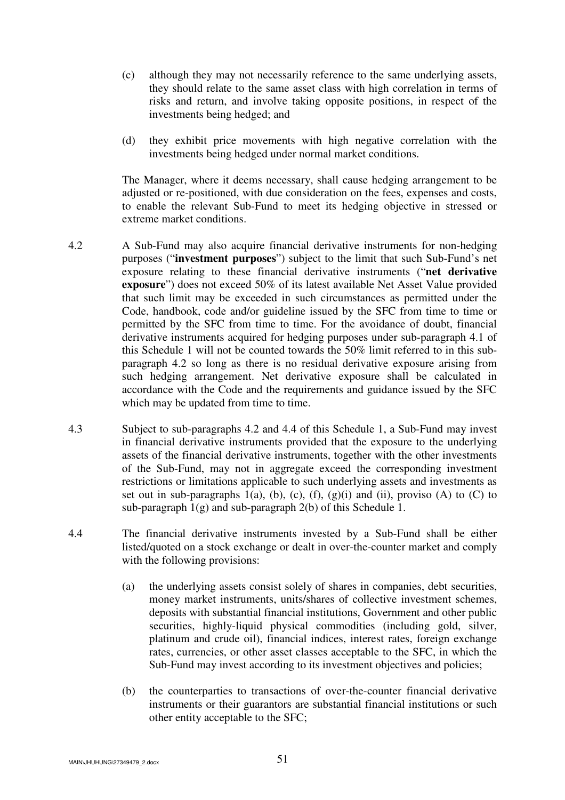- (c) although they may not necessarily reference to the same underlying assets, they should relate to the same asset class with high correlation in terms of risks and return, and involve taking opposite positions, in respect of the investments being hedged; and
- (d) they exhibit price movements with high negative correlation with the investments being hedged under normal market conditions.

The Manager, where it deems necessary, shall cause hedging arrangement to be adjusted or re-positioned, with due consideration on the fees, expenses and costs, to enable the relevant Sub-Fund to meet its hedging objective in stressed or extreme market conditions.

- 4.2 A Sub-Fund may also acquire financial derivative instruments for non-hedging purposes ("**investment purposes**") subject to the limit that such Sub-Fund's net exposure relating to these financial derivative instruments ("**net derivative exposure**") does not exceed 50% of its latest available Net Asset Value provided that such limit may be exceeded in such circumstances as permitted under the Code, handbook, code and/or guideline issued by the SFC from time to time or permitted by the SFC from time to time. For the avoidance of doubt, financial derivative instruments acquired for hedging purposes under sub-paragraph 4.1 of this Schedule 1 will not be counted towards the 50% limit referred to in this subparagraph 4.2 so long as there is no residual derivative exposure arising from such hedging arrangement. Net derivative exposure shall be calculated in accordance with the Code and the requirements and guidance issued by the SFC which may be updated from time to time.
- 4.3 Subject to sub-paragraphs 4.2 and 4.4 of this Schedule 1, a Sub-Fund may invest in financial derivative instruments provided that the exposure to the underlying assets of the financial derivative instruments, together with the other investments of the Sub-Fund, may not in aggregate exceed the corresponding investment restrictions or limitations applicable to such underlying assets and investments as set out in sub-paragraphs 1(a), (b), (c), (f), (g)(i) and (ii), proviso (A) to (C) to sub-paragraph  $1(g)$  and sub-paragraph  $2(b)$  of this Schedule 1.
- 4.4 The financial derivative instruments invested by a Sub-Fund shall be either listed/quoted on a stock exchange or dealt in over-the-counter market and comply with the following provisions:
	- (a) the underlying assets consist solely of shares in companies, debt securities, money market instruments, units/shares of collective investment schemes, deposits with substantial financial institutions, Government and other public securities, highly-liquid physical commodities (including gold, silver, platinum and crude oil), financial indices, interest rates, foreign exchange rates, currencies, or other asset classes acceptable to the SFC, in which the Sub-Fund may invest according to its investment objectives and policies;
	- (b) the counterparties to transactions of over-the-counter financial derivative instruments or their guarantors are substantial financial institutions or such other entity acceptable to the SFC;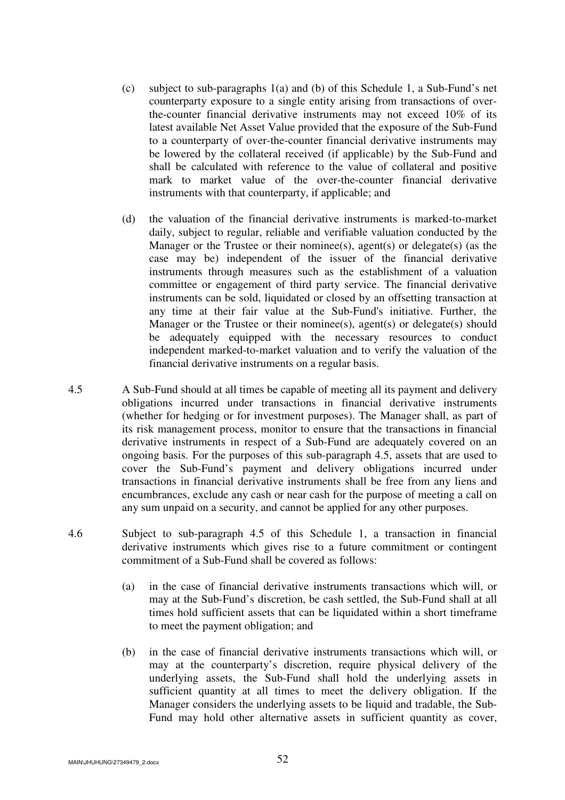- (c) subject to sub-paragraphs 1(a) and (b) of this Schedule 1, a Sub-Fund's net counterparty exposure to a single entity arising from transactions of overthe-counter financial derivative instruments may not exceed 10% of its latest available Net Asset Value provided that the exposure of the Sub-Fund to a counterparty of over-the-counter financial derivative instruments may be lowered by the collateral received (if applicable) by the Sub-Fund and shall be calculated with reference to the value of collateral and positive mark to market value of the over-the-counter financial derivative instruments with that counterparty, if applicable; and
- (d) the valuation of the financial derivative instruments is marked-to-market daily, subject to regular, reliable and verifiable valuation conducted by the Manager or the Trustee or their nominee(s), agent(s) or delegate(s) (as the case may be) independent of the issuer of the financial derivative instruments through measures such as the establishment of a valuation committee or engagement of third party service. The financial derivative instruments can be sold, liquidated or closed by an offsetting transaction at any time at their fair value at the Sub-Fund's initiative. Further, the Manager or the Trustee or their nominee(s), agent(s) or delegate(s) should be adequately equipped with the necessary resources to conduct independent marked-to-market valuation and to verify the valuation of the financial derivative instruments on a regular basis.
- 4.5 A Sub-Fund should at all times be capable of meeting all its payment and delivery obligations incurred under transactions in financial derivative instruments (whether for hedging or for investment purposes). The Manager shall, as part of its risk management process, monitor to ensure that the transactions in financial derivative instruments in respect of a Sub-Fund are adequately covered on an ongoing basis. For the purposes of this sub-paragraph 4.5, assets that are used to cover the Sub-Fund's payment and delivery obligations incurred under transactions in financial derivative instruments shall be free from any liens and encumbrances, exclude any cash or near cash for the purpose of meeting a call on any sum unpaid on a security, and cannot be applied for any other purposes.
- 4.6 Subject to sub-paragraph 4.5 of this Schedule 1, a transaction in financial derivative instruments which gives rise to a future commitment or contingent commitment of a Sub-Fund shall be covered as follows:
	- (a) in the case of financial derivative instruments transactions which will, or may at the Sub-Fund's discretion, be cash settled, the Sub-Fund shall at all times hold sufficient assets that can be liquidated within a short timeframe to meet the payment obligation; and
	- (b) in the case of financial derivative instruments transactions which will, or may at the counterparty's discretion, require physical delivery of the underlying assets, the Sub-Fund shall hold the underlying assets in sufficient quantity at all times to meet the delivery obligation. If the Manager considers the underlying assets to be liquid and tradable, the Sub-Fund may hold other alternative assets in sufficient quantity as cover,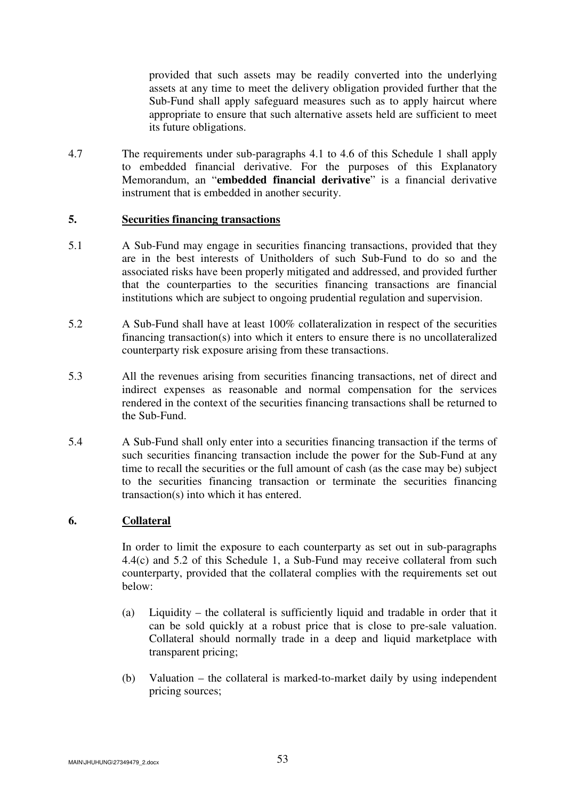provided that such assets may be readily converted into the underlying assets at any time to meet the delivery obligation provided further that the Sub-Fund shall apply safeguard measures such as to apply haircut where appropriate to ensure that such alternative assets held are sufficient to meet its future obligations.

4.7 The requirements under sub-paragraphs 4.1 to 4.6 of this Schedule 1 shall apply to embedded financial derivative. For the purposes of this Explanatory Memorandum, an "**embedded financial derivative**" is a financial derivative instrument that is embedded in another security.

### **5. Securities financing transactions**

- 5.1 A Sub-Fund may engage in securities financing transactions, provided that they are in the best interests of Unitholders of such Sub-Fund to do so and the associated risks have been properly mitigated and addressed, and provided further that the counterparties to the securities financing transactions are financial institutions which are subject to ongoing prudential regulation and supervision.
- 5.2 A Sub-Fund shall have at least 100% collateralization in respect of the securities financing transaction(s) into which it enters to ensure there is no uncollateralized counterparty risk exposure arising from these transactions.
- 5.3 All the revenues arising from securities financing transactions, net of direct and indirect expenses as reasonable and normal compensation for the services rendered in the context of the securities financing transactions shall be returned to the Sub-Fund.
- 5.4 A Sub-Fund shall only enter into a securities financing transaction if the terms of such securities financing transaction include the power for the Sub-Fund at any time to recall the securities or the full amount of cash (as the case may be) subject to the securities financing transaction or terminate the securities financing transaction(s) into which it has entered.

# **6. Collateral**

 In order to limit the exposure to each counterparty as set out in sub-paragraphs 4.4(c) and 5.2 of this Schedule 1, a Sub-Fund may receive collateral from such counterparty, provided that the collateral complies with the requirements set out below:

- (a) Liquidity the collateral is sufficiently liquid and tradable in order that it can be sold quickly at a robust price that is close to pre-sale valuation. Collateral should normally trade in a deep and liquid marketplace with transparent pricing;
- (b) Valuation the collateral is marked-to-market daily by using independent pricing sources;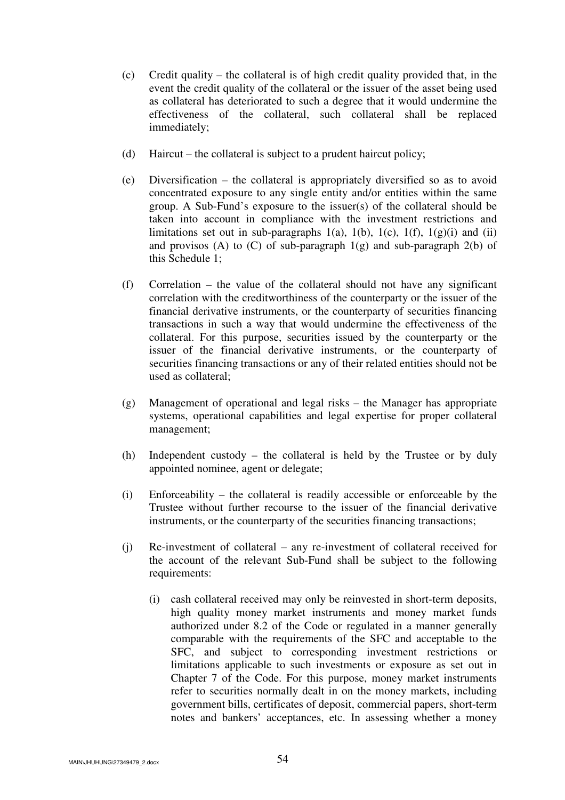- (c) Credit quality the collateral is of high credit quality provided that, in the event the credit quality of the collateral or the issuer of the asset being used as collateral has deteriorated to such a degree that it would undermine the effectiveness of the collateral, such collateral shall be replaced immediately;
- (d) Haircut the collateral is subject to a prudent haircut policy;
- (e) Diversification the collateral is appropriately diversified so as to avoid concentrated exposure to any single entity and/or entities within the same group. A Sub-Fund's exposure to the issuer(s) of the collateral should be taken into account in compliance with the investment restrictions and limitations set out in sub-paragraphs 1(a), 1(b), 1(c), 1(f), 1(g)(i) and (ii) and provisos (A) to (C) of sub-paragraph  $1(g)$  and sub-paragraph  $2(b)$  of this Schedule 1;
- (f) Correlation the value of the collateral should not have any significant correlation with the creditworthiness of the counterparty or the issuer of the financial derivative instruments, or the counterparty of securities financing transactions in such a way that would undermine the effectiveness of the collateral. For this purpose, securities issued by the counterparty or the issuer of the financial derivative instruments, or the counterparty of securities financing transactions or any of their related entities should not be used as collateral;
- (g) Management of operational and legal risks the Manager has appropriate systems, operational capabilities and legal expertise for proper collateral management;
- (h) Independent custody the collateral is held by the Trustee or by duly appointed nominee, agent or delegate;
- (i) Enforceability the collateral is readily accessible or enforceable by the Trustee without further recourse to the issuer of the financial derivative instruments, or the counterparty of the securities financing transactions;
- (j) Re-investment of collateral any re-investment of collateral received for the account of the relevant Sub-Fund shall be subject to the following requirements:
	- (i) cash collateral received may only be reinvested in short-term deposits, high quality money market instruments and money market funds authorized under 8.2 of the Code or regulated in a manner generally comparable with the requirements of the SFC and acceptable to the SFC, and subject to corresponding investment restrictions or limitations applicable to such investments or exposure as set out in Chapter 7 of the Code. For this purpose, money market instruments refer to securities normally dealt in on the money markets, including government bills, certificates of deposit, commercial papers, short-term notes and bankers' acceptances, etc. In assessing whether a money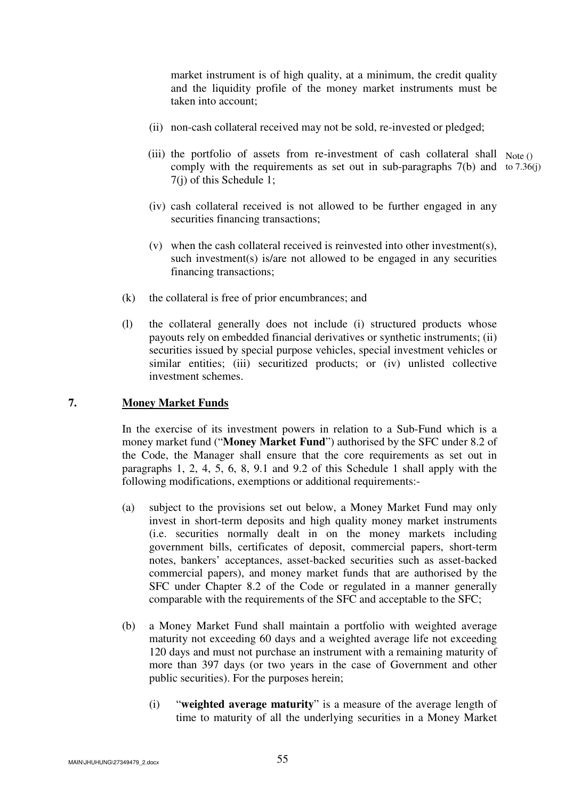market instrument is of high quality, at a minimum, the credit quality and the liquidity profile of the money market instruments must be taken into account;

- (ii) non-cash collateral received may not be sold, re-invested or pledged;
- (iii) the portfolio of assets from re-investment of cash collateral shall  $Note()$ comply with the requirements as set out in sub-paragraphs 7(b) and to 7.36(j) 7(j) of this Schedule 1;
	- (iv) cash collateral received is not allowed to be further engaged in any securities financing transactions;
	- $(v)$  when the cash collateral received is reinvested into other investment(s), such investment(s) is/are not allowed to be engaged in any securities financing transactions;
- (k) the collateral is free of prior encumbrances; and
- (l) the collateral generally does not include (i) structured products whose payouts rely on embedded financial derivatives or synthetic instruments; (ii) securities issued by special purpose vehicles, special investment vehicles or similar entities; (iii) securitized products; or (iv) unlisted collective investment schemes.

#### **7. Money Market Funds**

 In the exercise of its investment powers in relation to a Sub-Fund which is a money market fund ("**Money Market Fund**") authorised by the SFC under 8.2 of the Code, the Manager shall ensure that the core requirements as set out in paragraphs 1, 2, 4, 5, 6, 8, 9.1 and 9.2 of this Schedule 1 shall apply with the following modifications, exemptions or additional requirements:-

- (a) subject to the provisions set out below, a Money Market Fund may only invest in short-term deposits and high quality money market instruments (i.e. securities normally dealt in on the money markets including government bills, certificates of deposit, commercial papers, short-term notes, bankers' acceptances, asset-backed securities such as asset-backed commercial papers), and money market funds that are authorised by the SFC under Chapter 8.2 of the Code or regulated in a manner generally comparable with the requirements of the SFC and acceptable to the SFC;
- (b) a Money Market Fund shall maintain a portfolio with weighted average maturity not exceeding 60 days and a weighted average life not exceeding 120 days and must not purchase an instrument with a remaining maturity of more than 397 days (or two years in the case of Government and other public securities). For the purposes herein;
	- (i) "**weighted average maturity**" is a measure of the average length of time to maturity of all the underlying securities in a Money Market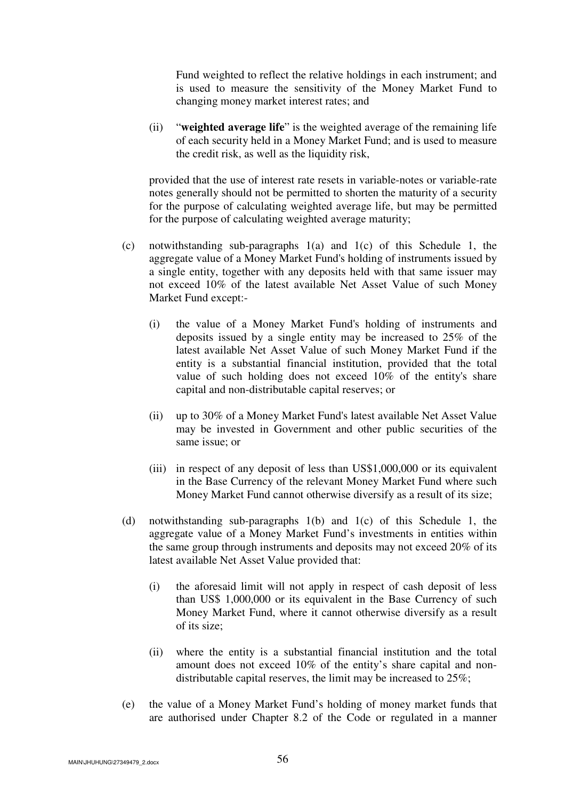Fund weighted to reflect the relative holdings in each instrument; and is used to measure the sensitivity of the Money Market Fund to changing money market interest rates; and

(ii) "**weighted average life**" is the weighted average of the remaining life of each security held in a Money Market Fund; and is used to measure the credit risk, as well as the liquidity risk,

 provided that the use of interest rate resets in variable-notes or variable-rate notes generally should not be permitted to shorten the maturity of a security for the purpose of calculating weighted average life, but may be permitted for the purpose of calculating weighted average maturity;

- (c) notwithstanding sub-paragraphs 1(a) and 1(c) of this Schedule 1, the aggregate value of a Money Market Fund's holding of instruments issued by a single entity, together with any deposits held with that same issuer may not exceed 10% of the latest available Net Asset Value of such Money Market Fund except:-
	- (i) the value of a Money Market Fund's holding of instruments and deposits issued by a single entity may be increased to 25% of the latest available Net Asset Value of such Money Market Fund if the entity is a substantial financial institution, provided that the total value of such holding does not exceed 10% of the entity's share capital and non-distributable capital reserves; or
	- (ii) up to 30% of a Money Market Fund's latest available Net Asset Value may be invested in Government and other public securities of the same issue; or
	- (iii) in respect of any deposit of less than US\$1,000,000 or its equivalent in the Base Currency of the relevant Money Market Fund where such Money Market Fund cannot otherwise diversify as a result of its size;
- (d) notwithstanding sub-paragraphs 1(b) and 1(c) of this Schedule 1, the aggregate value of a Money Market Fund's investments in entities within the same group through instruments and deposits may not exceed 20% of its latest available Net Asset Value provided that:
	- (i) the aforesaid limit will not apply in respect of cash deposit of less than US\$ 1,000,000 or its equivalent in the Base Currency of such Money Market Fund, where it cannot otherwise diversify as a result of its size;
	- (ii) where the entity is a substantial financial institution and the total amount does not exceed 10% of the entity's share capital and nondistributable capital reserves, the limit may be increased to 25%;
- (e) the value of a Money Market Fund's holding of money market funds that are authorised under Chapter 8.2 of the Code or regulated in a manner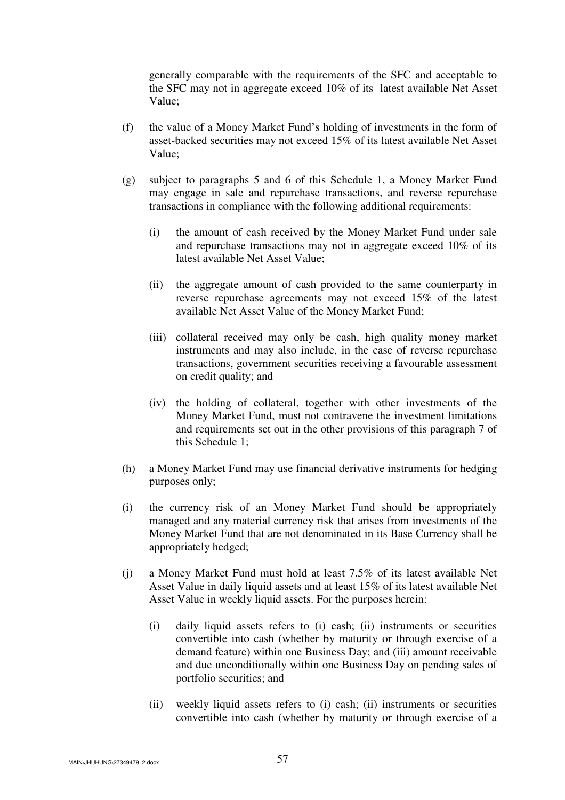generally comparable with the requirements of the SFC and acceptable to the SFC may not in aggregate exceed 10% of its latest available Net Asset Value;

- (f) the value of a Money Market Fund's holding of investments in the form of asset-backed securities may not exceed 15% of its latest available Net Asset Value;
- (g) subject to paragraphs 5 and 6 of this Schedule 1, a Money Market Fund may engage in sale and repurchase transactions, and reverse repurchase transactions in compliance with the following additional requirements:
	- (i) the amount of cash received by the Money Market Fund under sale and repurchase transactions may not in aggregate exceed 10% of its latest available Net Asset Value;
	- (ii) the aggregate amount of cash provided to the same counterparty in reverse repurchase agreements may not exceed 15% of the latest available Net Asset Value of the Money Market Fund;
	- (iii) collateral received may only be cash, high quality money market instruments and may also include, in the case of reverse repurchase transactions, government securities receiving a favourable assessment on credit quality; and
	- (iv) the holding of collateral, together with other investments of the Money Market Fund, must not contravene the investment limitations and requirements set out in the other provisions of this paragraph 7 of this Schedule 1;
- (h) a Money Market Fund may use financial derivative instruments for hedging purposes only;
- (i) the currency risk of an Money Market Fund should be appropriately managed and any material currency risk that arises from investments of the Money Market Fund that are not denominated in its Base Currency shall be appropriately hedged;
- (j) a Money Market Fund must hold at least 7.5% of its latest available Net Asset Value in daily liquid assets and at least 15% of its latest available Net Asset Value in weekly liquid assets. For the purposes herein:
	- (i) daily liquid assets refers to (i) cash; (ii) instruments or securities convertible into cash (whether by maturity or through exercise of a demand feature) within one Business Day; and (iii) amount receivable and due unconditionally within one Business Day on pending sales of portfolio securities; and
	- (ii) weekly liquid assets refers to (i) cash; (ii) instruments or securities convertible into cash (whether by maturity or through exercise of a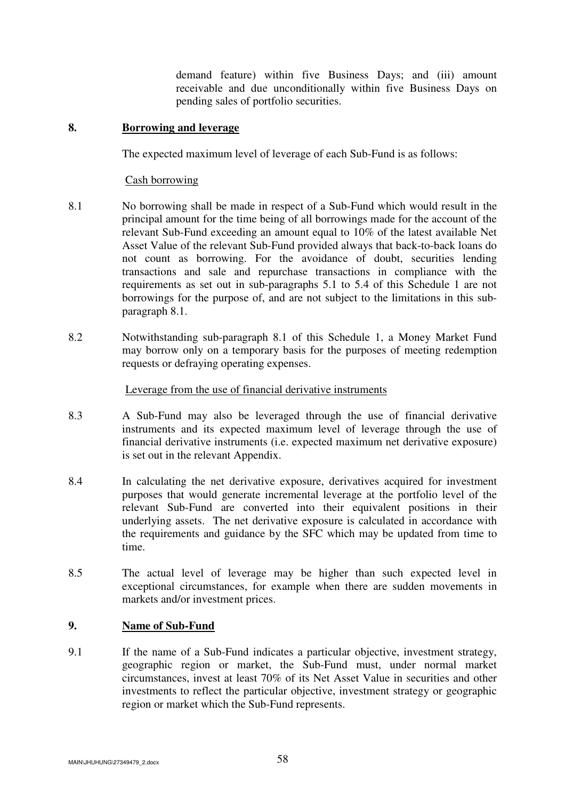demand feature) within five Business Days; and (iii) amount receivable and due unconditionally within five Business Days on pending sales of portfolio securities.

### **8. Borrowing and leverage**

The expected maximum level of leverage of each Sub-Fund is as follows:

### Cash borrowing

- 8.1 No borrowing shall be made in respect of a Sub-Fund which would result in the principal amount for the time being of all borrowings made for the account of the relevant Sub-Fund exceeding an amount equal to 10% of the latest available Net Asset Value of the relevant Sub-Fund provided always that back-to-back loans do not count as borrowing. For the avoidance of doubt, securities lending transactions and sale and repurchase transactions in compliance with the requirements as set out in sub-paragraphs 5.1 to 5.4 of this Schedule 1 are not borrowings for the purpose of, and are not subject to the limitations in this subparagraph 8.1.
- 8.2 Notwithstanding sub-paragraph 8.1 of this Schedule 1, a Money Market Fund may borrow only on a temporary basis for the purposes of meeting redemption requests or defraying operating expenses.

## Leverage from the use of financial derivative instruments

- 8.3 A Sub-Fund may also be leveraged through the use of financial derivative instruments and its expected maximum level of leverage through the use of financial derivative instruments (i.e. expected maximum net derivative exposure) is set out in the relevant Appendix.
- 8.4 In calculating the net derivative exposure, derivatives acquired for investment purposes that would generate incremental leverage at the portfolio level of the relevant Sub-Fund are converted into their equivalent positions in their underlying assets. The net derivative exposure is calculated in accordance with the requirements and guidance by the SFC which may be updated from time to time.
- 8.5 The actual level of leverage may be higher than such expected level in exceptional circumstances, for example when there are sudden movements in markets and/or investment prices.

## **9. Name of Sub-Fund**

9.1 If the name of a Sub-Fund indicates a particular objective, investment strategy, geographic region or market, the Sub-Fund must, under normal market circumstances, invest at least 70% of its Net Asset Value in securities and other investments to reflect the particular objective, investment strategy or geographic region or market which the Sub-Fund represents.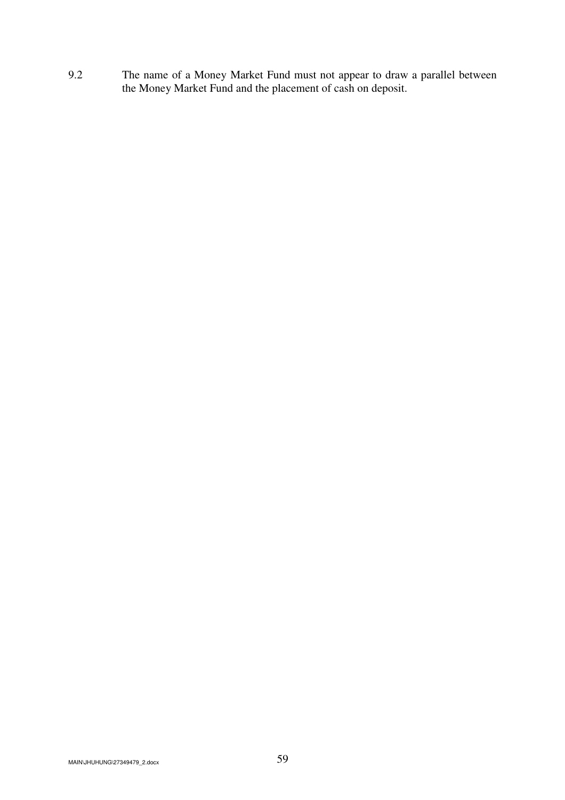9.2 The name of a Money Market Fund must not appear to draw a parallel between the Money Market Fund and the placement of cash on deposit.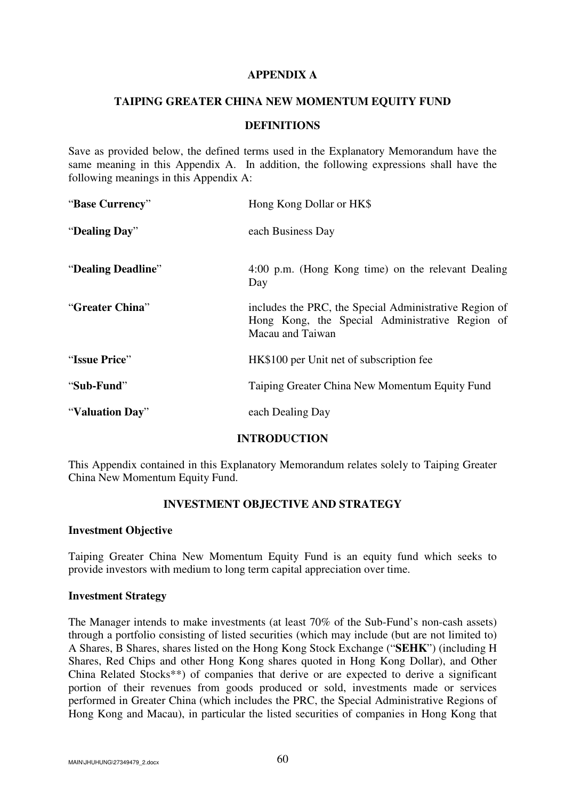### **APPENDIX A**

#### **TAIPING GREATER CHINA NEW MOMENTUM EQUITY FUND**

#### **DEFINITIONS**

Save as provided below, the defined terms used in the Explanatory Memorandum have the same meaning in this Appendix A. In addition, the following expressions shall have the following meanings in this Appendix A:

| "Base Currency"    | Hong Kong Dollar or HK\$                                                                                                      |  |
|--------------------|-------------------------------------------------------------------------------------------------------------------------------|--|
| "Dealing Day"      | each Business Day                                                                                                             |  |
| "Dealing Deadline" | 4:00 p.m. (Hong Kong time) on the relevant Dealing<br>Day                                                                     |  |
| "Greater China"    | includes the PRC, the Special Administrative Region of<br>Hong Kong, the Special Administrative Region of<br>Macau and Taiwan |  |
| "Issue Price"      | HK\$100 per Unit net of subscription fee                                                                                      |  |
| "Sub-Fund"         | Taiping Greater China New Momentum Equity Fund                                                                                |  |
| "Valuation Day"    | each Dealing Day                                                                                                              |  |

### **INTRODUCTION**

This Appendix contained in this Explanatory Memorandum relates solely to Taiping Greater China New Momentum Equity Fund.

# **INVESTMENT OBJECTIVE AND STRATEGY**

#### **Investment Objective**

Taiping Greater China New Momentum Equity Fund is an equity fund which seeks to provide investors with medium to long term capital appreciation over time.

## **Investment Strategy**

The Manager intends to make investments (at least 70% of the Sub-Fund's non-cash assets) through a portfolio consisting of listed securities (which may include (but are not limited to) A Shares, B Shares, shares listed on the Hong Kong Stock Exchange ("**SEHK**") (including H Shares, Red Chips and other Hong Kong shares quoted in Hong Kong Dollar), and Other China Related Stocks\*\*) of companies that derive or are expected to derive a significant portion of their revenues from goods produced or sold, investments made or services performed in Greater China (which includes the PRC, the Special Administrative Regions of Hong Kong and Macau), in particular the listed securities of companies in Hong Kong that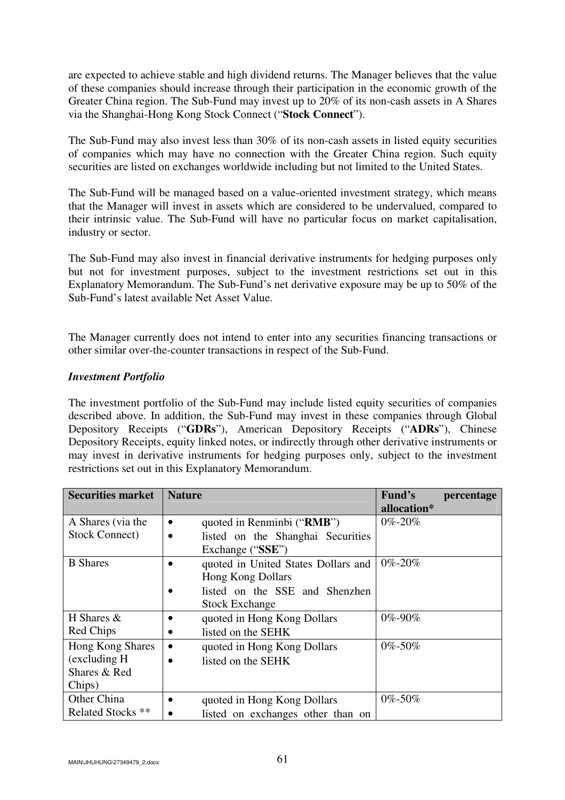are expected to achieve stable and high dividend returns. The Manager believes that the value of these companies should increase through their participation in the economic growth of the Greater China region. The Sub-Fund may invest up to 20% of its non-cash assets in A Shares via the Shanghai-Hong Kong Stock Connect ("**Stock Connect**").

The Sub-Fund may also invest less than 30% of its non-cash assets in listed equity securities of companies which may have no connection with the Greater China region. Such equity securities are listed on exchanges worldwide including but not limited to the United States.

The Sub-Fund will be managed based on a value-oriented investment strategy, which means that the Manager will invest in assets which are considered to be undervalued, compared to their intrinsic value. The Sub-Fund will have no particular focus on market capitalisation, industry or sector.

The Sub-Fund may also invest in financial derivative instruments for hedging purposes only but not for investment purposes, subject to the investment restrictions set out in this Explanatory Memorandum. The Sub-Fund's net derivative exposure may be up to 50% of the Sub-Fund's latest available Net Asset Value.

The Manager currently does not intend to enter into any securities financing transactions or other similar over-the-counter transactions in respect of the Sub-Fund.

## *Investment Portfolio*

The investment portfolio of the Sub-Fund may include listed equity securities of companies described above. In addition, the Sub-Fund may invest in these companies through Global Depository Receipts ("**GDRs**"), American Depository Receipts ("**ADRs**"), Chinese Depository Receipts, equity linked notes, or indirectly through other derivative instruments or may invest in derivative instruments for hedging purposes only, subject to the investment restrictions set out in this Explanatory Memorandum.

| <b>Securities market</b>     | <b>Nature</b>                                  | Fund's<br>percentage |
|------------------------------|------------------------------------------------|----------------------|
|                              |                                                | allocation*          |
| A Shares (via the            | quoted in Renminbi ("RMB")<br>$\bullet$        | $0\% - 20\%$         |
| Stock Connect)               | listed on the Shanghai Securities<br>$\bullet$ |                      |
|                              | Exchange ("SSE")                               |                      |
| <b>B</b> Shares              | quoted in United States Dollars and            | $0\% - 20\%$         |
|                              | <b>Hong Kong Dollars</b>                       |                      |
|                              | listed on the SSE and Shenzhen                 |                      |
|                              | <b>Stock Exchange</b>                          |                      |
| H Shares $&$                 | quoted in Hong Kong Dollars                    | 0%-90%               |
| Red Chips                    | listed on the SEHK                             |                      |
| Hong Kong Shares             | quoted in Hong Kong Dollars                    | 0%-50%               |
| (excluding H)                | listed on the SEHK                             |                      |
| Shares & Red                 |                                                |                      |
| Chips)                       |                                                |                      |
| Other China                  | quoted in Hong Kong Dollars                    | $0\% - 50\%$         |
| Related Stocks <sup>**</sup> | listed on exchanges other than on              |                      |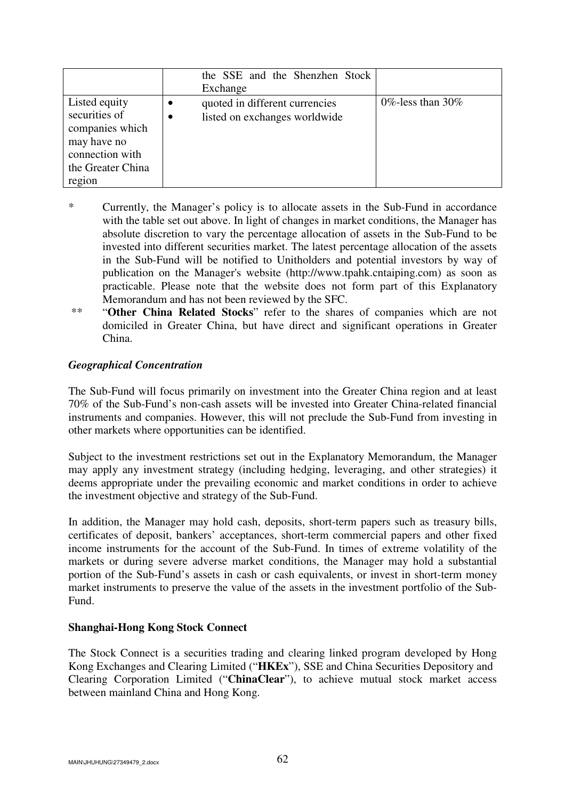|                                                                                                                    |           | the SSE and the Shenzhen Stock<br>Exchange                      |                    |
|--------------------------------------------------------------------------------------------------------------------|-----------|-----------------------------------------------------------------|--------------------|
| Listed equity<br>securities of<br>companies which<br>may have no<br>connection with<br>the Greater China<br>region | $\bullet$ | quoted in different currencies<br>listed on exchanges worldwide | 0\%-less than 30\% |

- \* Currently, the Manager's policy is to allocate assets in the Sub-Fund in accordance with the table set out above. In light of changes in market conditions, the Manager has absolute discretion to vary the percentage allocation of assets in the Sub-Fund to be invested into different securities market. The latest percentage allocation of the assets in the Sub-Fund will be notified to Unitholders and potential investors by way of publication on the Manager's website (http://www.tpahk.cntaiping.com) as soon as practicable. Please note that the website does not form part of this Explanatory Memorandum and has not been reviewed by the SFC.
- \*\* "**Other China Related Stocks**" refer to the shares of companies which are not domiciled in Greater China, but have direct and significant operations in Greater China.

## *Geographical Concentration*

The Sub-Fund will focus primarily on investment into the Greater China region and at least 70% of the Sub-Fund's non-cash assets will be invested into Greater China-related financial instruments and companies. However, this will not preclude the Sub-Fund from investing in other markets where opportunities can be identified.

Subject to the investment restrictions set out in the Explanatory Memorandum, the Manager may apply any investment strategy (including hedging, leveraging, and other strategies) it deems appropriate under the prevailing economic and market conditions in order to achieve the investment objective and strategy of the Sub-Fund.

In addition, the Manager may hold cash, deposits, short-term papers such as treasury bills, certificates of deposit, bankers' acceptances, short-term commercial papers and other fixed income instruments for the account of the Sub-Fund. In times of extreme volatility of the markets or during severe adverse market conditions, the Manager may hold a substantial portion of the Sub-Fund's assets in cash or cash equivalents, or invest in short-term money market instruments to preserve the value of the assets in the investment portfolio of the Sub-Fund.

### **Shanghai-Hong Kong Stock Connect**

The Stock Connect is a securities trading and clearing linked program developed by Hong Kong Exchanges and Clearing Limited ("**HKEx**"), SSE and China Securities Depository and Clearing Corporation Limited ("**ChinaClear**"), to achieve mutual stock market access between mainland China and Hong Kong.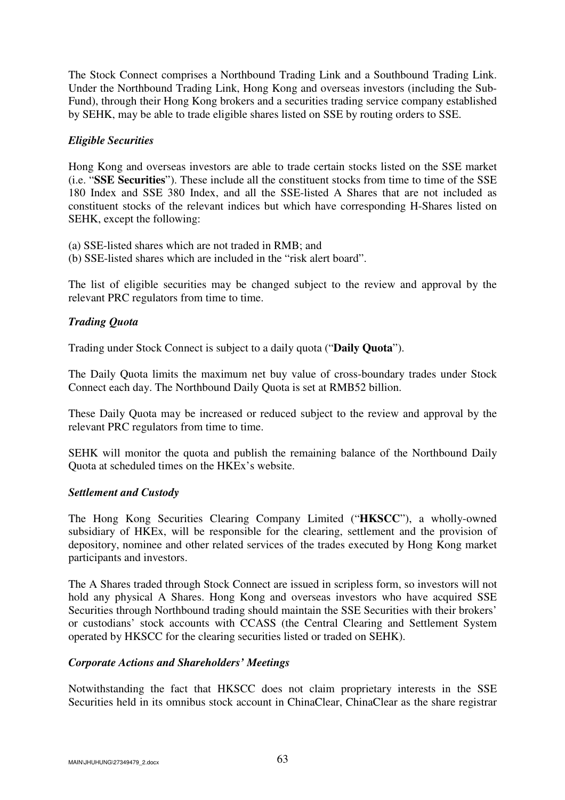The Stock Connect comprises a Northbound Trading Link and a Southbound Trading Link. Under the Northbound Trading Link, Hong Kong and overseas investors (including the Sub-Fund), through their Hong Kong brokers and a securities trading service company established by SEHK, may be able to trade eligible shares listed on SSE by routing orders to SSE.

## *Eligible Securities*

Hong Kong and overseas investors are able to trade certain stocks listed on the SSE market (i.e. "**SSE Securities**"). These include all the constituent stocks from time to time of the SSE 180 Index and SSE 380 Index, and all the SSE-listed A Shares that are not included as constituent stocks of the relevant indices but which have corresponding H-Shares listed on SEHK, except the following:

(a) SSE-listed shares which are not traded in RMB; and

(b) SSE-listed shares which are included in the "risk alert board".

The list of eligible securities may be changed subject to the review and approval by the relevant PRC regulators from time to time.

# *Trading Quota*

Trading under Stock Connect is subject to a daily quota ("**Daily Quota**").

The Daily Quota limits the maximum net buy value of cross-boundary trades under Stock Connect each day. The Northbound Daily Quota is set at RMB52 billion.

These Daily Quota may be increased or reduced subject to the review and approval by the relevant PRC regulators from time to time.

SEHK will monitor the quota and publish the remaining balance of the Northbound Daily Quota at scheduled times on the HKEx's website.

### *Settlement and Custody*

The Hong Kong Securities Clearing Company Limited ("**HKSCC**"), a wholly-owned subsidiary of HKEx, will be responsible for the clearing, settlement and the provision of depository, nominee and other related services of the trades executed by Hong Kong market participants and investors.

The A Shares traded through Stock Connect are issued in scripless form, so investors will not hold any physical A Shares. Hong Kong and overseas investors who have acquired SSE Securities through Northbound trading should maintain the SSE Securities with their brokers' or custodians' stock accounts with CCASS (the Central Clearing and Settlement System operated by HKSCC for the clearing securities listed or traded on SEHK).

### *Corporate Actions and Shareholders' Meetings*

Notwithstanding the fact that HKSCC does not claim proprietary interests in the SSE Securities held in its omnibus stock account in ChinaClear, ChinaClear as the share registrar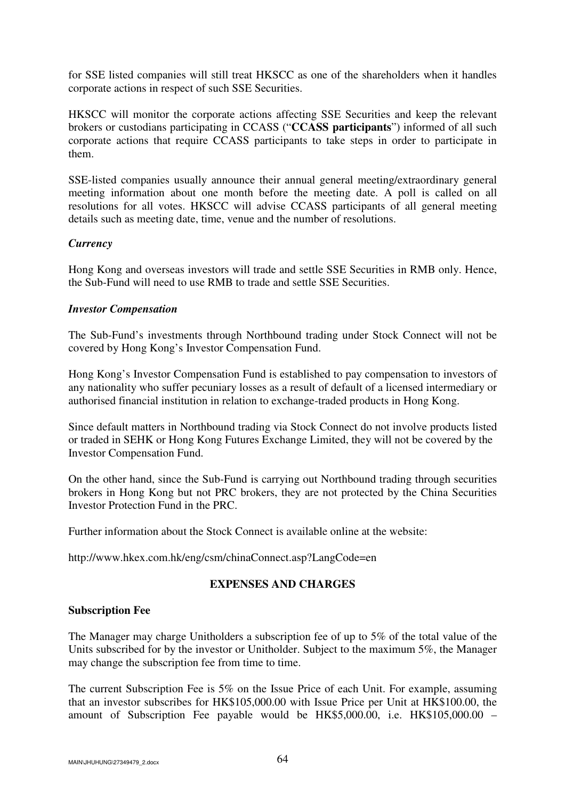for SSE listed companies will still treat HKSCC as one of the shareholders when it handles corporate actions in respect of such SSE Securities.

HKSCC will monitor the corporate actions affecting SSE Securities and keep the relevant brokers or custodians participating in CCASS ("**CCASS participants**") informed of all such corporate actions that require CCASS participants to take steps in order to participate in them.

SSE-listed companies usually announce their annual general meeting/extraordinary general meeting information about one month before the meeting date. A poll is called on all resolutions for all votes. HKSCC will advise CCASS participants of all general meeting details such as meeting date, time, venue and the number of resolutions.

## *Currency*

Hong Kong and overseas investors will trade and settle SSE Securities in RMB only. Hence, the Sub-Fund will need to use RMB to trade and settle SSE Securities.

## *Investor Compensation*

The Sub-Fund's investments through Northbound trading under Stock Connect will not be covered by Hong Kong's Investor Compensation Fund.

Hong Kong's Investor Compensation Fund is established to pay compensation to investors of any nationality who suffer pecuniary losses as a result of default of a licensed intermediary or authorised financial institution in relation to exchange-traded products in Hong Kong.

Since default matters in Northbound trading via Stock Connect do not involve products listed or traded in SEHK or Hong Kong Futures Exchange Limited, they will not be covered by the Investor Compensation Fund.

On the other hand, since the Sub-Fund is carrying out Northbound trading through securities brokers in Hong Kong but not PRC brokers, they are not protected by the China Securities Investor Protection Fund in the PRC.

Further information about the Stock Connect is available online at the website:

http://www.hkex.com.hk/eng/csm/chinaConnect.asp?LangCode=en

# **EXPENSES AND CHARGES**

### **Subscription Fee**

The Manager may charge Unitholders a subscription fee of up to 5% of the total value of the Units subscribed for by the investor or Unitholder. Subject to the maximum 5%, the Manager may change the subscription fee from time to time.

The current Subscription Fee is 5% on the Issue Price of each Unit. For example, assuming that an investor subscribes for HK\$105,000.00 with Issue Price per Unit at HK\$100.00, the amount of Subscription Fee payable would be HK\$5,000.00, i.e. HK\$105,000.00 –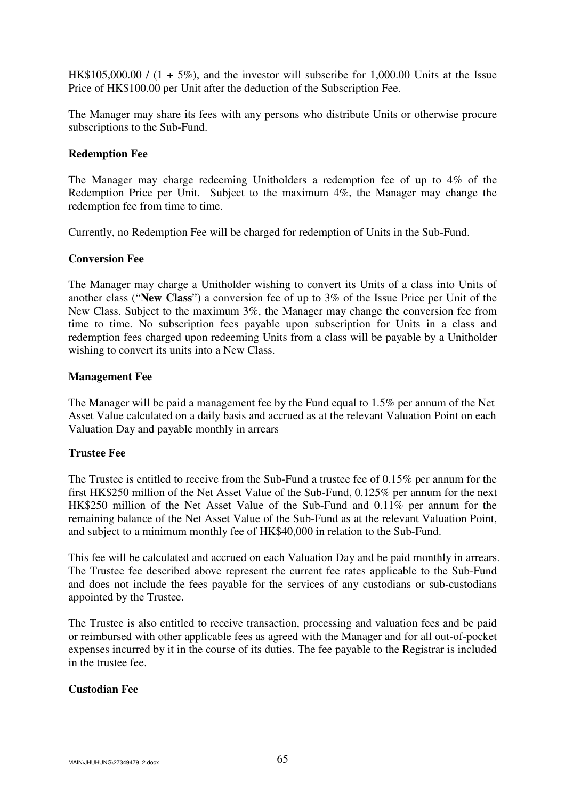HK\$105,000.00 /  $(1 + 5\%)$ , and the investor will subscribe for 1,000.00 Units at the Issue Price of HK\$100.00 per Unit after the deduction of the Subscription Fee.

The Manager may share its fees with any persons who distribute Units or otherwise procure subscriptions to the Sub-Fund.

### **Redemption Fee**

The Manager may charge redeeming Unitholders a redemption fee of up to 4% of the Redemption Price per Unit. Subject to the maximum 4%, the Manager may change the redemption fee from time to time.

Currently, no Redemption Fee will be charged for redemption of Units in the Sub-Fund.

#### **Conversion Fee**

The Manager may charge a Unitholder wishing to convert its Units of a class into Units of another class ("**New Class**") a conversion fee of up to 3% of the Issue Price per Unit of the New Class. Subject to the maximum 3%, the Manager may change the conversion fee from time to time. No subscription fees payable upon subscription for Units in a class and redemption fees charged upon redeeming Units from a class will be payable by a Unitholder wishing to convert its units into a New Class.

#### **Management Fee**

The Manager will be paid a management fee by the Fund equal to 1.5% per annum of the Net Asset Value calculated on a daily basis and accrued as at the relevant Valuation Point on each Valuation Day and payable monthly in arrears

### **Trustee Fee**

The Trustee is entitled to receive from the Sub-Fund a trustee fee of 0.15% per annum for the first HK\$250 million of the Net Asset Value of the Sub-Fund, 0.125% per annum for the next HK\$250 million of the Net Asset Value of the Sub-Fund and 0.11% per annum for the remaining balance of the Net Asset Value of the Sub-Fund as at the relevant Valuation Point, and subject to a minimum monthly fee of HK\$40,000 in relation to the Sub-Fund.

This fee will be calculated and accrued on each Valuation Day and be paid monthly in arrears. The Trustee fee described above represent the current fee rates applicable to the Sub-Fund and does not include the fees payable for the services of any custodians or sub-custodians appointed by the Trustee.

The Trustee is also entitled to receive transaction, processing and valuation fees and be paid or reimbursed with other applicable fees as agreed with the Manager and for all out-of-pocket expenses incurred by it in the course of its duties. The fee payable to the Registrar is included in the trustee fee.

### **Custodian Fee**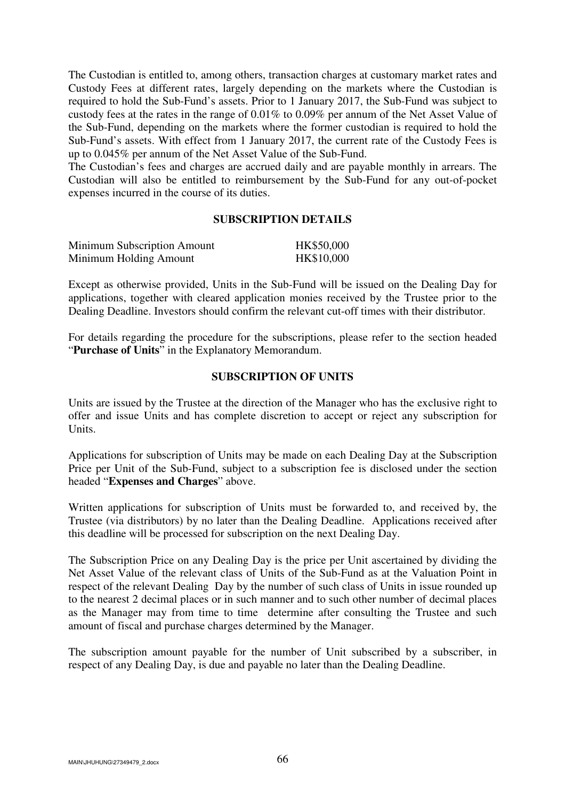The Custodian is entitled to, among others, transaction charges at customary market rates and Custody Fees at different rates, largely depending on the markets where the Custodian is required to hold the Sub-Fund's assets. Prior to 1 January 2017, the Sub-Fund was subject to custody fees at the rates in the range of 0.01% to 0.09% per annum of the Net Asset Value of the Sub-Fund, depending on the markets where the former custodian is required to hold the Sub-Fund's assets. With effect from 1 January 2017, the current rate of the Custody Fees is up to 0.045% per annum of the Net Asset Value of the Sub-Fund.

The Custodian's fees and charges are accrued daily and are payable monthly in arrears. The Custodian will also be entitled to reimbursement by the Sub-Fund for any out-of-pocket expenses incurred in the course of its duties.

### **SUBSCRIPTION DETAILS**

| Minimum Subscription Amount | HK\$50,000 |
|-----------------------------|------------|
| Minimum Holding Amount      | HK\$10,000 |

Except as otherwise provided, Units in the Sub-Fund will be issued on the Dealing Day for applications, together with cleared application monies received by the Trustee prior to the Dealing Deadline. Investors should confirm the relevant cut-off times with their distributor.

For details regarding the procedure for the subscriptions, please refer to the section headed "**Purchase of Units**" in the Explanatory Memorandum.

#### **SUBSCRIPTION OF UNITS**

Units are issued by the Trustee at the direction of the Manager who has the exclusive right to offer and issue Units and has complete discretion to accept or reject any subscription for Units.

Applications for subscription of Units may be made on each Dealing Day at the Subscription Price per Unit of the Sub-Fund, subject to a subscription fee is disclosed under the section headed "**Expenses and Charges**" above.

Written applications for subscription of Units must be forwarded to, and received by, the Trustee (via distributors) by no later than the Dealing Deadline. Applications received after this deadline will be processed for subscription on the next Dealing Day.

The Subscription Price on any Dealing Day is the price per Unit ascertained by dividing the Net Asset Value of the relevant class of Units of the Sub-Fund as at the Valuation Point in respect of the relevant Dealing Day by the number of such class of Units in issue rounded up to the nearest 2 decimal places or in such manner and to such other number of decimal places as the Manager may from time to time determine after consulting the Trustee and such amount of fiscal and purchase charges determined by the Manager.

The subscription amount payable for the number of Unit subscribed by a subscriber, in respect of any Dealing Day, is due and payable no later than the Dealing Deadline.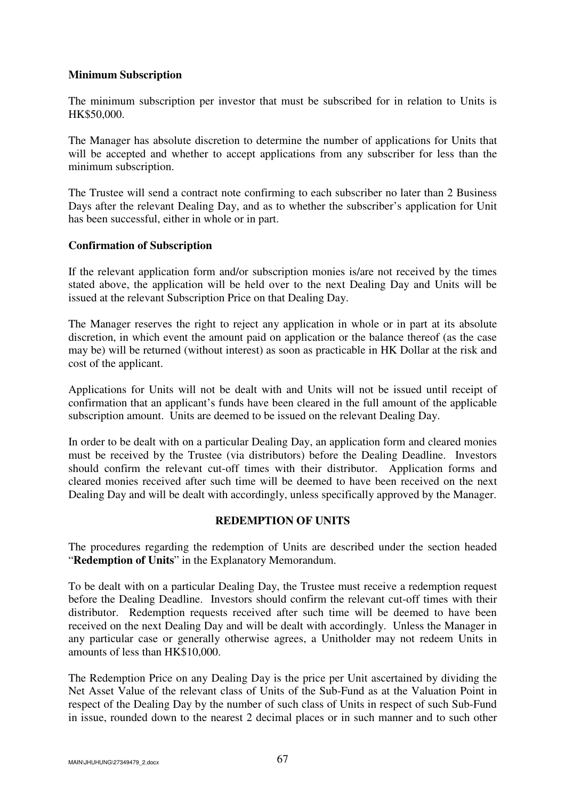## **Minimum Subscription**

The minimum subscription per investor that must be subscribed for in relation to Units is HK\$50,000.

The Manager has absolute discretion to determine the number of applications for Units that will be accepted and whether to accept applications from any subscriber for less than the minimum subscription.

The Trustee will send a contract note confirming to each subscriber no later than 2 Business Days after the relevant Dealing Day, and as to whether the subscriber's application for Unit has been successful, either in whole or in part.

## **Confirmation of Subscription**

If the relevant application form and/or subscription monies is/are not received by the times stated above, the application will be held over to the next Dealing Day and Units will be issued at the relevant Subscription Price on that Dealing Day.

The Manager reserves the right to reject any application in whole or in part at its absolute discretion, in which event the amount paid on application or the balance thereof (as the case may be) will be returned (without interest) as soon as practicable in HK Dollar at the risk and cost of the applicant.

Applications for Units will not be dealt with and Units will not be issued until receipt of confirmation that an applicant's funds have been cleared in the full amount of the applicable subscription amount. Units are deemed to be issued on the relevant Dealing Day.

In order to be dealt with on a particular Dealing Day, an application form and cleared monies must be received by the Trustee (via distributors) before the Dealing Deadline. Investors should confirm the relevant cut-off times with their distributor. Application forms and cleared monies received after such time will be deemed to have been received on the next Dealing Day and will be dealt with accordingly, unless specifically approved by the Manager.

# **REDEMPTION OF UNITS**

The procedures regarding the redemption of Units are described under the section headed "**Redemption of Units**" in the Explanatory Memorandum.

To be dealt with on a particular Dealing Day, the Trustee must receive a redemption request before the Dealing Deadline. Investors should confirm the relevant cut-off times with their distributor. Redemption requests received after such time will be deemed to have been received on the next Dealing Day and will be dealt with accordingly. Unless the Manager in any particular case or generally otherwise agrees, a Unitholder may not redeem Units in amounts of less than HK\$10,000.

The Redemption Price on any Dealing Day is the price per Unit ascertained by dividing the Net Asset Value of the relevant class of Units of the Sub-Fund as at the Valuation Point in respect of the Dealing Day by the number of such class of Units in respect of such Sub-Fund in issue, rounded down to the nearest 2 decimal places or in such manner and to such other

MAIN\JHUHUNG\27349479\_2.docx 67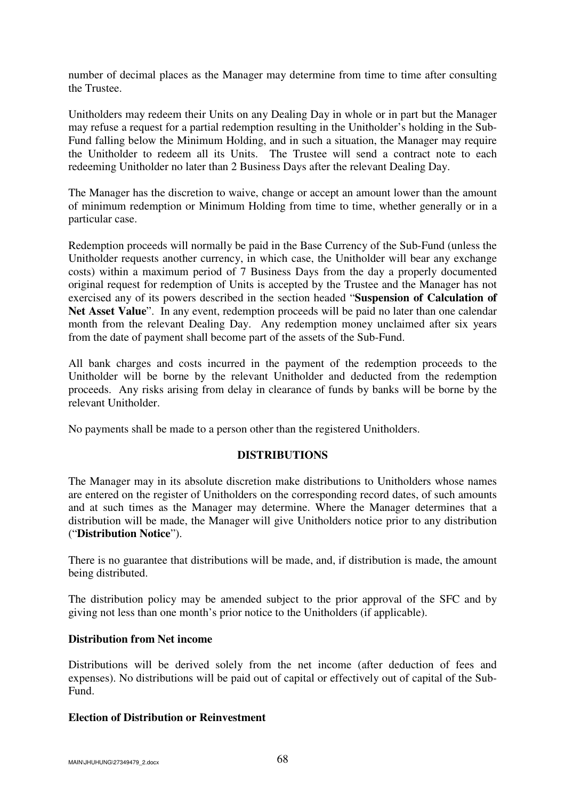number of decimal places as the Manager may determine from time to time after consulting the Trustee.

Unitholders may redeem their Units on any Dealing Day in whole or in part but the Manager may refuse a request for a partial redemption resulting in the Unitholder's holding in the Sub-Fund falling below the Minimum Holding, and in such a situation, the Manager may require the Unitholder to redeem all its Units. The Trustee will send a contract note to each redeeming Unitholder no later than 2 Business Days after the relevant Dealing Day.

The Manager has the discretion to waive, change or accept an amount lower than the amount of minimum redemption or Minimum Holding from time to time, whether generally or in a particular case.

Redemption proceeds will normally be paid in the Base Currency of the Sub-Fund (unless the Unitholder requests another currency, in which case, the Unitholder will bear any exchange costs) within a maximum period of 7 Business Days from the day a properly documented original request for redemption of Units is accepted by the Trustee and the Manager has not exercised any of its powers described in the section headed "**Suspension of Calculation of**  Net Asset Value". In any event, redemption proceeds will be paid no later than one calendar month from the relevant Dealing Day. Any redemption money unclaimed after six years from the date of payment shall become part of the assets of the Sub-Fund.

All bank charges and costs incurred in the payment of the redemption proceeds to the Unitholder will be borne by the relevant Unitholder and deducted from the redemption proceeds. Any risks arising from delay in clearance of funds by banks will be borne by the relevant Unitholder.

No payments shall be made to a person other than the registered Unitholders.

### **DISTRIBUTIONS**

The Manager may in its absolute discretion make distributions to Unitholders whose names are entered on the register of Unitholders on the corresponding record dates, of such amounts and at such times as the Manager may determine. Where the Manager determines that a distribution will be made, the Manager will give Unitholders notice prior to any distribution ("**Distribution Notice**").

There is no guarantee that distributions will be made, and, if distribution is made, the amount being distributed.

The distribution policy may be amended subject to the prior approval of the SFC and by giving not less than one month's prior notice to the Unitholders (if applicable).

## **Distribution from Net income**

Distributions will be derived solely from the net income (after deduction of fees and expenses). No distributions will be paid out of capital or effectively out of capital of the Sub-Fund.

### **Election of Distribution or Reinvestment**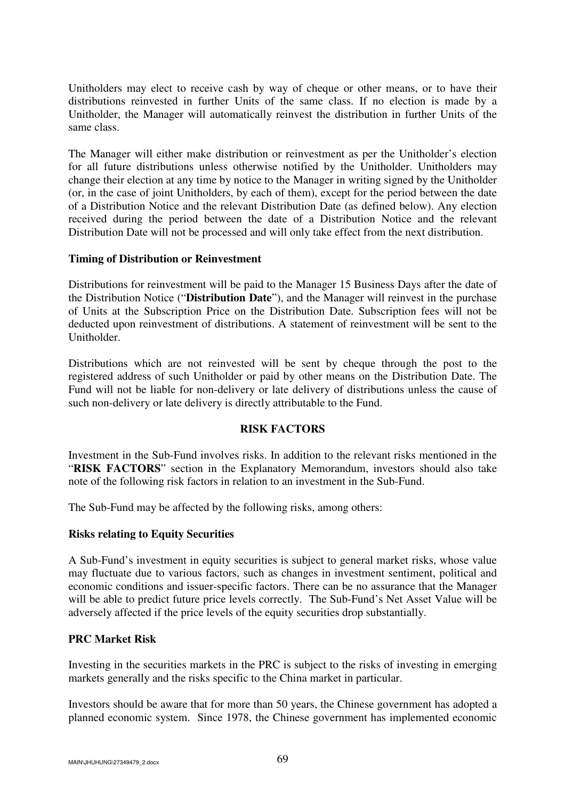Unitholders may elect to receive cash by way of cheque or other means, or to have their distributions reinvested in further Units of the same class. If no election is made by a Unitholder, the Manager will automatically reinvest the distribution in further Units of the same class.

The Manager will either make distribution or reinvestment as per the Unitholder's election for all future distributions unless otherwise notified by the Unitholder. Unitholders may change their election at any time by notice to the Manager in writing signed by the Unitholder (or, in the case of joint Unitholders, by each of them), except for the period between the date of a Distribution Notice and the relevant Distribution Date (as defined below). Any election received during the period between the date of a Distribution Notice and the relevant Distribution Date will not be processed and will only take effect from the next distribution.

## **Timing of Distribution or Reinvestment**

Distributions for reinvestment will be paid to the Manager 15 Business Days after the date of the Distribution Notice ("**Distribution Date**"), and the Manager will reinvest in the purchase of Units at the Subscription Price on the Distribution Date. Subscription fees will not be deducted upon reinvestment of distributions. A statement of reinvestment will be sent to the Unitholder.

Distributions which are not reinvested will be sent by cheque through the post to the registered address of such Unitholder or paid by other means on the Distribution Date. The Fund will not be liable for non-delivery or late delivery of distributions unless the cause of such non-delivery or late delivery is directly attributable to the Fund.

### **RISK FACTORS**

Investment in the Sub-Fund involves risks. In addition to the relevant risks mentioned in the "**RISK FACTORS**" section in the Explanatory Memorandum, investors should also take note of the following risk factors in relation to an investment in the Sub-Fund.

The Sub-Fund may be affected by the following risks, among others:

### **Risks relating to Equity Securities**

A Sub-Fund's investment in equity securities is subject to general market risks, whose value may fluctuate due to various factors, such as changes in investment sentiment, political and economic conditions and issuer-specific factors. There can be no assurance that the Manager will be able to predict future price levels correctly. The Sub-Fund's Net Asset Value will be adversely affected if the price levels of the equity securities drop substantially.

# **PRC Market Risk**

Investing in the securities markets in the PRC is subject to the risks of investing in emerging markets generally and the risks specific to the China market in particular.

Investors should be aware that for more than 50 years, the Chinese government has adopted a planned economic system. Since 1978, the Chinese government has implemented economic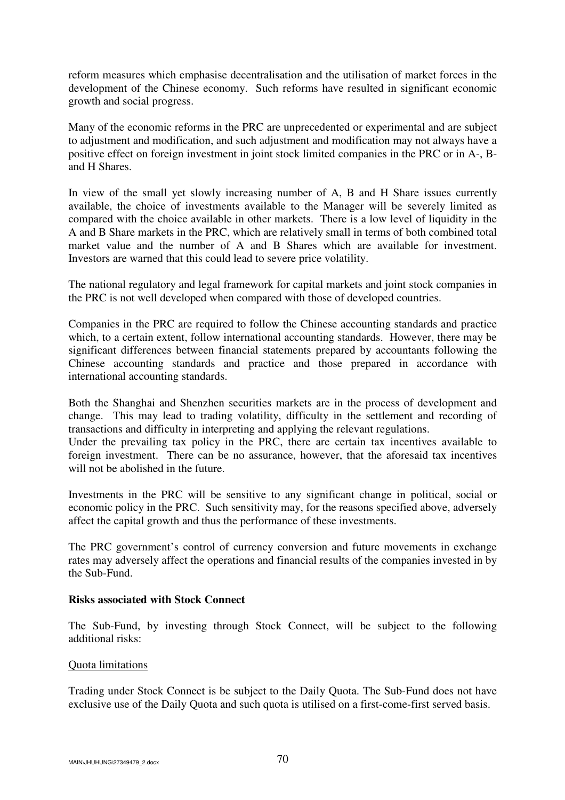reform measures which emphasise decentralisation and the utilisation of market forces in the development of the Chinese economy. Such reforms have resulted in significant economic growth and social progress.

Many of the economic reforms in the PRC are unprecedented or experimental and are subject to adjustment and modification, and such adjustment and modification may not always have a positive effect on foreign investment in joint stock limited companies in the PRC or in A-, Band H Shares.

In view of the small yet slowly increasing number of A, B and H Share issues currently available, the choice of investments available to the Manager will be severely limited as compared with the choice available in other markets. There is a low level of liquidity in the A and B Share markets in the PRC, which are relatively small in terms of both combined total market value and the number of A and B Shares which are available for investment. Investors are warned that this could lead to severe price volatility.

The national regulatory and legal framework for capital markets and joint stock companies in the PRC is not well developed when compared with those of developed countries.

Companies in the PRC are required to follow the Chinese accounting standards and practice which, to a certain extent, follow international accounting standards. However, there may be significant differences between financial statements prepared by accountants following the Chinese accounting standards and practice and those prepared in accordance with international accounting standards.

Both the Shanghai and Shenzhen securities markets are in the process of development and change. This may lead to trading volatility, difficulty in the settlement and recording of transactions and difficulty in interpreting and applying the relevant regulations.

Under the prevailing tax policy in the PRC, there are certain tax incentives available to foreign investment. There can be no assurance, however, that the aforesaid tax incentives will not be abolished in the future.

Investments in the PRC will be sensitive to any significant change in political, social or economic policy in the PRC. Such sensitivity may, for the reasons specified above, adversely affect the capital growth and thus the performance of these investments.

The PRC government's control of currency conversion and future movements in exchange rates may adversely affect the operations and financial results of the companies invested in by the Sub-Fund.

### **Risks associated with Stock Connect**

The Sub-Fund, by investing through Stock Connect, will be subject to the following additional risks:

### Quota limitations

Trading under Stock Connect is be subject to the Daily Quota. The Sub-Fund does not have exclusive use of the Daily Quota and such quota is utilised on a first-come-first served basis.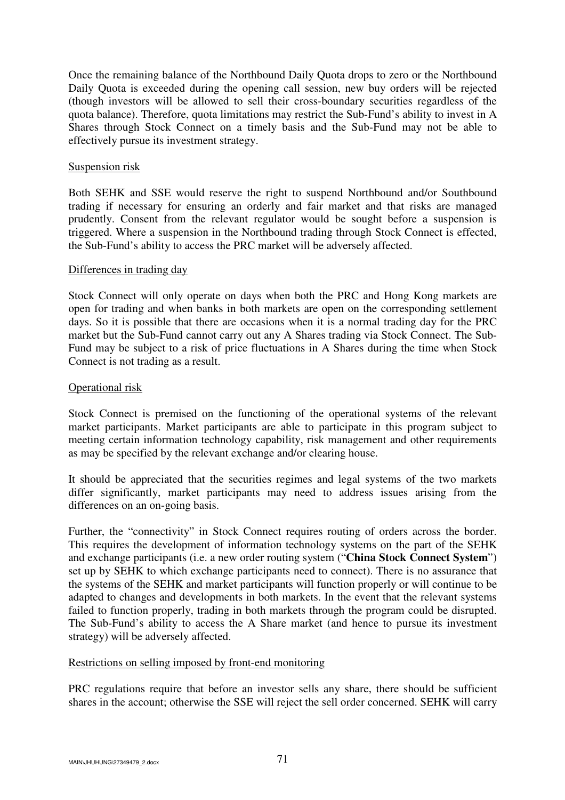Once the remaining balance of the Northbound Daily Quota drops to zero or the Northbound Daily Quota is exceeded during the opening call session, new buy orders will be rejected (though investors will be allowed to sell their cross-boundary securities regardless of the quota balance). Therefore, quota limitations may restrict the Sub-Fund's ability to invest in A Shares through Stock Connect on a timely basis and the Sub-Fund may not be able to effectively pursue its investment strategy.

#### Suspension risk

Both SEHK and SSE would reserve the right to suspend Northbound and/or Southbound trading if necessary for ensuring an orderly and fair market and that risks are managed prudently. Consent from the relevant regulator would be sought before a suspension is triggered. Where a suspension in the Northbound trading through Stock Connect is effected, the Sub-Fund's ability to access the PRC market will be adversely affected.

#### Differences in trading day

Stock Connect will only operate on days when both the PRC and Hong Kong markets are open for trading and when banks in both markets are open on the corresponding settlement days. So it is possible that there are occasions when it is a normal trading day for the PRC market but the Sub-Fund cannot carry out any A Shares trading via Stock Connect. The Sub-Fund may be subject to a risk of price fluctuations in A Shares during the time when Stock Connect is not trading as a result.

### Operational risk

Stock Connect is premised on the functioning of the operational systems of the relevant market participants. Market participants are able to participate in this program subject to meeting certain information technology capability, risk management and other requirements as may be specified by the relevant exchange and/or clearing house.

It should be appreciated that the securities regimes and legal systems of the two markets differ significantly, market participants may need to address issues arising from the differences on an on-going basis.

Further, the "connectivity" in Stock Connect requires routing of orders across the border. This requires the development of information technology systems on the part of the SEHK and exchange participants (i.e. a new order routing system ("**China Stock Connect System**") set up by SEHK to which exchange participants need to connect). There is no assurance that the systems of the SEHK and market participants will function properly or will continue to be adapted to changes and developments in both markets. In the event that the relevant systems failed to function properly, trading in both markets through the program could be disrupted. The Sub-Fund's ability to access the A Share market (and hence to pursue its investment strategy) will be adversely affected.

## Restrictions on selling imposed by front-end monitoring

PRC regulations require that before an investor sells any share, there should be sufficient shares in the account; otherwise the SSE will reject the sell order concerned. SEHK will carry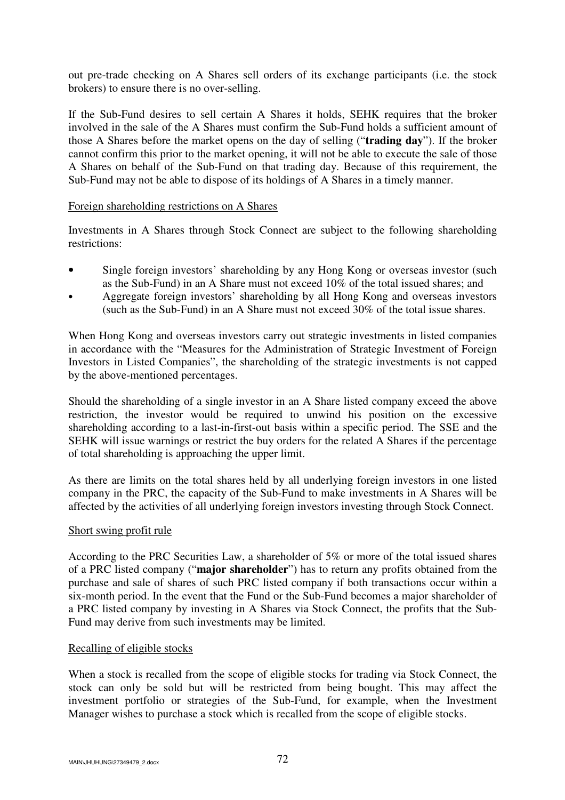out pre-trade checking on A Shares sell orders of its exchange participants (i.e. the stock brokers) to ensure there is no over-selling.

If the Sub-Fund desires to sell certain A Shares it holds, SEHK requires that the broker involved in the sale of the A Shares must confirm the Sub-Fund holds a sufficient amount of those A Shares before the market opens on the day of selling ("**trading day**"). If the broker cannot confirm this prior to the market opening, it will not be able to execute the sale of those A Shares on behalf of the Sub-Fund on that trading day. Because of this requirement, the Sub-Fund may not be able to dispose of its holdings of A Shares in a timely manner.

### Foreign shareholding restrictions on A Shares

Investments in A Shares through Stock Connect are subject to the following shareholding restrictions:

- Single foreign investors' shareholding by any Hong Kong or overseas investor (such as the Sub-Fund) in an A Share must not exceed 10% of the total issued shares; and
- Aggregate foreign investors' shareholding by all Hong Kong and overseas investors (such as the Sub-Fund) in an A Share must not exceed 30% of the total issue shares.

When Hong Kong and overseas investors carry out strategic investments in listed companies in accordance with the "Measures for the Administration of Strategic Investment of Foreign Investors in Listed Companies", the shareholding of the strategic investments is not capped by the above-mentioned percentages.

Should the shareholding of a single investor in an A Share listed company exceed the above restriction, the investor would be required to unwind his position on the excessive shareholding according to a last-in-first-out basis within a specific period. The SSE and the SEHK will issue warnings or restrict the buy orders for the related A Shares if the percentage of total shareholding is approaching the upper limit.

As there are limits on the total shares held by all underlying foreign investors in one listed company in the PRC, the capacity of the Sub-Fund to make investments in A Shares will be affected by the activities of all underlying foreign investors investing through Stock Connect.

### Short swing profit rule

According to the PRC Securities Law, a shareholder of 5% or more of the total issued shares of a PRC listed company ("**major shareholder**") has to return any profits obtained from the purchase and sale of shares of such PRC listed company if both transactions occur within a six-month period. In the event that the Fund or the Sub-Fund becomes a major shareholder of a PRC listed company by investing in A Shares via Stock Connect, the profits that the Sub-Fund may derive from such investments may be limited.

### Recalling of eligible stocks

When a stock is recalled from the scope of eligible stocks for trading via Stock Connect, the stock can only be sold but will be restricted from being bought. This may affect the investment portfolio or strategies of the Sub-Fund, for example, when the Investment Manager wishes to purchase a stock which is recalled from the scope of eligible stocks.

 $M$ AIN\JHUHUNG\27349479\_2.docx  $72$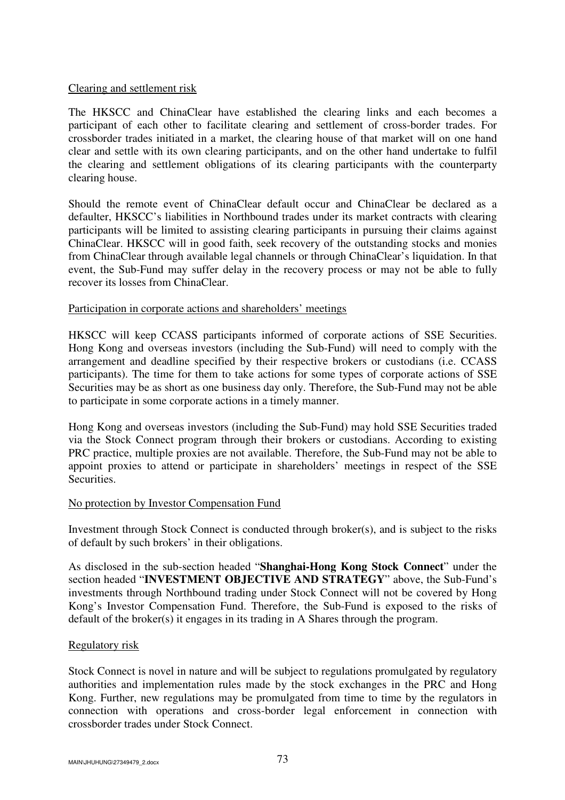#### Clearing and settlement risk

The HKSCC and ChinaClear have established the clearing links and each becomes a participant of each other to facilitate clearing and settlement of cross-border trades. For crossborder trades initiated in a market, the clearing house of that market will on one hand clear and settle with its own clearing participants, and on the other hand undertake to fulfil the clearing and settlement obligations of its clearing participants with the counterparty clearing house.

Should the remote event of ChinaClear default occur and ChinaClear be declared as a defaulter, HKSCC's liabilities in Northbound trades under its market contracts with clearing participants will be limited to assisting clearing participants in pursuing their claims against ChinaClear. HKSCC will in good faith, seek recovery of the outstanding stocks and monies from ChinaClear through available legal channels or through ChinaClear's liquidation. In that event, the Sub-Fund may suffer delay in the recovery process or may not be able to fully recover its losses from ChinaClear.

#### Participation in corporate actions and shareholders' meetings

HKSCC will keep CCASS participants informed of corporate actions of SSE Securities. Hong Kong and overseas investors (including the Sub-Fund) will need to comply with the arrangement and deadline specified by their respective brokers or custodians (i.e. CCASS participants). The time for them to take actions for some types of corporate actions of SSE Securities may be as short as one business day only. Therefore, the Sub-Fund may not be able to participate in some corporate actions in a timely manner.

Hong Kong and overseas investors (including the Sub-Fund) may hold SSE Securities traded via the Stock Connect program through their brokers or custodians. According to existing PRC practice, multiple proxies are not available. Therefore, the Sub-Fund may not be able to appoint proxies to attend or participate in shareholders' meetings in respect of the SSE Securities.

### No protection by Investor Compensation Fund

Investment through Stock Connect is conducted through broker(s), and is subject to the risks of default by such brokers' in their obligations.

As disclosed in the sub-section headed "**Shanghai-Hong Kong Stock Connect**" under the section headed "**INVESTMENT OBJECTIVE AND STRATEGY**" above, the Sub-Fund's investments through Northbound trading under Stock Connect will not be covered by Hong Kong's Investor Compensation Fund. Therefore, the Sub-Fund is exposed to the risks of default of the broker(s) it engages in its trading in A Shares through the program.

### Regulatory risk

Stock Connect is novel in nature and will be subject to regulations promulgated by regulatory authorities and implementation rules made by the stock exchanges in the PRC and Hong Kong. Further, new regulations may be promulgated from time to time by the regulators in connection with operations and cross-border legal enforcement in connection with crossborder trades under Stock Connect.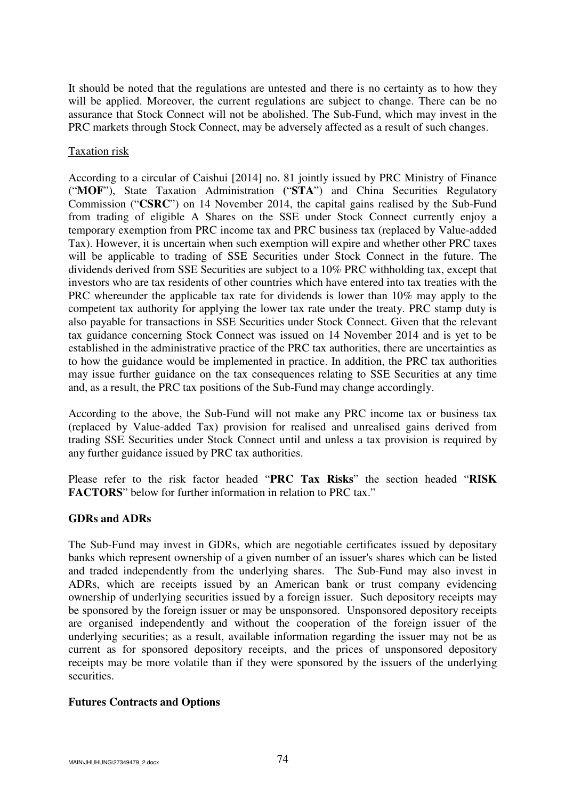It should be noted that the regulations are untested and there is no certainty as to how they will be applied. Moreover, the current regulations are subject to change. There can be no assurance that Stock Connect will not be abolished. The Sub-Fund, which may invest in the PRC markets through Stock Connect, may be adversely affected as a result of such changes.

### Taxation risk

According to a circular of Caishui [2014] no. 81 jointly issued by PRC Ministry of Finance ("**MOF**"), State Taxation Administration **(**"**STA**") and China Securities Regulatory Commission ("**CSRC**") on 14 November 2014, the capital gains realised by the Sub-Fund from trading of eligible A Shares on the SSE under Stock Connect currently enjoy a temporary exemption from PRC income tax and PRC business tax (replaced by Value-added Tax). However, it is uncertain when such exemption will expire and whether other PRC taxes will be applicable to trading of SSE Securities under Stock Connect in the future. The dividends derived from SSE Securities are subject to a 10% PRC withholding tax, except that investors who are tax residents of other countries which have entered into tax treaties with the PRC whereunder the applicable tax rate for dividends is lower than 10% may apply to the competent tax authority for applying the lower tax rate under the treaty. PRC stamp duty is also payable for transactions in SSE Securities under Stock Connect. Given that the relevant tax guidance concerning Stock Connect was issued on 14 November 2014 and is yet to be established in the administrative practice of the PRC tax authorities, there are uncertainties as to how the guidance would be implemented in practice. In addition, the PRC tax authorities may issue further guidance on the tax consequences relating to SSE Securities at any time and, as a result, the PRC tax positions of the Sub-Fund may change accordingly.

According to the above, the Sub-Fund will not make any PRC income tax or business tax (replaced by Value-added Tax) provision for realised and unrealised gains derived from trading SSE Securities under Stock Connect until and unless a tax provision is required by any further guidance issued by PRC tax authorities.

Please refer to the risk factor headed "**PRC Tax Risks**" the section headed "**RISK FACTORS**" below for further information in relation to PRC tax."

# **GDRs and ADRs**

The Sub-Fund may invest in GDRs, which are negotiable certificates issued by depositary banks which represent ownership of a given number of an issuer's shares which can be listed and traded independently from the underlying shares. The Sub-Fund may also invest in ADRs, which are receipts issued by an American bank or trust company evidencing ownership of underlying securities issued by a foreign issuer. Such depository receipts may be sponsored by the foreign issuer or may be unsponsored. Unsponsored depository receipts are organised independently and without the cooperation of the foreign issuer of the underlying securities; as a result, available information regarding the issuer may not be as current as for sponsored depository receipts, and the prices of unsponsored depository receipts may be more volatile than if they were sponsored by the issuers of the underlying securities.

# **Futures Contracts and Options**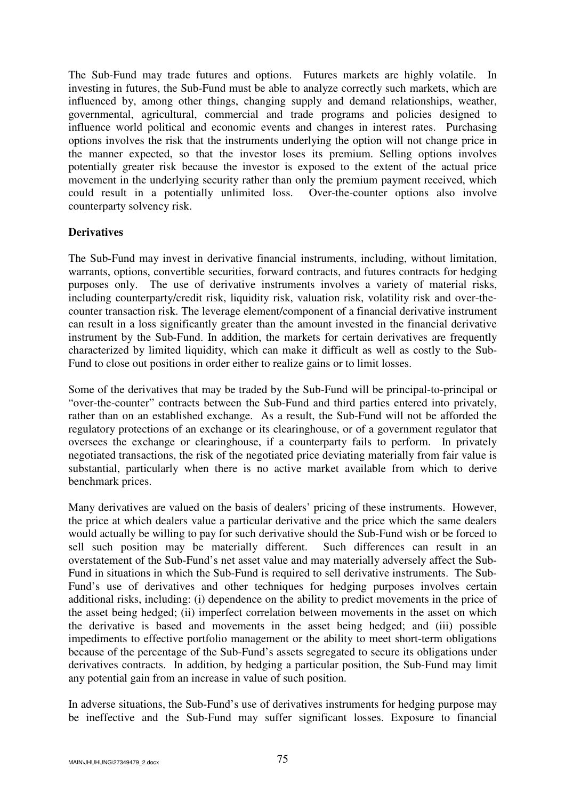The Sub-Fund may trade futures and options. Futures markets are highly volatile. In investing in futures, the Sub-Fund must be able to analyze correctly such markets, which are influenced by, among other things, changing supply and demand relationships, weather, governmental, agricultural, commercial and trade programs and policies designed to influence world political and economic events and changes in interest rates. Purchasing options involves the risk that the instruments underlying the option will not change price in the manner expected, so that the investor loses its premium. Selling options involves potentially greater risk because the investor is exposed to the extent of the actual price movement in the underlying security rather than only the premium payment received, which could result in a potentially unlimited loss. Over-the-counter options also involve counterparty solvency risk.

### **Derivatives**

The Sub-Fund may invest in derivative financial instruments, including, without limitation, warrants, options, convertible securities, forward contracts, and futures contracts for hedging purposes only. The use of derivative instruments involves a variety of material risks, including counterparty/credit risk, liquidity risk, valuation risk, volatility risk and over-thecounter transaction risk. The leverage element/component of a financial derivative instrument can result in a loss significantly greater than the amount invested in the financial derivative instrument by the Sub-Fund. In addition, the markets for certain derivatives are frequently characterized by limited liquidity, which can make it difficult as well as costly to the Sub-Fund to close out positions in order either to realize gains or to limit losses.

Some of the derivatives that may be traded by the Sub-Fund will be principal-to-principal or "over-the-counter" contracts between the Sub-Fund and third parties entered into privately, rather than on an established exchange. As a result, the Sub-Fund will not be afforded the regulatory protections of an exchange or its clearinghouse, or of a government regulator that oversees the exchange or clearinghouse, if a counterparty fails to perform. In privately negotiated transactions, the risk of the negotiated price deviating materially from fair value is substantial, particularly when there is no active market available from which to derive benchmark prices.

Many derivatives are valued on the basis of dealers' pricing of these instruments. However, the price at which dealers value a particular derivative and the price which the same dealers would actually be willing to pay for such derivative should the Sub-Fund wish or be forced to sell such position may be materially different. Such differences can result in an overstatement of the Sub-Fund's net asset value and may materially adversely affect the Sub-Fund in situations in which the Sub-Fund is required to sell derivative instruments. The Sub-Fund's use of derivatives and other techniques for hedging purposes involves certain additional risks, including: (i) dependence on the ability to predict movements in the price of the asset being hedged; (ii) imperfect correlation between movements in the asset on which the derivative is based and movements in the asset being hedged; and (iii) possible impediments to effective portfolio management or the ability to meet short-term obligations because of the percentage of the Sub-Fund's assets segregated to secure its obligations under derivatives contracts. In addition, by hedging a particular position, the Sub-Fund may limit any potential gain from an increase in value of such position.

In adverse situations, the Sub-Fund's use of derivatives instruments for hedging purpose may be ineffective and the Sub-Fund may suffer significant losses. Exposure to financial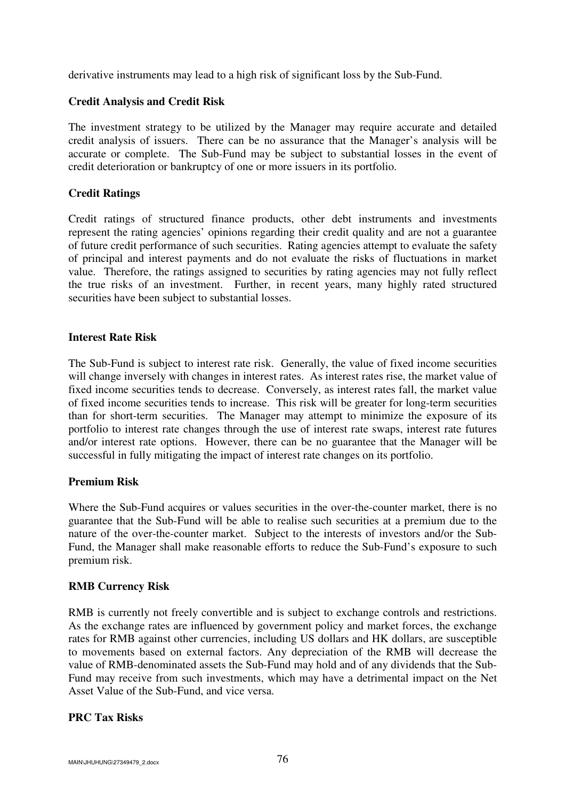derivative instruments may lead to a high risk of significant loss by the Sub-Fund.

### **Credit Analysis and Credit Risk**

The investment strategy to be utilized by the Manager may require accurate and detailed credit analysis of issuers. There can be no assurance that the Manager's analysis will be accurate or complete. The Sub-Fund may be subject to substantial losses in the event of credit deterioration or bankruptcy of one or more issuers in its portfolio.

## **Credit Ratings**

Credit ratings of structured finance products, other debt instruments and investments represent the rating agencies' opinions regarding their credit quality and are not a guarantee of future credit performance of such securities. Rating agencies attempt to evaluate the safety of principal and interest payments and do not evaluate the risks of fluctuations in market value. Therefore, the ratings assigned to securities by rating agencies may not fully reflect the true risks of an investment. Further, in recent years, many highly rated structured securities have been subject to substantial losses.

### **Interest Rate Risk**

The Sub-Fund is subject to interest rate risk. Generally, the value of fixed income securities will change inversely with changes in interest rates. As interest rates rise, the market value of fixed income securities tends to decrease. Conversely, as interest rates fall, the market value of fixed income securities tends to increase. This risk will be greater for long-term securities than for short-term securities. The Manager may attempt to minimize the exposure of its portfolio to interest rate changes through the use of interest rate swaps, interest rate futures and/or interest rate options. However, there can be no guarantee that the Manager will be successful in fully mitigating the impact of interest rate changes on its portfolio.

### **Premium Risk**

Where the Sub-Fund acquires or values securities in the over-the-counter market, there is no guarantee that the Sub-Fund will be able to realise such securities at a premium due to the nature of the over-the-counter market. Subject to the interests of investors and/or the Sub-Fund, the Manager shall make reasonable efforts to reduce the Sub-Fund's exposure to such premium risk.

### **RMB Currency Risk**

RMB is currently not freely convertible and is subject to exchange controls and restrictions. As the exchange rates are influenced by government policy and market forces, the exchange rates for RMB against other currencies, including US dollars and HK dollars, are susceptible to movements based on external factors. Any depreciation of the RMB will decrease the value of RMB-denominated assets the Sub-Fund may hold and of any dividends that the Sub-Fund may receive from such investments, which may have a detrimental impact on the Net Asset Value of the Sub-Fund, and vice versa.

### **PRC Tax Risks**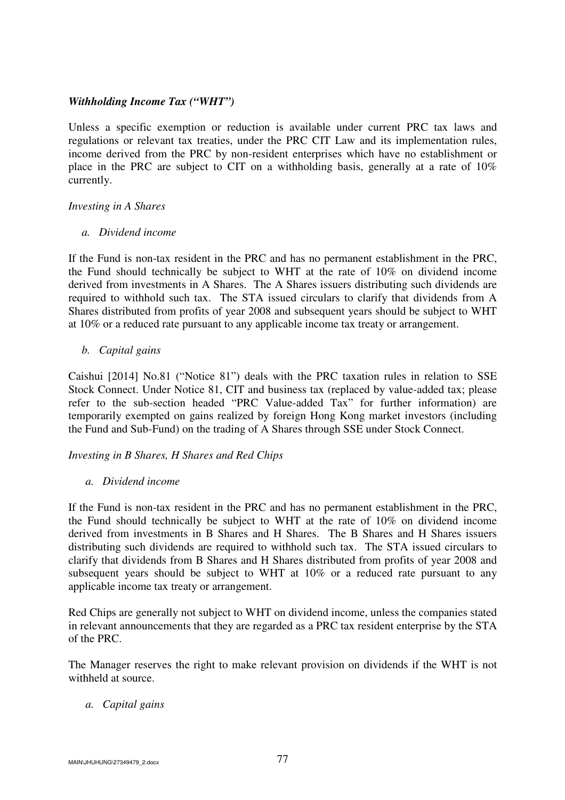### *Withholding Income Tax ("WHT")*

Unless a specific exemption or reduction is available under current PRC tax laws and regulations or relevant tax treaties, under the PRC CIT Law and its implementation rules, income derived from the PRC by non-resident enterprises which have no establishment or place in the PRC are subject to CIT on a withholding basis, generally at a rate of 10% currently.

### *Investing in A Shares*

### *a. Dividend income*

If the Fund is non-tax resident in the PRC and has no permanent establishment in the PRC, the Fund should technically be subject to WHT at the rate of 10% on dividend income derived from investments in A Shares. The A Shares issuers distributing such dividends are required to withhold such tax. The STA issued circulars to clarify that dividends from A Shares distributed from profits of year 2008 and subsequent years should be subject to WHT at 10% or a reduced rate pursuant to any applicable income tax treaty or arrangement.

### *b. Capital gains*

Caishui [2014] No.81 ("Notice 81") deals with the PRC taxation rules in relation to SSE Stock Connect. Under Notice 81, CIT and business tax (replaced by value-added tax; please refer to the sub-section headed "PRC Value-added Tax" for further information) are temporarily exempted on gains realized by foreign Hong Kong market investors (including the Fund and Sub-Fund) on the trading of A Shares through SSE under Stock Connect.

### *Investing in B Shares, H Shares and Red Chips*

### *a. Dividend income*

If the Fund is non-tax resident in the PRC and has no permanent establishment in the PRC, the Fund should technically be subject to WHT at the rate of 10% on dividend income derived from investments in B Shares and H Shares. The B Shares and H Shares issuers distributing such dividends are required to withhold such tax. The STA issued circulars to clarify that dividends from B Shares and H Shares distributed from profits of year 2008 and subsequent years should be subject to WHT at 10% or a reduced rate pursuant to any applicable income tax treaty or arrangement.

Red Chips are generally not subject to WHT on dividend income, unless the companies stated in relevant announcements that they are regarded as a PRC tax resident enterprise by the STA of the PRC.

The Manager reserves the right to make relevant provision on dividends if the WHT is not withheld at source.

### *a. Capital gains*

MAIN\JHUHUNG\27349479\_2.docx 77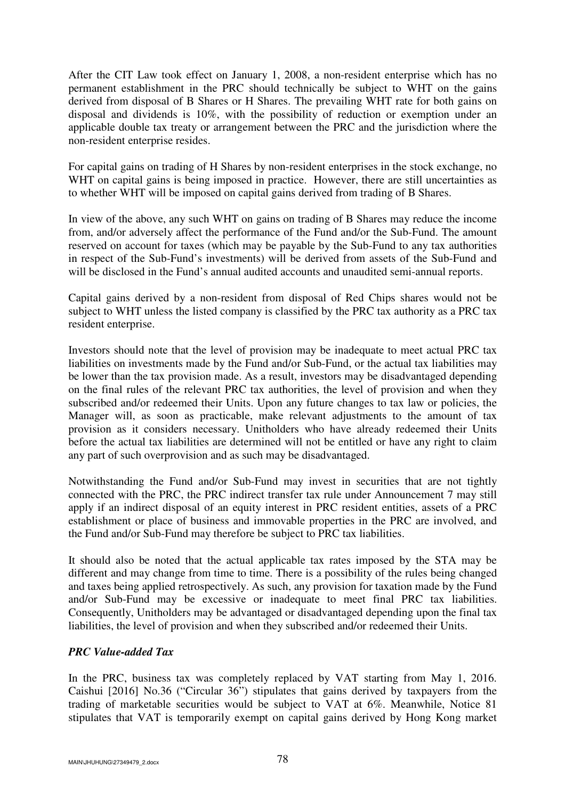After the CIT Law took effect on January 1, 2008, a non-resident enterprise which has no permanent establishment in the PRC should technically be subject to WHT on the gains derived from disposal of B Shares or H Shares. The prevailing WHT rate for both gains on disposal and dividends is 10%, with the possibility of reduction or exemption under an applicable double tax treaty or arrangement between the PRC and the jurisdiction where the non-resident enterprise resides.

For capital gains on trading of H Shares by non-resident enterprises in the stock exchange, no WHT on capital gains is being imposed in practice. However, there are still uncertainties as to whether WHT will be imposed on capital gains derived from trading of B Shares.

In view of the above, any such WHT on gains on trading of B Shares may reduce the income from, and/or adversely affect the performance of the Fund and/or the Sub-Fund. The amount reserved on account for taxes (which may be payable by the Sub-Fund to any tax authorities in respect of the Sub-Fund's investments) will be derived from assets of the Sub-Fund and will be disclosed in the Fund's annual audited accounts and unaudited semi-annual reports.

Capital gains derived by a non-resident from disposal of Red Chips shares would not be subject to WHT unless the listed company is classified by the PRC tax authority as a PRC tax resident enterprise.

Investors should note that the level of provision may be inadequate to meet actual PRC tax liabilities on investments made by the Fund and/or Sub-Fund, or the actual tax liabilities may be lower than the tax provision made. As a result, investors may be disadvantaged depending on the final rules of the relevant PRC tax authorities, the level of provision and when they subscribed and/or redeemed their Units. Upon any future changes to tax law or policies, the Manager will, as soon as practicable, make relevant adjustments to the amount of tax provision as it considers necessary. Unitholders who have already redeemed their Units before the actual tax liabilities are determined will not be entitled or have any right to claim any part of such overprovision and as such may be disadvantaged.

Notwithstanding the Fund and/or Sub-Fund may invest in securities that are not tightly connected with the PRC, the PRC indirect transfer tax rule under Announcement 7 may still apply if an indirect disposal of an equity interest in PRC resident entities, assets of a PRC establishment or place of business and immovable properties in the PRC are involved, and the Fund and/or Sub-Fund may therefore be subject to PRC tax liabilities.

It should also be noted that the actual applicable tax rates imposed by the STA may be different and may change from time to time. There is a possibility of the rules being changed and taxes being applied retrospectively. As such, any provision for taxation made by the Fund and/or Sub-Fund may be excessive or inadequate to meet final PRC tax liabilities. Consequently, Unitholders may be advantaged or disadvantaged depending upon the final tax liabilities, the level of provision and when they subscribed and/or redeemed their Units.

# *PRC Value-added Tax*

In the PRC, business tax was completely replaced by VAT starting from May 1, 2016. Caishui [2016] No.36 ("Circular 36") stipulates that gains derived by taxpayers from the trading of marketable securities would be subject to VAT at 6%. Meanwhile, Notice 81 stipulates that VAT is temporarily exempt on capital gains derived by Hong Kong market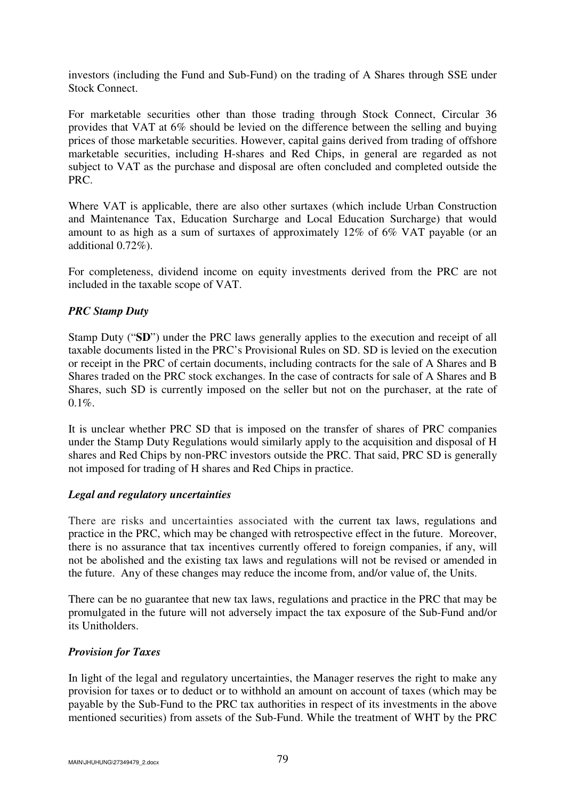investors (including the Fund and Sub-Fund) on the trading of A Shares through SSE under Stock Connect.

For marketable securities other than those trading through Stock Connect, Circular 36 provides that VAT at 6% should be levied on the difference between the selling and buying prices of those marketable securities. However, capital gains derived from trading of offshore marketable securities, including H-shares and Red Chips, in general are regarded as not subject to VAT as the purchase and disposal are often concluded and completed outside the PRC.

Where VAT is applicable, there are also other surtaxes (which include Urban Construction and Maintenance Tax, Education Surcharge and Local Education Surcharge) that would amount to as high as a sum of surtaxes of approximately 12% of 6% VAT payable (or an additional 0.72%).

For completeness, dividend income on equity investments derived from the PRC are not included in the taxable scope of VAT.

# *PRC Stamp Duty*

Stamp Duty ("**SD**") under the PRC laws generally applies to the execution and receipt of all taxable documents listed in the PRC's Provisional Rules on SD. SD is levied on the execution or receipt in the PRC of certain documents, including contracts for the sale of A Shares and B Shares traded on the PRC stock exchanges. In the case of contracts for sale of A Shares and B Shares, such SD is currently imposed on the seller but not on the purchaser, at the rate of  $0.1\%$ .

It is unclear whether PRC SD that is imposed on the transfer of shares of PRC companies under the Stamp Duty Regulations would similarly apply to the acquisition and disposal of H shares and Red Chips by non-PRC investors outside the PRC. That said, PRC SD is generally not imposed for trading of H shares and Red Chips in practice.

### *Legal and regulatory uncertainties*

There are risks and uncertainties associated with the current tax laws, regulations and practice in the PRC, which may be changed with retrospective effect in the future. Moreover, there is no assurance that tax incentives currently offered to foreign companies, if any, will not be abolished and the existing tax laws and regulations will not be revised or amended in the future. Any of these changes may reduce the income from, and/or value of, the Units.

There can be no guarantee that new tax laws, regulations and practice in the PRC that may be promulgated in the future will not adversely impact the tax exposure of the Sub-Fund and/or its Unitholders.

# *Provision for Taxes*

In light of the legal and regulatory uncertainties, the Manager reserves the right to make any provision for taxes or to deduct or to withhold an amount on account of taxes (which may be payable by the Sub-Fund to the PRC tax authorities in respect of its investments in the above mentioned securities) from assets of the Sub-Fund. While the treatment of WHT by the PRC